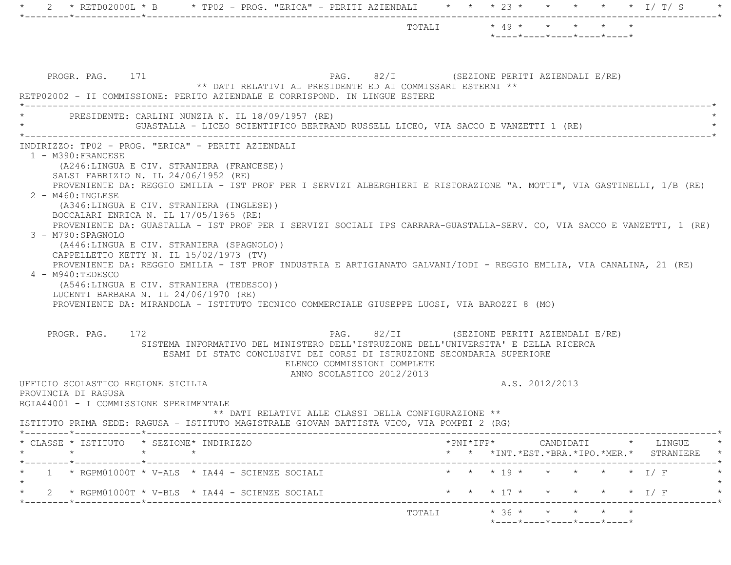| PROGR. PAG. 171<br>PAG. 82/I (SEZIONE PERITI AZIENDALI E/RE)<br>** DATI RELATIVI AL PRESIDENTE ED AI COMMISSARI ESTERNI **<br>RETP02002 - II COMMISSIONE: PERITO AZIENDALE E CORRISPOND. IN LINGUE ESTERE<br>PRESIDENTE: CARLINI NUNZIA N. IL 18/09/1957 (RE)<br>GUASTALLA - LICEO SCIENTIFICO BERTRAND RUSSELL LICEO, VIA SACCO E VANZETTI 1 (RE)<br>INDIRIZZO: TP02 - PROG. "ERICA" - PERITI AZIENDALI<br>1 - M390: FRANCESE<br>(A246:LINGUA E CIV. STRANIERA (FRANCESE))<br>SALSI FABRIZIO N. IL 24/06/1952 (RE)<br>PROVENIENTE DA: REGGIO EMILIA - IST PROF PER I SERVIZI ALBERGHIERI E RISTORAZIONE "A. MOTTI", VIA GASTINELLI, 1/B (RE)<br>$2 - M460$ : INGLESE<br>(A346:LINGUA E CIV. STRANIERA (INGLESE))<br>BOCCALARI ENRICA N. IL 17/05/1965 (RE)<br>PROVENIENTE DA: GUASTALLA - IST PROF PER I SERVIZI SOCIALI IPS CARRARA-GUASTALLA-SERV. CO, VIA SACCO E VANZETTI, 1 (RE)<br>3 - M790:SPAGNOLO<br>(A446:LINGUA E CIV. STRANIERA (SPAGNOLO))<br>CAPPELLETTO KETTY N. IL 15/02/1973 (TV)<br>PROVENIENTE DA: REGGIO EMILIA - IST PROF INDUSTRIA E ARTIGIANATO GALVANI/IODI - REGGIO EMILIA, VIA CANALINA, 21 (RE)<br>4 - M940:TEDESCO |  | $*$ ---- $*$ ---- $*$ ---- $*$ ---- $*$ ---- $*$ |                |                    |             |                                                                                                                                               |
|-------------------------------------------------------------------------------------------------------------------------------------------------------------------------------------------------------------------------------------------------------------------------------------------------------------------------------------------------------------------------------------------------------------------------------------------------------------------------------------------------------------------------------------------------------------------------------------------------------------------------------------------------------------------------------------------------------------------------------------------------------------------------------------------------------------------------------------------------------------------------------------------------------------------------------------------------------------------------------------------------------------------------------------------------------------------------------------------------------------------------------------------------|--|--------------------------------------------------|----------------|--------------------|-------------|-----------------------------------------------------------------------------------------------------------------------------------------------|
|                                                                                                                                                                                                                                                                                                                                                                                                                                                                                                                                                                                                                                                                                                                                                                                                                                                                                                                                                                                                                                                                                                                                                 |  |                                                  |                |                    |             |                                                                                                                                               |
|                                                                                                                                                                                                                                                                                                                                                                                                                                                                                                                                                                                                                                                                                                                                                                                                                                                                                                                                                                                                                                                                                                                                                 |  |                                                  |                |                    |             |                                                                                                                                               |
|                                                                                                                                                                                                                                                                                                                                                                                                                                                                                                                                                                                                                                                                                                                                                                                                                                                                                                                                                                                                                                                                                                                                                 |  |                                                  |                |                    |             |                                                                                                                                               |
| (A546:LINGUA E CIV. STRANIERA (TEDESCO))<br>LUCENTI BARBARA N. IL 24/06/1970 (RE)<br>PROVENIENTE DA: MIRANDOLA - ISTITUTO TECNICO COMMERCIALE GIUSEPPE LUOSI, VIA BAROZZI 8 (MO)                                                                                                                                                                                                                                                                                                                                                                                                                                                                                                                                                                                                                                                                                                                                                                                                                                                                                                                                                                |  |                                                  |                |                    |             |                                                                                                                                               |
| PAG. 82/II (SEZIONE PERITI AZIENDALI E/RE)<br>PROGR. PAG. 172<br>SISTEMA INFORMATIVO DEL MINISTERO DELL'ISTRUZIONE DELL'UNIVERSITA' E DELLA RICERCA<br>ESAMI DI STATO CONCLUSIVI DEI CORSI DI ISTRUZIONE SECONDARIA SUPERIORE<br>ELENCO COMMISSIONI COMPLETE<br>ANNO SCOLASTICO 2012/2013                                                                                                                                                                                                                                                                                                                                                                                                                                                                                                                                                                                                                                                                                                                                                                                                                                                       |  |                                                  |                |                    |             |                                                                                                                                               |
| UFFICIO SCOLASTICO REGIONE SICILIA<br>PROVINCIA DI RAGUSA<br>RGIA44001 - I COMMISSIONE SPERIMENTALE<br>** DATI RELATIVI ALLE CLASSI DELLA CONFIGURAZIONE **<br>ISTITUTO PRIMA SEDE: RAGUSA - ISTITUTO MAGISTRALE GIOVAN BATTISTA VICO, VIA POMPEI 2 (RG)                                                                                                                                                                                                                                                                                                                                                                                                                                                                                                                                                                                                                                                                                                                                                                                                                                                                                        |  |                                                  | A.S. 2012/2013 |                    |             |                                                                                                                                               |
| * CLASSE * ISTITUTO * SEZIONE* INDIRIZZO<br>$\star$ $\star$<br>$\star$                                                                                                                                                                                                                                                                                                                                                                                                                                                                                                                                                                                                                                                                                                                                                                                                                                                                                                                                                                                                                                                                          |  |                                                  |                |                    |             | $*PNI*IFP* \qquad \qquad \text{CANDIDATI} \qquad \qquad * \qquad \text{LINGUE} \qquad \qquad *$<br>* * *INT.*EST.*BRA.*IPO.*MER.* STRANIERE * |
| $1 \rightarrow$ RGPM01000T * V-ALS * IA44 - SCIENZE SOCIALI                                                                                                                                                                                                                                                                                                                                                                                                                                                                                                                                                                                                                                                                                                                                                                                                                                                                                                                                                                                                                                                                                     |  | $\star$ $\star$ $\star$ 19 $\star$               |                | * * * * $\top / F$ |             |                                                                                                                                               |
| 2 * RGPM01000T * V-BLS * IA44 - SCIENZE SOCIALI<br>--------------------                                                                                                                                                                                                                                                                                                                                                                                                                                                                                                                                                                                                                                                                                                                                                                                                                                                                                                                                                                                                                                                                         |  |                                                  |                |                    |             |                                                                                                                                               |
|                                                                                                                                                                                                                                                                                                                                                                                                                                                                                                                                                                                                                                                                                                                                                                                                                                                                                                                                                                                                                                                                                                                                                 |  | $\star$ $\star$ $\star$ 17 $\star$               |                | $\star$ $\star$    | $\star$ I/F |                                                                                                                                               |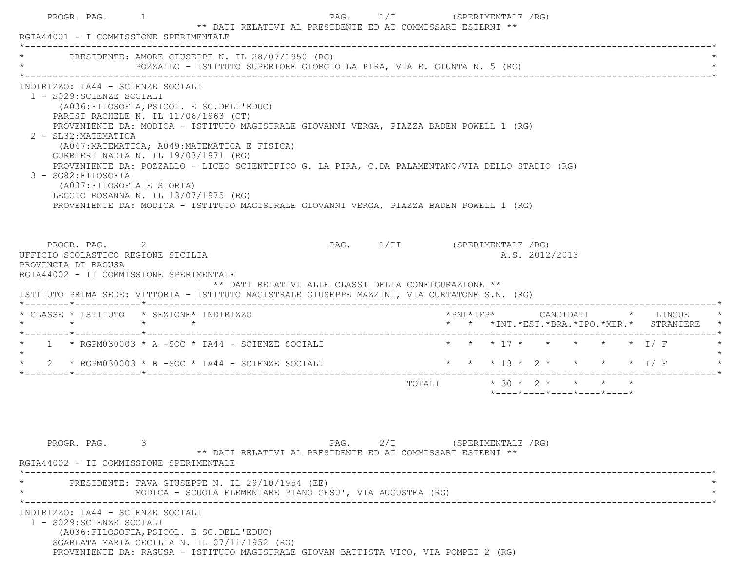|         | * PRESIDENTE: AMORE GIUSEPPE N. IL 28/07/1950 (RG)<br>POZZALLO - ISTITUTO SUPERIORE GIORGIO LA PIRA, VIA E. GIUNTA N. 5 (RG)                                                                                                                                                                                                                                                                                                                                                                                                                                                                                                                                |             |                                                      |  |                                                                                           |                           |  |  |                |                                         |  |                                               |
|---------|-------------------------------------------------------------------------------------------------------------------------------------------------------------------------------------------------------------------------------------------------------------------------------------------------------------------------------------------------------------------------------------------------------------------------------------------------------------------------------------------------------------------------------------------------------------------------------------------------------------------------------------------------------------|-------------|------------------------------------------------------|--|-------------------------------------------------------------------------------------------|---------------------------|--|--|----------------|-----------------------------------------|--|-----------------------------------------------|
|         | INDIRIZZO: IA44 - SCIENZE SOCIALI<br>1 - S029: SCIENZE SOCIALI<br>(A036: FILOSOFIA, PSICOL. E SC. DELL'EDUC)<br>PARISI RACHELE N. IL 11/06/1963 (CT)<br>PROVENIENTE DA: MODICA - ISTITUTO MAGISTRALE GIOVANNI VERGA, PIAZZA BADEN POWELL 1 (RG)<br>2 - SL32: MATEMATICA<br>(A047: MATEMATICA; A049: MATEMATICA E FISICA)<br>GURRIERI NADIA N. IL 19/03/1971 (RG)<br>PROVENIENTE DA: POZZALLO - LICEO SCIENTIFICO G. LA PIRA, C.DA PALAMENTANO/VIA DELLO STADIO (RG)<br>3 - SG82: FILOSOFIA<br>(A037: FILOSOFIA E STORIA)<br>LEGGIO ROSANNA N. IL 13/07/1975 (RG)<br>PROVENIENTE DA: MODICA - ISTITUTO MAGISTRALE GIOVANNI VERGA, PIAZZA BADEN POWELL 1 (RG) |             |                                                      |  |                                                                                           |                           |  |  |                |                                         |  |                                               |
|         | PROGR. PAG. 2<br>UFFICIO SCOLASTICO REGIONE SICILIA<br>PROVINCIA DI RAGUSA<br>RGIA44002 - II COMMISSIONE SPERIMENTALE<br>ISTITUTO PRIMA SEDE: VITTORIA - ISTITUTO MAGISTRALE GIUSEPPE MAZZINI, VIA CURTATONE S.N. (RG)                                                                                                                                                                                                                                                                                                                                                                                                                                      |             | ** DATI RELATIVI ALLE CLASSI DELLA CONFIGURAZIONE ** |  | PAG. 1/II (SPERIMENTALE /RG)                                                              |                           |  |  | A.S. 2012/2013 |                                         |  |                                               |
|         | * CLASSE * ISTITUTO * SEZIONE* INDIRIZZO                                                                                                                                                                                                                                                                                                                                                                                                                                                                                                                                                                                                                    |             |                                                      |  |                                                                                           |                           |  |  |                |                                         |  | * * *INT. *EST. *BRA. *IPO. *MER. * STRANIERE |
|         | * 1 * RGPM030003 * A -SOC * IA44 - SCIENZE SOCIALI                                                                                                                                                                                                                                                                                                                                                                                                                                                                                                                                                                                                          |             |                                                      |  |                                                                                           |                           |  |  |                | * * * 17 * * * * * * T/F                |  |                                               |
| $\star$ | 2 * RGPM030003 * B - SOC * IA44 - SCIENZE SOCIALI                                                                                                                                                                                                                                                                                                                                                                                                                                                                                                                                                                                                           |             |                                                      |  |                                                                                           |                           |  |  |                |                                         |  | * * * 13 * 2 * * * * * I/F                    |
|         |                                                                                                                                                                                                                                                                                                                                                                                                                                                                                                                                                                                                                                                             |             |                                                      |  |                                                                                           | TOTALI * 30 * 2 * * * * * |  |  |                | $*$ ---- $*$ ---- $*$ ---- $*$ ---- $*$ |  |                                               |
|         |                                                                                                                                                                                                                                                                                                                                                                                                                                                                                                                                                                                                                                                             | PROGR. PAG. |                                                      |  | PAG. 2/I (SPERIMENTALE /RG)<br>** DATI RELATIVI AL PRESIDENTE ED AI COMMISSARI ESTERNI ** |                           |  |  |                |                                         |  |                                               |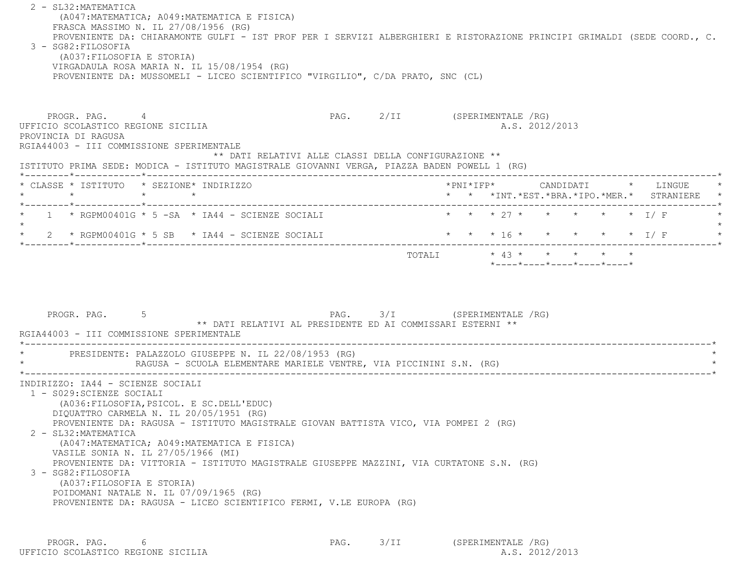| 2 - SL32: MATEMATICA<br>(A047: MATEMATICA; A049: MATEMATICA E FISICA)<br>FRASCA MASSIMO N. IL 27/08/1956 (RG)<br>PROVENIENTE DA: CHIARAMONTE GULFI - IST PROF PER I SERVIZI ALBERGHIERI E RISTORAZIONE PRINCIPI GRIMALDI (SEDE COORD., C.<br>3 - SG82: FILOSOFIA<br>(A037: FILOSOFIA E STORIA)<br>VIRGADAULA ROSA MARIA N. IL 15/08/1954 (RG)<br>PROVENIENTE DA: MUSSOMELI - LICEO SCIENTIFICO "VIRGILIO", C/DA PRATO, SNC (CL) |                              |                                                      |  |                |  |                                               |  |
|---------------------------------------------------------------------------------------------------------------------------------------------------------------------------------------------------------------------------------------------------------------------------------------------------------------------------------------------------------------------------------------------------------------------------------|------------------------------|------------------------------------------------------|--|----------------|--|-----------------------------------------------|--|
| PROGR. PAG. 4<br>UFFICIO SCOLASTICO REGIONE SICILIA<br>PROVINCIA DI RAGUSA<br>RGIA44003 - III COMMISSIONE SPERIMENTALE<br>** DATI RELATIVI ALLE CLASSI DELLA CONFIGURAZIONE **<br>ISTITUTO PRIMA SEDE: MODICA - ISTITUTO MAGISTRALE GIOVANNI VERGA, PIAZZA BADEN POWELL 1 (RG)                                                                                                                                                  | PAG. 2/II (SPERIMENTALE /RG) |                                                      |  | A.S. 2012/2013 |  |                                               |  |
| * CLASSE * ISTITUTO * SEZIONE* INDIRIZZO<br>$\star$ $\star$<br>$\star$                                                                                                                                                                                                                                                                                                                                                          |                              |                                                      |  |                |  | * * *INT. *EST. *BRA. *IPO. *MER. * STRANIERE |  |
| 1 $\star$ RGPM00401G $\star$ 5 -SA $\star$ IA44 - SCIENZE SOCIALI<br>2 * RGPM00401G * 5 SB * IA44 - SCIENZE SOCIALI                                                                                                                                                                                                                                                                                                             |                              | * * * 27 * * * * * * I/F<br>* * * 16 * * * * * * I/F |  |                |  |                                               |  |
| PROGR. PAG.<br>** DATI RELATIVI AL PRESIDENTE ED AI COMMISSARI ESTERNI **<br>RGIA44003 - III COMMISSIONE SPERIMENTALE                                                                                                                                                                                                                                                                                                           | PAG. 3/I (SPERIMENTALE /RG)  |                                                      |  |                |  |                                               |  |
| PRESIDENTE: PALAZZOLO GIUSEPPE N. IL 22/08/1953 (RG)                                                                                                                                                                                                                                                                                                                                                                            |                              |                                                      |  |                |  |                                               |  |
| RAGUSA - SCUOLA ELEMENTARE MARIELE VENTRE, VIA PICCININI S.N. (RG)                                                                                                                                                                                                                                                                                                                                                              |                              |                                                      |  |                |  |                                               |  |

PROGR. PAG. 6 6<br>210 SCOLASTICO REGIONE SICILIA 2012 PAG. 3/II (SPERIMENTALE /RG) UFFICIO SCOLASTICO REGIONE SICILIA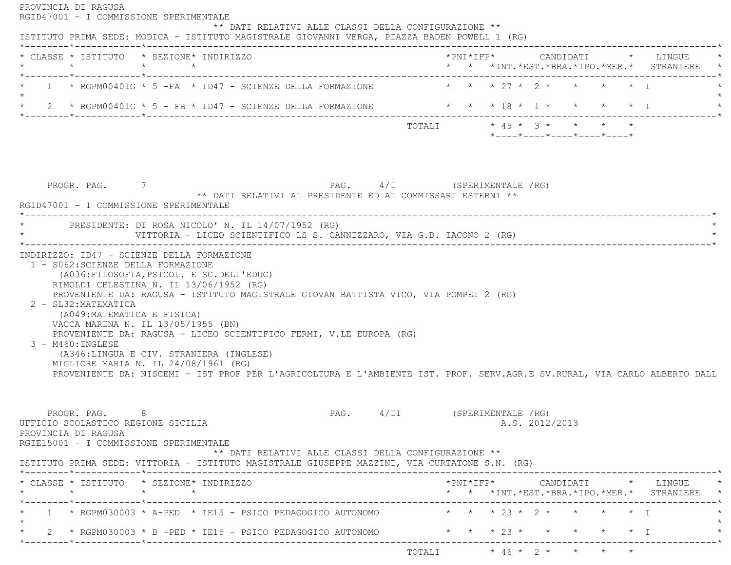| * CLASSE * ISTITUTO * SEZIONE* INDIRIZZO<br>$\star$                                                                                                                                                                                       | $\star$ $\star$                                                                                                                                                                                                                           |                                                                        |                    |                                                                                         |  | * * *INT.*EST.*BRA.*IPO.*MER.* STRANIERE                                                  |
|-------------------------------------------------------------------------------------------------------------------------------------------------------------------------------------------------------------------------------------------|-------------------------------------------------------------------------------------------------------------------------------------------------------------------------------------------------------------------------------------------|------------------------------------------------------------------------|--------------------|-----------------------------------------------------------------------------------------|--|-------------------------------------------------------------------------------------------|
| *--------*------------*--------------                                                                                                                                                                                                     | $1 \rightarrow$ RGPM00401G $\star$ 5 - FA $\star$ ID47 - SCIENZE DELLA FORMAZIONE                                                                                                                                                         |                                                                        |                    | $\star$ $\star$ $\star$ $27$ $\star$ $2$ $\star$ $\star$ $\star$ $\star$ $\star$ $\top$ |  |                                                                                           |
|                                                                                                                                                                                                                                           | * 2 * RGPM00401G * 5 - FB * ID47 - SCIENZE DELLA FORMAZIONE                                                                                                                                                                               | $\star$ $\star$ $\star$ 18 $\star$ 1 $\star$ $\star$ $\star$ $\star$ 1 |                    |                                                                                         |  |                                                                                           |
|                                                                                                                                                                                                                                           |                                                                                                                                                                                                                                           | TOTALI * 45 * 3 * * * * *                                              |                    | $*$ ---- $*$ ---- $*$ ---- $*$ ---- $*$ ---- $*$                                        |  |                                                                                           |
| PROGR. PAG. 7                                                                                                                                                                                                                             | PAG. 4/I (SPERIMENTALE /RG)<br>** DATI RELATIVI AL PRESIDENTE ED AI COMMISSARI ESTERNI **                                                                                                                                                 |                                                                        |                    |                                                                                         |  |                                                                                           |
| RGID47001 - I COMMISSIONE SPERIMENTALE                                                                                                                                                                                                    | * PRESIDENTE: DI ROSA NICOLO' N. IL 14/07/1952 (RG)<br>VITTORIA - LICEO SCIENTIFICO LS S. CANNIZZARO, VIA G.B. IACONO 2 (RG)                                                                                                              |                                                                        |                    |                                                                                         |  |                                                                                           |
| RIMOLDI CELESTINA N. IL 13/06/1952 (RG)                                                                                                                                                                                                   | (A036: FILOSOFIA, PSICOL. E SC. DELL'EDUC)<br>PROVENIENTE DA: RAGUSA - ISTITUTO MAGISTRALE GIOVAN BATTISTA VICO, VIA POMPEI 2 (RG)                                                                                                        |                                                                        |                    |                                                                                         |  |                                                                                           |
| INDIRIZZO: ID47 - SCIENZE DELLA FORMAZIONE<br>1 - S062: SCIENZE DELLA FORMAZIONE<br>2 - SL32: MATEMATICA<br>(A049: MATEMATICA E FISICA)<br>VACCA MARINA N. IL 13/05/1955 (BN)<br>3 - M460:INGLESE<br>MIGLIORE MARIA N. IL 24/08/1961 (RG) | PROVENIENTE DA: RAGUSA - LICEO SCIENTIFICO FERMI, V.LE EUROPA (RG)<br>(A346:LINGUA E CIV. STRANIERA (INGLESE)<br>PROVENIENTE DA: NISCEMI - IST PROF PER L'AGRICOLTURA E L'AMBIENTE IST. PROF. SERV.AGR.E SV.RURAL, VIA CARLO ALBERTO DALL |                                                                        |                    |                                                                                         |  |                                                                                           |
| PROGR. PAG.<br>-8<br>UFFICIO SCOLASTICO REGIONE SICILIA<br>PROVINCIA DI RAGUSA<br>RGIE15001 - I COMMISSIONE SPERIMENTALE                                                                                                                  | $PAG$ , $4/II$<br>** DATI RELATIVI ALLE CLASSI DELLA CONFIGURAZIONE **                                                                                                                                                                    |                                                                        | (SPERIMENTALE /RG) | A.S. 2012/2013                                                                          |  |                                                                                           |
|                                                                                                                                                                                                                                           | ISTITUTO PRIMA SEDE: VITTORIA - ISTITUTO MAGISTRALE GIUSEPPE MAZZINI, VIA CURTATONE S.N. (RG)                                                                                                                                             |                                                                        |                    |                                                                                         |  | *PNI*IFP*     CANDIDATI    *   LINGUE<br>* * * INT. *EST. *BRA. *IPO. *MER. * STRANIERE * |
| * CLASSE * ISTITUTO * SEZIONE* INDIRIZZO<br>*--------*------------*-----------                                                                                                                                                            |                                                                                                                                                                                                                                           |                                                                        |                    | * * * 23 * 2 * * * * * I                                                                |  |                                                                                           |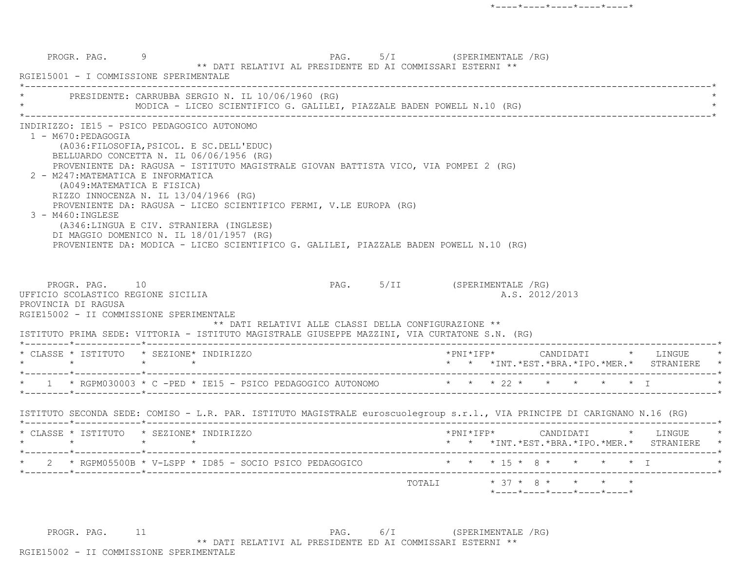|                                                                                                                                        | PRESIDENTE: CARRUBBA SERGIO N. IL 10/06/1960 (RG)<br>MODICA - LICEO SCIENTIFICO G. GALILEI, PIAZZALE BADEN POWELL N.10 (RG)                                                                                                                                                                                                                                                                                                                                                                                                                                  |                                                                                                                           |
|----------------------------------------------------------------------------------------------------------------------------------------|--------------------------------------------------------------------------------------------------------------------------------------------------------------------------------------------------------------------------------------------------------------------------------------------------------------------------------------------------------------------------------------------------------------------------------------------------------------------------------------------------------------------------------------------------------------|---------------------------------------------------------------------------------------------------------------------------|
| 1 - M670: PEDAGOGIA<br>2 - M247: MATEMATICA E INFORMATICA<br>3 - M460: INGLESE<br>PROGR. PAG. 10<br>UFFICIO SCOLASTICO REGIONE SICILIA | INDIRIZZO: IE15 - PSICO PEDAGOGICO AUTONOMO<br>(A036: FILOSOFIA, PSICOL. E SC. DELL'EDUC)<br>BELLUARDO CONCETTA N. IL 06/06/1956 (RG)<br>PROVENIENTE DA: RAGUSA - ISTITUTO MAGISTRALE GIOVAN BATTISTA VICO, VIA POMPEI 2 (RG)<br>(A049: MATEMATICA E FISICA)<br>RIZZO INNOCENZA N. IL 13/04/1966 (RG)<br>PROVENIENTE DA: RAGUSA - LICEO SCIENTIFICO FERMI, V.LE EUROPA (RG)<br>(A346:LINGUA E CIV. STRANIERA (INGLESE)<br>DI MAGGIO DOMENICO N. IL 18/01/1957 (RG)<br>PROVENIENTE DA: MODICA - LICEO SCIENTIFICO G. GALILEI, PIAZZALE BADEN POWELL N.10 (RG) | PAG. 5/II (SPERIMENTALE /RG)<br>A.S. 2012/2013                                                                            |
| PROVINCIA DI RAGUSA                                                                                                                    | RGIE15002 - II COMMISSIONE SPERIMENTALE                                                                                                                                                                                                                                                                                                                                                                                                                                                                                                                      |                                                                                                                           |
|                                                                                                                                        | ** DATI RELATIVI ALLE CLASSI DELLA CONFIGURAZIONE **<br>ISTITUTO PRIMA SEDE: VITTORIA - ISTITUTO MAGISTRALE GIUSEPPE MAZZINI, VIA CURTATONE S.N. (RG)                                                                                                                                                                                                                                                                                                                                                                                                        |                                                                                                                           |
|                                                                                                                                        | * CLASSE * ISTITUTO * SEZIONE* INDIRIZZO                                                                                                                                                                                                                                                                                                                                                                                                                                                                                                                     | *PNI*IFP*     CANDIDATI    *   LINGUE<br>* * *INT. *EST. *BRA. *IPO. *MER. * STRANIERE                                    |
|                                                                                                                                        |                                                                                                                                                                                                                                                                                                                                                                                                                                                                                                                                                              | * 1 * RGPM030003 * C -PED * IE15 - PSICO PEDAGOGICO AUTONOMO * * * * 22 * * * * * * * I                                   |
|                                                                                                                                        |                                                                                                                                                                                                                                                                                                                                                                                                                                                                                                                                                              | ISTITUTO SECONDA SEDE: COMISO - L.R. PAR. ISTITUTO MAGISTRALE euroscuolegroup s.r.l., VIA PRINCIPE DI CARIGNANO N.16 (RG) |
|                                                                                                                                        | * CLASSE * ISTITUTO * SEZIONE* INDIRIZZO                                                                                                                                                                                                                                                                                                                                                                                                                                                                                                                     |                                                                                                                           |
|                                                                                                                                        | 2 * RGPM05500B * V-LSPP * ID85 - SOCIO PSICO PEDAGOGICO                                                                                                                                                                                                                                                                                                                                                                                                                                                                                                      | * * *INT.*EST.*BRA.*IPO.*MER.* STRANIERE<br>* * * 15 * 8 * * * * * I                                                      |

PROGR. PAG. 11 1 PAG. 6/I (SPERIMENTALE /RG) \*\* DATI RELATIVI AL PRESIDENTE ED AI COMMISSARI ESTERNI \*\* RGIE15002 - II COMMISSIONE SPERIMENTALE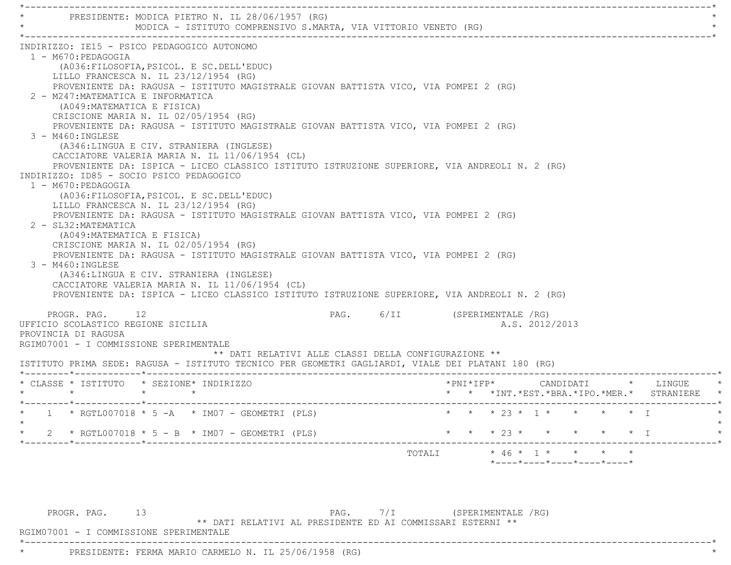| PRESIDENTE: MODICA PIETRO N. IL 28/06/1957 (RG)                                                                                                                                                                                                                                                                                                           |                    | MODICA - ISTITUTO COMPRENSIVO S.MARTA, VIA VITTORIO VENETO (RG)                                                                                                                                                                                                                                                                                                                                                                                                        |  |                              |  |                     |                      |  |           |                                                                       |
|-----------------------------------------------------------------------------------------------------------------------------------------------------------------------------------------------------------------------------------------------------------------------------------------------------------------------------------------------------------|--------------------|------------------------------------------------------------------------------------------------------------------------------------------------------------------------------------------------------------------------------------------------------------------------------------------------------------------------------------------------------------------------------------------------------------------------------------------------------------------------|--|------------------------------|--|---------------------|----------------------|--|-----------|-----------------------------------------------------------------------|
| INDIRIZZO: IE15 - PSICO PEDAGOGICO AUTONOMO<br>1 - M670: PEDAGOGIA<br>LILLO FRANCESCA N. IL 23/12/1954 (RG)<br>2 - M247: MATEMATICA E INFORMATICA<br>(A049: MATEMATICA E FISICA)<br>CRISCIONE MARIA N. IL 02/05/1954 (RG)<br>3 - M460:INGLESE<br>INDIRIZZO: ID85 - SOCIO PSICO PEDAGOGICO<br>1 - M670: PEDAGOGIA<br>LILLO FRANCESCA N. IL 23/12/1954 (RG) |                    | (A036: FILOSOFIA, PSICOL. E SC. DELL'EDUC)<br>PROVENIENTE DA: RAGUSA - ISTITUTO MAGISTRALE GIOVAN BATTISTA VICO, VIA POMPEI 2 (RG)<br>PROVENIENTE DA: RAGUSA - ISTITUTO MAGISTRALE GIOVAN BATTISTA VICO, VIA POMPEI 2 (RG)<br>(A346:LINGUA E CIV. STRANIERA (INGLESE)<br>CACCIATORE VALERIA MARIA N. IL 11/06/1954 (CL)<br>PROVENIENTE DA: ISPICA - LICEO CLASSICO ISTITUTO ISTRUZIONE SUPERIORE, VIA ANDREOLI N. 2 (RG)<br>(A036: FILOSOFIA, PSICOL. E SC. DELL'EDUC) |  |                              |  |                     |                      |  |           |                                                                       |
| 2 - SL32: MATEMATICA<br>(A049: MATEMATICA E FISICA)<br>CRISCIONE MARIA N. IL 02/05/1954 (RG)<br>$3 - M460$ : INGLESE                                                                                                                                                                                                                                      |                    | PROVENIENTE DA: RAGUSA - ISTITUTO MAGISTRALE GIOVAN BATTISTA VICO, VIA POMPEI 2 (RG)<br>PROVENIENTE DA: RAGUSA - ISTITUTO MAGISTRALE GIOVAN BATTISTA VICO, VIA POMPEI 2 (RG)<br>(A346:LINGUA E CIV. STRANIERA (INGLESE)<br>CACCIATORE VALERIA MARIA N. IL 11/06/1954 (CL)<br>PROVENIENTE DA: ISPICA - LICEO CLASSICO ISTITUTO ISTRUZIONE SUPERIORE, VIA ANDREOLI N. 2 (RG)                                                                                             |  |                              |  |                     |                      |  |           |                                                                       |
| PROGR. PAG. 12<br>UFFICIO SCOLASTICO REGIONE SICILIA<br>PROVINCIA DI RAGUSA<br>RGIM07001 - I COMMISSIONE SPERIMENTALE                                                                                                                                                                                                                                     |                    | ** DATI RELATIVI ALLE CLASSI DELLA CONFIGURAZIONE **                                                                                                                                                                                                                                                                                                                                                                                                                   |  | PAG. 6/II (SPERIMENTALE /RG) |  |                     | A.S. 2012/2013       |  |           |                                                                       |
| * CLASSE * ISTITUTO * SEZIONE* INDIRIZZO<br>$\star$                                                                                                                                                                                                                                                                                                       | $\star$<br>$\star$ | ISTITUTO PRIMA SEDE: RAGUSA - ISTITUTO TECNICO PER GEOMETRI GAGLIARDI, VIALE DEI PLATANI 180 (RG)                                                                                                                                                                                                                                                                                                                                                                      |  |                              |  | $*$ PNI $*$ IFP $*$ |                      |  |           | CANDIDATI * LINGUE<br>* * *INT. *EST. *BRA. *IPO. *MER. * STRANIERE * |
|                                                                                                                                                                                                                                                                                                                                                           |                    | * 1 * RGTL007018 * 5 -A * IM07 - GEOMETRI (PLS) * * * * 23 * 1 * * * * * * * I                                                                                                                                                                                                                                                                                                                                                                                         |  |                              |  |                     |                      |  |           |                                                                       |
|                                                                                                                                                                                                                                                                                                                                                           |                    | * RGTL007018 * 5 - B * IM07 - GEOMETRI (PLS)                                                                                                                                                                                                                                                                                                                                                                                                                           |  |                              |  |                     | $* 23 * * * * * * *$ |  | $\star$ T |                                                                       |

PROGR. PAG. 13 13 PAG. 7/I (SPERIMENTALE /RG) \*\* DATI RELATIVI AL PRESIDENTE ED AI COMMISSARI ESTERNI \*\*

\*----------------------------------------------------------------------------------------------------------------------------\*

RGIM07001 - I COMMISSIONE SPERIMENTALE

\* PRESIDENTE: FERMA MARIO CARMELO N. IL 25/06/1958 (RG) \*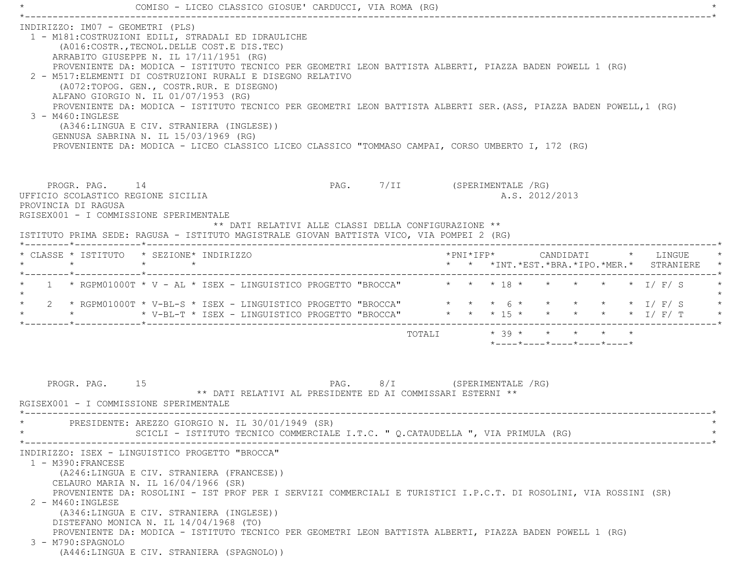|                                                              | COMISO - LICEO CLASSICO GIOSUE' CARDUCCI, VIA ROMA (RG)                                                                                                                                                                                                                                                                                                                                                                                                                                                                                                                                                                                                                                                                        |                              |  |                            |  |                                          |  |
|--------------------------------------------------------------|--------------------------------------------------------------------------------------------------------------------------------------------------------------------------------------------------------------------------------------------------------------------------------------------------------------------------------------------------------------------------------------------------------------------------------------------------------------------------------------------------------------------------------------------------------------------------------------------------------------------------------------------------------------------------------------------------------------------------------|------------------------------|--|----------------------------|--|------------------------------------------|--|
| INDIRIZZO: IM07 - GEOMETRI (PLS)<br>3 - M460: INGLESE        | 1 - M181: COSTRUZIONI EDILI, STRADALI ED IDRAULICHE<br>(A016:COSTR., TECNOL. DELLE COST.E DIS. TEC)<br>ARRABITO GIUSEPPE N. IL 17/11/1951 (RG)<br>PROVENIENTE DA: MODICA - ISTITUTO TECNICO PER GEOMETRI LEON BATTISTA ALBERTI, PIAZZA BADEN POWELL 1 (RG)<br>2 - M517: ELEMENTI DI COSTRUZIONI RURALI E DISEGNO RELATIVO<br>(A072:TOPOG. GEN., COSTR.RUR. E DISEGNO)<br>ALFANO GIORGIO N. IL 01/07/1953 (RG)<br>PROVENIENTE DA: MODICA - ISTITUTO TECNICO PER GEOMETRI LEON BATTISTA ALBERTI SER. (ASS, PIAZZA BADEN POWELL, 1 (RG)<br>(A346:LINGUA E CIV. STRANIERA (INGLESE))<br>GENNUSA SABRINA N. IL 15/03/1969 (RG)<br>PROVENIENTE DA: MODICA - LICEO CLASSICO LICEO CLASSICO "TOMMASO CAMPAI, CORSO UMBERTO I, 172 (RG) |                              |  |                            |  |                                          |  |
| UFFICIO SCOLASTICO REGIONE SICILIA<br>PROVINCIA DI RAGUSA    | PROGR. PAG. 14<br>RGISEX001 - I COMMISSIONE SPERIMENTALE<br>** DATI RELATIVI ALLE CLASSI DELLA CONFIGURAZIONE **<br>ISTITUTO PRIMA SEDE: RAGUSA - ISTITUTO MAGISTRALE GIOVAN BATTISTA VICO, VIA POMPEI 2 (RG)                                                                                                                                                                                                                                                                                                                                                                                                                                                                                                                  | PAG. 7/II (SPERIMENTALE /RG) |  | A.S. 2012/2013             |  |                                          |  |
|                                                              | * CLASSE * ISTITUTO * SEZIONE* INDIRIZZO                                                                                                                                                                                                                                                                                                                                                                                                                                                                                                                                                                                                                                                                                       |                              |  |                            |  |                                          |  |
|                                                              |                                                                                                                                                                                                                                                                                                                                                                                                                                                                                                                                                                                                                                                                                                                                |                              |  |                            |  | * * *INT.*EST.*BRA.*IPO.*MER.* STRANIERE |  |
| $\star$                                                      | * 1 * RGPM01000T * V - AL * ISEX - LINGUISTICO PROGETTO "BROCCA" * * * 18 * * * * * * * * I/ F/ S                                                                                                                                                                                                                                                                                                                                                                                                                                                                                                                                                                                                                              |                              |  |                            |  |                                          |  |
|                                                              | 2 * RGPM01000T * V-BL-S * ISEX - LINGUISTICO PROGETTO "BROCCA" * * * 6 * * * * * * * I/ F/ S<br>* * * V-BL-T * ISEX - LINGUISTICO PROGETTO "BROCCA" * * * 15 * * * * * * * 1/ F/ T                                                                                                                                                                                                                                                                                                                                                                                                                                                                                                                                             |                              |  |                            |  |                                          |  |
|                                                              |                                                                                                                                                                                                                                                                                                                                                                                                                                                                                                                                                                                                                                                                                                                                |                              |  | *----*----*----*----*----* |  |                                          |  |
| PROGR. PAG. 15<br>$\star$                                    | ** DATI RELATIVI AL PRESIDENTE ED AI COMMISSARI ESTERNI **<br>RGISEX001 - I COMMISSIONE SPERIMENTALE                                                                                                                                                                                                                                                                                                                                                                                                                                                                                                                                                                                                                           | PAG. 8/I (SPERIMENTALE /RG)  |  |                            |  |                                          |  |
|                                                              | PRESIDENTE: AREZZO GIORGIO N. IL 30/01/1949 (SR)<br>SCICLI - ISTITUTO TECNICO COMMERCIALE I.T.C. " Q.CATAUDELLA ", VIA PRIMULA (RG)                                                                                                                                                                                                                                                                                                                                                                                                                                                                                                                                                                                            |                              |  |                            |  |                                          |  |
| 1 - M390: FRANCESE<br>2 - M460: INGLESE<br>3 - M790:SPAGNOLO | INDIRIZZO: ISEX - LINGUISTICO PROGETTO "BROCCA"<br>(A246:LINGUA E CIV. STRANIERA (FRANCESE))<br>CELAURO MARIA N. IL 16/04/1966 (SR)<br>PROVENIENTE DA: ROSOLINI - IST PROF PER I SERVIZI COMMERCIALI E TURISTICI I.P.C.T. DI ROSOLINI, VIA ROSSINI (SR)<br>(A346:LINGUA E CIV. STRANIERA (INGLESE))<br>DISTEFANO MONICA N. IL 14/04/1968 (TO)<br>PROVENIENTE DA: MODICA - ISTITUTO TECNICO PER GEOMETRI LEON BATTISTA ALBERTI, PIAZZA BADEN POWELL 1 (RG)<br>(A446:LINGUA E CIV. STRANIERA (SPAGNOLO))                                                                                                                                                                                                                         |                              |  |                            |  |                                          |  |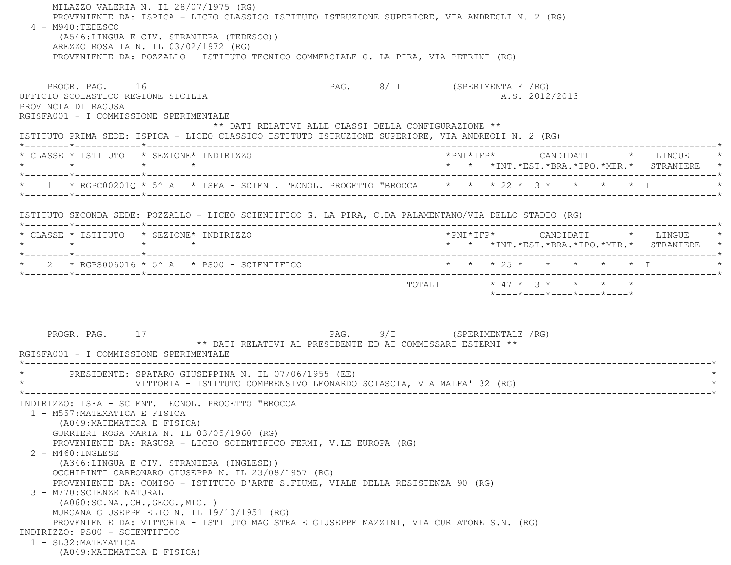MILAZZO VALERIA N. IL 28/07/1975 (RG) PROVENIENTE DA: ISPICA - LICEO CLASSICO ISTITUTO ISTRUZIONE SUPERIORE, VIA ANDREOLI N. 2 (RG) 4 - M940:TEDESCO (A546:LINGUA E CIV. STRANIERA (TEDESCO)) AREZZO ROSALIA N. IL 03/02/1972 (RG) PROVENIENTE DA: POZZALLO - ISTITUTO TECNICO COMMERCIALE G. LA PIRA, VIA PETRINI (RG) PROGR. PAG. 16 CHA 16 PAG. 8/II (SPERIMENTALE /RG) UFFICIO SCOLASTICO REGIONE SICILIA A.S. 2012/2013 PROVINCIA DI RAGUSA RGISFA001 - I COMMISSIONE SPERIMENTALE \*\* DATI RELATIVI ALLE CLASSI DELLA CONFIGURAZIONE \*\* ISTITUTO PRIMA SEDE: ISPICA - LICEO CLASSICO ISTITUTO ISTRUZIONE SUPERIORE, VIA ANDREOLI N. 2 (RG) \*--------\*------------\*-------------------------------------------------------------------------------------------------------\* \* CLASSE \* ISTITUTO \* SEZIONE\* INDIRIZZO \*PNI\*IFP\* CANDIDATI \* LINGUE \* \* \* \* \* \* \* \*INT.\*EST.\*BRA.\*IPO.\*MER.\* STRANIERE \* \*--------\*------------\*-------------------------------------------------------------------------------------------------------\*\* 1 \* RGPC00201Q \* 5^ A \* ISFA - SCIENT. TECNOL. PROGETTO "BROCCA \* \* \* 22 \* 3 \* \* \* \* \* \* T \*--------\*------------\*-------------------------------------------------------------------------------------------------------\* ISTITUTO SECONDA SEDE: POZZALLO - LICEO SCIENTIFICO G. LA PIRA, C.DA PALAMENTANO/VIA DELLO STADIO (RG) \*--------\*------------\*-------------------------------------------------------------------------------------------------------\* \* CLASSE \* ISTITUTO \* SEZIONE\* INDIRIZZO \*PNI\*IFP\* CANDIDATI \* LINGUE \* \* \* \* \* \* \* \*INT.\*EST.\*BRA.\*IPO.\*MER.\* STRANIERE \* \*--------\*------------\*-------------------------------------------------------------------------------------------------------\* \* 2 \* RGPS006016 \* 5^ A \* PS00 - SCIENTIFICO \* \* \* 25 \* \* \* \* \* I \* \*--------\*------------\*-------------------------------------------------------------------------------------------------------\*TOTALI \* 47 \* 3 \* \* \* \* \* \*----\*----\*----\*----\*----\*PROGR. PAG. 17 17 2009 12 PAG. 9/I (SPERIMENTALE /RG) \*\* DATI RELATIVI AL PRESIDENTE ED AI COMMISSARI ESTERNI \*\* RGISFA001 - I COMMISSIONE SPERIMENTALE \*----------------------------------------------------------------------------------------------------------------------------\*PRESIDENTE: SPATARO GIUSEPPINA N. IL 07/06/1955 (EE) VITTORIA - ISTITUTO COMPRENSIVO LEONARDO SCIASCIA, VIA MALFA' 32 (RG) \*----------------------------------------------------------------------------------------------------------------------------\* INDIRIZZO: ISFA - SCIENT. TECNOL. PROGETTO "BROCCA 1 - M557:MATEMATICA E FISICA (A049:MATEMATICA E FISICA) GURRIERI ROSA MARIA N. IL 03/05/1960 (RG) PROVENIENTE DA: RAGUSA - LICEO SCIENTIFICO FERMI, V.LE EUROPA (RG) 2 - M460:INGLESE (A346:LINGUA E CIV. STRANIERA (INGLESE)) OCCHIPINTI CARBONARO GIUSEPPA N. IL 23/08/1957 (RG) PROVENIENTE DA: COMISO - ISTITUTO D'ARTE S.FIUME, VIALE DELLA RESISTENZA 90 (RG) 3 - M770:SCIENZE NATURALI (A060:SC.NA.,CH.,GEOG.,MIC. ) MURGANA GIUSEPPE ELIO N. IL 19/10/1951 (RG) PROVENIENTE DA: VITTORIA - ISTITUTO MAGISTRALE GIUSEPPE MAZZINI, VIA CURTATONE S.N. (RG) INDIRIZZO: PS00 - SCIENTIFICO 1 - SL32:MATEMATICA(A049:MATEMATICA E FISICA)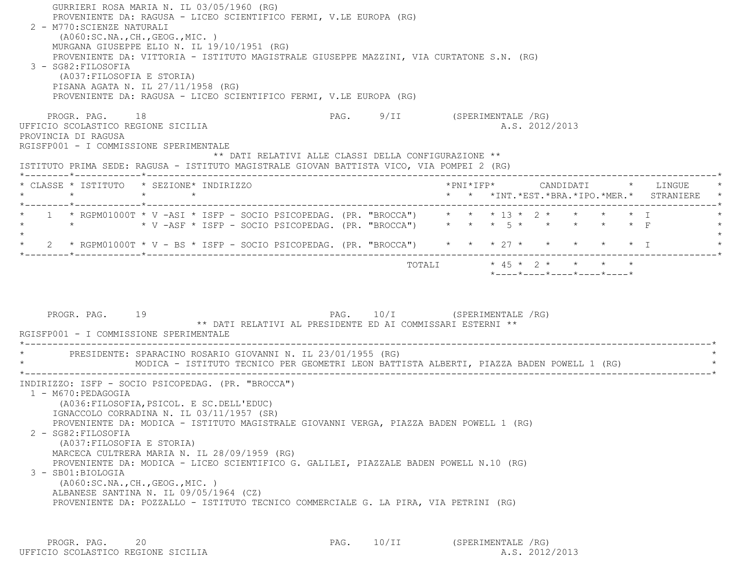| GURRIERI ROSA MARIA N. IL 03/05/1960 (RG)<br>PROVENIENTE DA: RAGUSA - LICEO SCIENTIFICO FERMI, V.LE EUROPA (RG)<br>2 - M770: SCIENZE NATURALI<br>( A060:SC.NA., CH., GEOG., MIC. )<br>MURGANA GIUSEPPE ELIO N. IL 19/10/1951 (RG)<br>PROVENIENTE DA: VITTORIA - ISTITUTO MAGISTRALE GIUSEPPE MAZZINI, VIA CURTATONE S.N. (RG)<br>3 - SG82: FILOSOFIA<br>(A037: FILOSOFIA E STORIA)<br>PISANA AGATA N. IL 27/11/1958 (RG)<br>PROVENIENTE DA: RAGUSA - LICEO SCIENTIFICO FERMI, V.LE EUROPA (RG)                                                                                                                                                           |                                                                                            |                                                                               |  |
|----------------------------------------------------------------------------------------------------------------------------------------------------------------------------------------------------------------------------------------------------------------------------------------------------------------------------------------------------------------------------------------------------------------------------------------------------------------------------------------------------------------------------------------------------------------------------------------------------------------------------------------------------------|--------------------------------------------------------------------------------------------|-------------------------------------------------------------------------------|--|
| PROGR. PAG. 18<br>UFFICIO SCOLASTICO REGIONE SICILIA<br>PROVINCIA DI RAGUSA<br>RGISFP001 - I COMMISSIONE SPERIMENTALE<br>ISTITUTO PRIMA SEDE: RAGUSA - ISTITUTO MAGISTRALE GIOVAN BATTISTA VICO, VIA POMPEI 2 (RG)                                                                                                                                                                                                                                                                                                                                                                                                                                       | PAG. 9/II (SPERIMENTALE /RG)<br>** DATI RELATIVI ALLE CLASSI DELLA CONFIGURAZIONE **       | A.S. 2012/2013                                                                |  |
| * CLASSE * ISTITUTO * SEZIONE* INDIRIZZO<br>$\star$<br>$\star$ and $\star$                                                                                                                                                                                                                                                                                                                                                                                                                                                                                                                                                                               |                                                                                            | * * *INT.*EST.*BRA.*IPO.*MER.* STRANIERE                                      |  |
| *--------*------------*------------<br>1 * RGPM01000T * V -ASI * ISFP - SOCIO PSICOPEDAG. (PR. "BROCCA") * * * 13 * 2 * * * * * * I<br>2 * RGPM01000T * V - BS * ISFP - SOCIO PSICOPEDAG. (PR. "BROCCA") * * * 27 * * * * * * * * I                                                                                                                                                                                                                                                                                                                                                                                                                      |                                                                                            |                                                                               |  |
| PROGR. PAG. 19<br>RGISFP001 - I COMMISSIONE SPERIMENTALE                                                                                                                                                                                                                                                                                                                                                                                                                                                                                                                                                                                                 | PAG. 10/I (SPERIMENTALE /RG)<br>** DATI RELATIVI AL PRESIDENTE ED AI COMMISSARI ESTERNI ** | TOTALI * 45 * 2 * * * * *<br>$*$ ---- $*$ ---- $*$ ---- $*$ ---- $*$ ---- $*$ |  |
| PRESIDENTE: SPARACINO ROSARIO GIOVANNI N. IL 23/01/1955 (RG)<br>MODICA - ISTITUTO TECNICO PER GEOMETRI LEON BATTISTA ALBERTI, PIAZZA BADEN POWELL 1 (RG)                                                                                                                                                                                                                                                                                                                                                                                                                                                                                                 |                                                                                            |                                                                               |  |
| INDIRIZZO: ISFP - SOCIO PSICOPEDAG. (PR. "BROCCA")<br>1 - M670:PEDAGOGIA<br>(A036: FILOSOFIA, PSICOL. E SC. DELL'EDUC)<br>IGNACCOLO CORRADINA N. IL 03/11/1957 (SR)<br>PROVENIENTE DA: MODICA - ISTITUTO MAGISTRALE GIOVANNI VERGA, PIAZZA BADEN POWELL 1 (RG)<br>2 - SG82: FILOSOFIA<br>(A037: FILOSOFIA E STORIA)<br>MARCECA CULTRERA MARIA N. IL 28/09/1959 (RG)<br>PROVENIENTE DA: MODICA - LICEO SCIENTIFICO G. GALILEI, PIAZZALE BADEN POWELL N.10 (RG)<br>3 - SB01:BIOLOGIA<br>(A060:SC.NA., CH., GEOG., MIC. )<br>ALBANESE SANTINA N. IL 09/05/1964 (CZ)<br>PROVENIENTE DA: POZZALLO - ISTITUTO TECNICO COMMERCIALE G. LA PIRA, VIA PETRINI (RG) |                                                                                            |                                                                               |  |

PROGR. PAG. 20<br>
PAG. 10/II (SPERIMENTALE /RG) PAG. 10/II (SPERIMENTALE /RG) (2012/2013 UFFICIO SCOLASTICO REGIONE SICILIA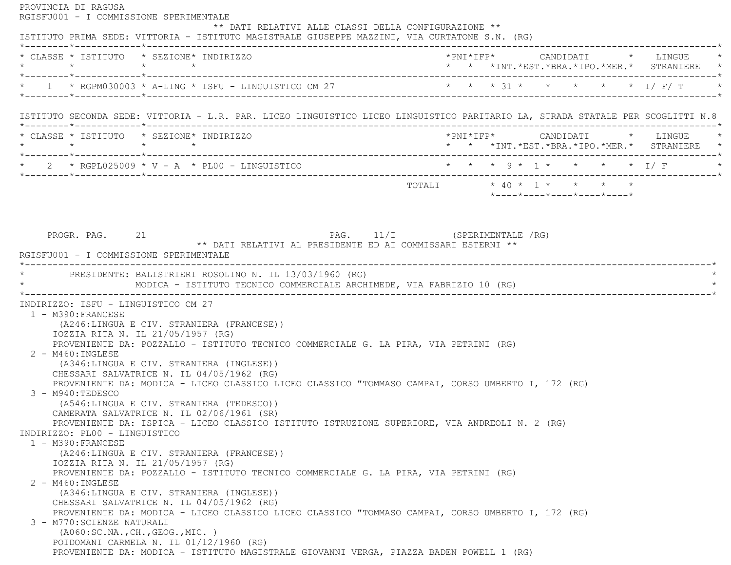PROVINCIA DI RAGUSA RGISFU001 - I COMMISSIONE SPERIMENTALE \*\* DATI RELATIVI ALLE CLASSI DELLA CONFIGURAZIONE \*\* ISTITUTO PRIMA SEDE: VITTORIA - ISTITUTO MAGISTRALE GIUSEPPE MAZZINI, VIA CURTATONE S.N. (RG) \*--------\*------------\*-------------------------------------------------------------------------------------------------------\* \* CLASSE \* ISTITUTO \* SEZIONE\* INDIRIZZO \*PNI\*IFP\* CANDIDATI \* LINGUE \* \* \* \* \* \* \* \*INT.\*EST.\*BRA.\*IPO.\*MER.\* STRANIERE \* \*--------\*------------\*-------------------------------------------------------------------------------------------------------\* \* 1 \* RGPM030003 \* A-LING \* ISFU - LINGUISTICO CM 27 \* \* \* 31 \* \* \* \* \* I/ F/ T \* \*--------\*------------\*-------------------------------------------------------------------------------------------------------\* ISTITUTO SECONDA SEDE: VITTORIA - L.R. PAR. LICEO LINGUISTICO LICEO LINGUISTICO PARITARIO LA, STRADA STATALE PER SCOGLITTI N.8 \*--------\*------------\*-------------------------------------------------------------------------------------------------------\* \* CLASSE \* ISTITUTO \* SEZIONE\* INDIRIZZO \*PNI\*IFP\* CANDIDATI \* LINGUE \* \* \* \* \* \* \* \*INT.\*EST.\*BRA.\*IPO.\*MER.\* STRANIERE \* \*--------\*------------\*-------------------------------------------------------------------------------------------------------\*2 \* RGPL025009 \* V - A \* PL00 - LINGUISTICO \* \* \* \* \* 9 \* 1 \* \* \* \* \* \* 1/ F \*--------\*------------\*-------------------------------------------------------------------------------------------------------\*TOTALI  $* 40 * 1 * * * * * * * *$  \*----\*----\*----\*----\*----\*PROGR. PAG. 21 21 PAG. 11/I (SPERIMENTALE /RG) \*\* DATI RELATIVI AL PRESIDENTE ED AI COMMISSARI ESTERNI \*\* RGISFU001 - I COMMISSIONE SPERIMENTALE \*----------------------------------------------------------------------------------------------------------------------------\* \* PRESIDENTE: BALISTRIERI ROSOLINO N. IL 13/03/1960 (RG) \* \* MODICA - ISTITUTO TECNICO COMMERCIALE ARCHIMEDE, VIA FABRIZIO 10 (RG) \* \*----------------------------------------------------------------------------------------------------------------------------\* INDIRIZZO: ISFU - LINGUISTICO CM 27 1 - M390:FRANCESE (A246:LINGUA E CIV. STRANIERA (FRANCESE)) IOZZIA RITA N. IL 21/05/1957 (RG) PROVENIENTE DA: POZZALLO - ISTITUTO TECNICO COMMERCIALE G. LA PIRA, VIA PETRINI (RG) 2 - M460:INGLESE (A346:LINGUA E CIV. STRANIERA (INGLESE)) CHESSARI SALVATRICE N. IL 04/05/1962 (RG) PROVENIENTE DA: MODICA - LICEO CLASSICO LICEO CLASSICO "TOMMASO CAMPAI, CORSO UMBERTO I, 172 (RG) 3 - M940:TEDESCO (A546:LINGUA E CIV. STRANIERA (TEDESCO)) CAMERATA SALVATRICE N. IL 02/06/1961 (SR) PROVENIENTE DA: ISPICA - LICEO CLASSICO ISTITUTO ISTRUZIONE SUPERIORE, VIA ANDREOLI N. 2 (RG) INDIRIZZO: PL00 - LINGUISTICO 1 - M390:FRANCESE (A246:LINGUA E CIV. STRANIERA (FRANCESE)) IOZZIA RITA N. IL 21/05/1957 (RG) PROVENIENTE DA: POZZALLO - ISTITUTO TECNICO COMMERCIALE G. LA PIRA, VIA PETRINI (RG) 2 - M460:INGLESE (A346:LINGUA E CIV. STRANIERA (INGLESE)) CHESSARI SALVATRICE N. IL 04/05/1962 (RG) PROVENIENTE DA: MODICA - LICEO CLASSICO LICEO CLASSICO "TOMMASO CAMPAI, CORSO UMBERTO I, 172 (RG) 3 - M770:SCIENZE NATURALI (A060:SC.NA.,CH.,GEOG.,MIC. ) POIDOMANI CARMELA N. IL 01/12/1960 (RG) PROVENIENTE DA: MODICA - ISTITUTO MAGISTRALE GIOVANNI VERGA, PIAZZA BADEN POWELL 1 (RG)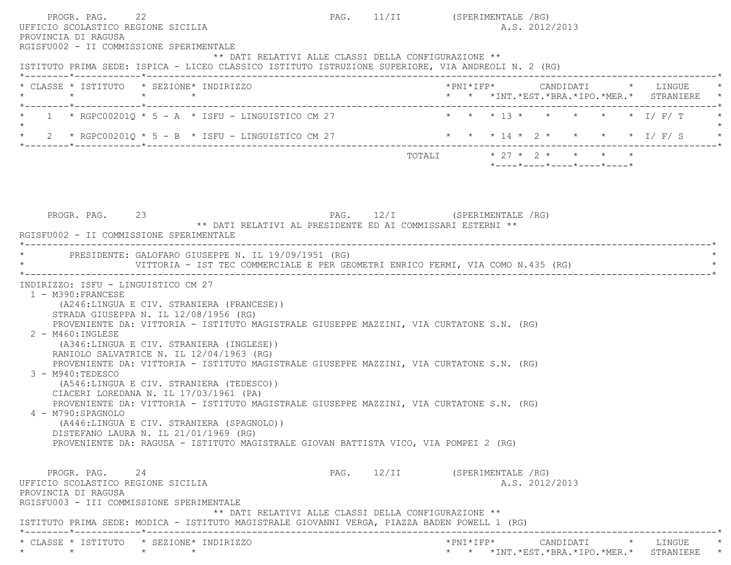| PROGR. PAG. 22<br>UFFICIO SCOLASTICO REGIONE SICILIA<br>PROVINCIA DI RAGUSA                                             |                                                                                                                                                                                                                                                                                                                                                                                                                                                                                                                                                                                                                                                                                                                                    |                              | PAG. 11/II (SPERIMENTALE /RG)<br>A.S. 2012/2013                                        |  |
|-------------------------------------------------------------------------------------------------------------------------|------------------------------------------------------------------------------------------------------------------------------------------------------------------------------------------------------------------------------------------------------------------------------------------------------------------------------------------------------------------------------------------------------------------------------------------------------------------------------------------------------------------------------------------------------------------------------------------------------------------------------------------------------------------------------------------------------------------------------------|------------------------------|----------------------------------------------------------------------------------------|--|
| RGISFU002 - II COMMISSIONE SPERIMENTALE                                                                                 | ** DATI RELATIVI ALLE CLASSI DELLA CONFIGURAZIONE **<br>ISTITUTO PRIMA SEDE: ISPICA - LICEO CLASSICO ISTITUTO ISTRUZIONE SUPERIORE, VIA ANDREOLI N. 2 (RG)                                                                                                                                                                                                                                                                                                                                                                                                                                                                                                                                                                         |                              |                                                                                        |  |
|                                                                                                                         | * CLASSE * ISTITUTO * SEZIONE* INDIRIZZO                                                                                                                                                                                                                                                                                                                                                                                                                                                                                                                                                                                                                                                                                           |                              | *PNI*IFP*     CANDIDATI    *   LINGUE<br>* * *INT. *EST. *BRA. *IPO. *MER. * STRANIERE |  |
|                                                                                                                         | $1 * RGPC00201Q * 5 - A * ISFU - LINGUISTICO CM 27$                                                                                                                                                                                                                                                                                                                                                                                                                                                                                                                                                                                                                                                                                |                              | * * * 13 * * * * * * I/ F/ T                                                           |  |
|                                                                                                                         | 2 * RGPC00201Q * 5 - B * ISFU - LINGUISTICO CM 27                                                                                                                                                                                                                                                                                                                                                                                                                                                                                                                                                                                                                                                                                  |                              | * * * 14 * 2 * * * * * I/F/S                                                           |  |
|                                                                                                                         |                                                                                                                                                                                                                                                                                                                                                                                                                                                                                                                                                                                                                                                                                                                                    |                              | TOTALI * 27 * 2 * * * * *<br>$*$ ---- $*$ ---- $*$ ---- $*$ ---- $*$ ---- $*$          |  |
| PROGR. PAG. 23<br>RGISFU002 - II COMMISSIONE SPERIMENTALE                                                               | ** DATI RELATIVI AL PRESIDENTE ED AI COMMISSARI ESTERNI **                                                                                                                                                                                                                                                                                                                                                                                                                                                                                                                                                                                                                                                                         | PAG. 12/I (SPERIMENTALE /RG) |                                                                                        |  |
|                                                                                                                         | PRESIDENTE: GALOFARO GIUSEPPE N. IL 19/09/1951 (RG)<br>VITTORIA - IST TEC COMMERCIALE E PER GEOMETRI ENRICO FERMI, VIA COMO N.435 (RG)                                                                                                                                                                                                                                                                                                                                                                                                                                                                                                                                                                                             |                              |                                                                                        |  |
| 1 - M390: FRANCESE<br>2 - M460: INGLESE<br>$3 - M940: TEDESCO$<br>4 - M790: SPAGNOLO                                    | (A246:LINGUA E CIV. STRANIERA (FRANCESE))<br>STRADA GIUSEPPA N. IL 12/08/1956 (RG)<br>PROVENIENTE DA: VITTORIA - ISTITUTO MAGISTRALE GIUSEPPE MAZZINI, VIA CURTATONE S.N. (RG)<br>(A346:LINGUA E CIV. STRANIERA (INGLESE))<br>RANIOLO SALVATRICE N. IL 12/04/1963 (RG)<br>PROVENIENTE DA: VITTORIA - ISTITUTO MAGISTRALE GIUSEPPE MAZZINI, VIA CURTATONE S.N. (RG)<br>(A546:LINGUA E CIV. STRANIERA (TEDESCO))<br>CIACERI LOREDANA N. IL 17/03/1961 (PA)<br>PROVENIENTE DA: VITTORIA - ISTITUTO MAGISTRALE GIUSEPPE MAZZINI, VIA CURTATONE S.N. (RG)<br>(A446:LINGUA E CIV. STRANIERA (SPAGNOLO))<br>DISTEFANO LAURA N. IL 21/01/1969 (RG)<br>PROVENIENTE DA: RAGUSA - ISTITUTO MAGISTRALE GIOVAN BATTISTA VICO, VIA POMPEI 2 (RG) |                              |                                                                                        |  |
| PROGR. PAG. 24<br>UFFICIO SCOLASTICO REGIONE SICILIA<br>PROVINCIA DI RAGUSA<br>RGISFU003 - III COMMISSIONE SPERIMENTALE | ** DATI RELATIVI ALLE CLASSI DELLA CONFIGURAZIONE **<br>ISTITUTO PRIMA SEDE: MODICA - ISTITUTO MAGISTRALE GIOVANNI VERGA, PIAZZA BADEN POWELL 1 (RG)                                                                                                                                                                                                                                                                                                                                                                                                                                                                                                                                                                               |                              | PAG. 12/II (SPERIMENTALE /RG)<br>A.S. 2012/2013                                        |  |
| $\star$ $\star$                                                                                                         | * CLASSE * ISTITUTO * SEZIONE* INDIRIZZO<br>$\star$ $\star$                                                                                                                                                                                                                                                                                                                                                                                                                                                                                                                                                                                                                                                                        |                              | * * * *INT. *EST. *BRA. *IPO. *MER. * STRANIERE *                                      |  |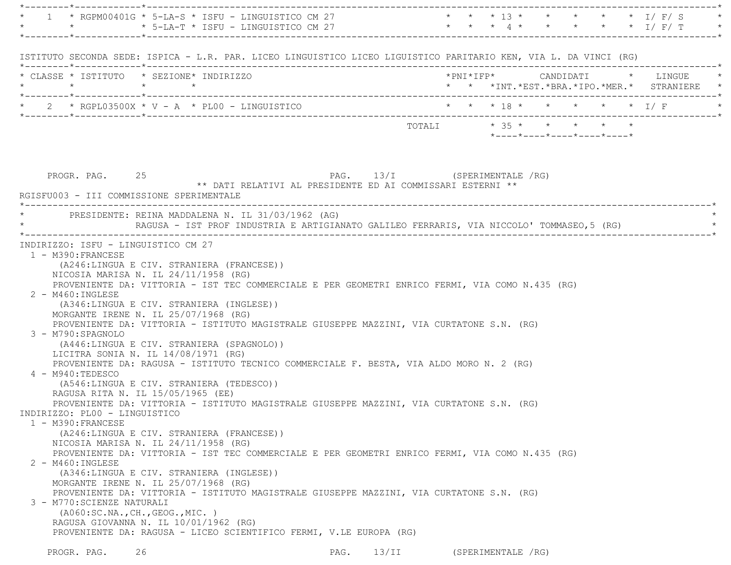|                                                                                                                                                                         | * 1 * RGPM00401G * 5-LA-S * ISFU - LINGUISTICO CM 27 * * * * 13 * * * * * * * * I/ F/ S * *<br>* * * * * * I/ F/ T * * * 5-LA-T * ISFU - LINGUISTICO CM 27 * * * * 4 * * * * * * * I/ F/ T * * * * * I/ F/ T *                                                                                                                                                                                                                                                                                                                                                                                                                                                                                                                                                                                                                                                                                                                                                                                                                                                                                             |                              |                         |                    |  |  |                                            |
|-------------------------------------------------------------------------------------------------------------------------------------------------------------------------|------------------------------------------------------------------------------------------------------------------------------------------------------------------------------------------------------------------------------------------------------------------------------------------------------------------------------------------------------------------------------------------------------------------------------------------------------------------------------------------------------------------------------------------------------------------------------------------------------------------------------------------------------------------------------------------------------------------------------------------------------------------------------------------------------------------------------------------------------------------------------------------------------------------------------------------------------------------------------------------------------------------------------------------------------------------------------------------------------------|------------------------------|-------------------------|--------------------|--|--|--------------------------------------------|
|                                                                                                                                                                         |                                                                                                                                                                                                                                                                                                                                                                                                                                                                                                                                                                                                                                                                                                                                                                                                                                                                                                                                                                                                                                                                                                            |                              |                         |                    |  |  |                                            |
|                                                                                                                                                                         | ISTITUTO SECONDA SEDE: ISPICA - L.R. PAR. LICEO LINGUISTICO LICEO LIGUISTICO PARITARIO KEN, VIA L. DA VINCI (RG)                                                                                                                                                                                                                                                                                                                                                                                                                                                                                                                                                                                                                                                                                                                                                                                                                                                                                                                                                                                           |                              |                         |                    |  |  |                                            |
|                                                                                                                                                                         | * CLASSE * ISTITUTO * SEZIONE* INDIRIZZO                                                                                                                                                                                                                                                                                                                                                                                                                                                                                                                                                                                                                                                                                                                                                                                                                                                                                                                                                                                                                                                                   |                              |                         |                    |  |  |                                            |
|                                                                                                                                                                         |                                                                                                                                                                                                                                                                                                                                                                                                                                                                                                                                                                                                                                                                                                                                                                                                                                                                                                                                                                                                                                                                                                            |                              |                         |                    |  |  | * * *INT.*EST.*BRA.*IPO.*MER.* STRANIERE * |
|                                                                                                                                                                         |                                                                                                                                                                                                                                                                                                                                                                                                                                                                                                                                                                                                                                                                                                                                                                                                                                                                                                                                                                                                                                                                                                            |                              |                         |                    |  |  |                                            |
|                                                                                                                                                                         |                                                                                                                                                                                                                                                                                                                                                                                                                                                                                                                                                                                                                                                                                                                                                                                                                                                                                                                                                                                                                                                                                                            |                              | TOTALI * 35 * * * * * * |                    |  |  |                                            |
|                                                                                                                                                                         |                                                                                                                                                                                                                                                                                                                                                                                                                                                                                                                                                                                                                                                                                                                                                                                                                                                                                                                                                                                                                                                                                                            |                              |                         |                    |  |  |                                            |
|                                                                                                                                                                         |                                                                                                                                                                                                                                                                                                                                                                                                                                                                                                                                                                                                                                                                                                                                                                                                                                                                                                                                                                                                                                                                                                            |                              |                         |                    |  |  |                                            |
| PROGR. PAG. 25                                                                                                                                                          | ** DATI RELATIVI AL PRESIDENTE ED AI COMMISSARI ESTERNI **                                                                                                                                                                                                                                                                                                                                                                                                                                                                                                                                                                                                                                                                                                                                                                                                                                                                                                                                                                                                                                                 | PAG. 13/I (SPERIMENTALE /RG) |                         |                    |  |  |                                            |
|                                                                                                                                                                         | RGISFU003 - III COMMISSIONE SPERIMENTALE                                                                                                                                                                                                                                                                                                                                                                                                                                                                                                                                                                                                                                                                                                                                                                                                                                                                                                                                                                                                                                                                   |                              |                         |                    |  |  |                                            |
|                                                                                                                                                                         | * PRESIDENTE: REINA MADDALENA N. IL 31/03/1962 (AG)                                                                                                                                                                                                                                                                                                                                                                                                                                                                                                                                                                                                                                                                                                                                                                                                                                                                                                                                                                                                                                                        |                              |                         |                    |  |  |                                            |
|                                                                                                                                                                         | RAGUSA - IST PROF INDUSTRIA E ARTIGIANATO GALILEO FERRARIS, VIA NICCOLO' TOMMASEO,5 (RG)                                                                                                                                                                                                                                                                                                                                                                                                                                                                                                                                                                                                                                                                                                                                                                                                                                                                                                                                                                                                                   |                              |                         |                    |  |  |                                            |
| $2 - M460$ : INGLESE<br>3 - M790:SPAGNOLO<br>4 - M940:TEDESCO<br>INDIRIZZO: PL00 - LINGUISTICO<br>1 - M390: FRANCESE<br>2 - M460: INGLESE<br>3 - M770: SCIENZE NATURALI | (A246:LINGUA E CIV. STRANIERA (FRANCESE))<br>NICOSIA MARISA N. IL 24/11/1958 (RG)<br>PROVENIENTE DA: VITTORIA - IST TEC COMMERCIALE E PER GEOMETRI ENRICO FERMI, VIA COMO N.435 (RG)<br>(A346:LINGUA E CIV. STRANIERA (INGLESE))<br>MORGANTE IRENE N. IL 25/07/1968 (RG)<br>PROVENIENTE DA: VITTORIA - ISTITUTO MAGISTRALE GIUSEPPE MAZZINI, VIA CURTATONE S.N. (RG)<br>(A446:LINGUA E CIV. STRANIERA (SPAGNOLO))<br>LICITRA SONIA N. IL 14/08/1971 (RG)<br>PROVENIENTE DA: RAGUSA - ISTITUTO TECNICO COMMERCIALE F. BESTA, VIA ALDO MORO N. 2 (RG)<br>(A546:LINGUA E CIV. STRANIERA (TEDESCO))<br>RAGUSA RITA N. IL 15/05/1965 (EE)<br>PROVENIENTE DA: VITTORIA - ISTITUTO MAGISTRALE GIUSEPPE MAZZINI, VIA CURTATONE S.N. (RG)<br>(A246:LINGUA E CIV. STRANIERA (FRANCESE))<br>NICOSIA MARISA N. IL $24/11/1958$ (RG)<br>PROVENIENTE DA: VITTORIA - IST TEC COMMERCIALE E PER GEOMETRI ENRICO FERMI, VIA COMO N.435 (RG)<br>(A346:LINGUA E CIV. STRANIERA (INGLESE))<br>MORGANTE IRENE N. IL 25/07/1968 (RG)<br>PROVENIENTE DA: VITTORIA - ISTITUTO MAGISTRALE GIUSEPPE MAZZINI, VIA CURTATONE S.N. (RG) |                              |                         |                    |  |  |                                            |
| PROGR. PAG.                                                                                                                                                             | ( A060:SC.NA., CH., GEOG., MIC. )<br>RAGUSA GIOVANNA N. IL 10/01/1962 (RG)<br>PROVENIENTE DA: RAGUSA - LICEO SCIENTIFICO FERMI, V.LE EUROPA (RG)<br>26                                                                                                                                                                                                                                                                                                                                                                                                                                                                                                                                                                                                                                                                                                                                                                                                                                                                                                                                                     | 13/II<br>PAG.                |                         | (SPERIMENTALE /RG) |  |  |                                            |
|                                                                                                                                                                         |                                                                                                                                                                                                                                                                                                                                                                                                                                                                                                                                                                                                                                                                                                                                                                                                                                                                                                                                                                                                                                                                                                            |                              |                         |                    |  |  |                                            |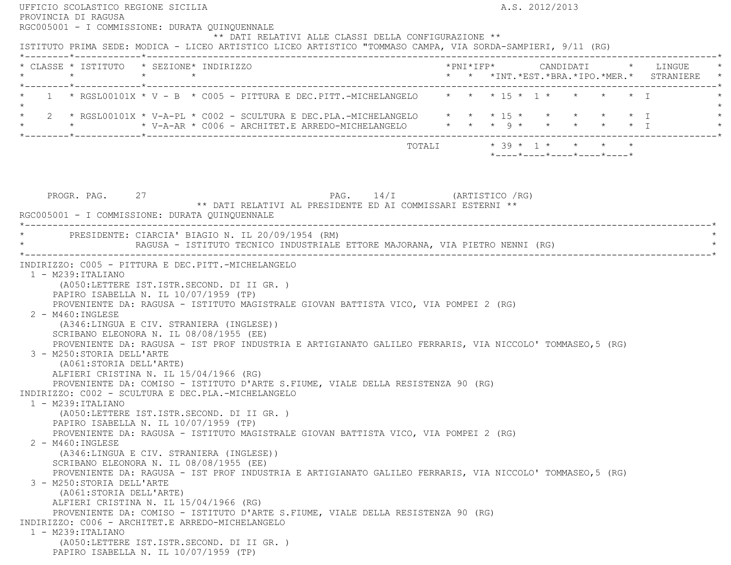| UFFICIO SCOLASTICO REGIONE SICILIA<br>PROVINCIA DI RAGUSA                                          |                                                                                                                                                                                                                                                                                                                                                                                                                                                                              | A.S. 2012/2013             |  |  |  |  |  |                                                                 |  |                                                                                 |
|----------------------------------------------------------------------------------------------------|------------------------------------------------------------------------------------------------------------------------------------------------------------------------------------------------------------------------------------------------------------------------------------------------------------------------------------------------------------------------------------------------------------------------------------------------------------------------------|----------------------------|--|--|--|--|--|-----------------------------------------------------------------|--|---------------------------------------------------------------------------------|
| RGC005001 - I COMMISSIONE: DURATA QUINQUENNALE                                                     |                                                                                                                                                                                                                                                                                                                                                                                                                                                                              |                            |  |  |  |  |  |                                                                 |  |                                                                                 |
|                                                                                                    | ** DATI RELATIVI ALLE CLASSI DELLA CONFIGURAZIONE **                                                                                                                                                                                                                                                                                                                                                                                                                         |                            |  |  |  |  |  |                                                                 |  |                                                                                 |
|                                                                                                    | ISTITUTO PRIMA SEDE: MODICA - LICEO ARTISTICO LICEO ARTISTICO "TOMMASO CAMPA, VIA SORDA-SAMPIERI, 9/11 (RG)                                                                                                                                                                                                                                                                                                                                                                  |                            |  |  |  |  |  |                                                                 |  |                                                                                 |
|                                                                                                    |                                                                                                                                                                                                                                                                                                                                                                                                                                                                              |                            |  |  |  |  |  |                                                                 |  |                                                                                 |
| * CLASSE * ISTITUTO * SEZIONE* INDIRIZZO<br>$\star$                                                | $\star$ $\star$                                                                                                                                                                                                                                                                                                                                                                                                                                                              |                            |  |  |  |  |  |                                                                 |  | *PNI*IFP* CANDIDATI * LINGUE<br>* * *INT. *EST. *BRA. *IPO. *MER. * STRANIERE * |
|                                                                                                    |                                                                                                                                                                                                                                                                                                                                                                                                                                                                              |                            |  |  |  |  |  |                                                                 |  |                                                                                 |
|                                                                                                    | 1 * RGSL00101X * V - B * C005 - PITTURA E DEC.PITT.-MICHELANGELO * * * 15 * 1 * * * * * * T                                                                                                                                                                                                                                                                                                                                                                                  |                            |  |  |  |  |  |                                                                 |  |                                                                                 |
|                                                                                                    |                                                                                                                                                                                                                                                                                                                                                                                                                                                                              |                            |  |  |  |  |  |                                                                 |  |                                                                                 |
|                                                                                                    | 2 * RGSL00101X * V-A-PL * C002 - SCULTURA E DEC.PLA.-MICHELANGELO * * * 15 * * * * * * * * I                                                                                                                                                                                                                                                                                                                                                                                 |                            |  |  |  |  |  |                                                                 |  |                                                                                 |
|                                                                                                    |                                                                                                                                                                                                                                                                                                                                                                                                                                                                              |                            |  |  |  |  |  |                                                                 |  |                                                                                 |
|                                                                                                    |                                                                                                                                                                                                                                                                                                                                                                                                                                                                              |                            |  |  |  |  |  |                                                                 |  |                                                                                 |
|                                                                                                    |                                                                                                                                                                                                                                                                                                                                                                                                                                                                              |                            |  |  |  |  |  | $*$ - - - - $*$ - - - - $*$ - - - - $*$ - - - - $*$ - - - - $*$ |  |                                                                                 |
|                                                                                                    |                                                                                                                                                                                                                                                                                                                                                                                                                                                                              |                            |  |  |  |  |  |                                                                 |  |                                                                                 |
|                                                                                                    |                                                                                                                                                                                                                                                                                                                                                                                                                                                                              |                            |  |  |  |  |  |                                                                 |  |                                                                                 |
| PROGR. PAG. 27                                                                                     |                                                                                                                                                                                                                                                                                                                                                                                                                                                                              | PAG. 14/I (ARTISTICO / RG) |  |  |  |  |  |                                                                 |  |                                                                                 |
|                                                                                                    | ** DATI RELATIVI AL PRESIDENTE ED AI COMMISSARI ESTERNI **                                                                                                                                                                                                                                                                                                                                                                                                                   |                            |  |  |  |  |  |                                                                 |  |                                                                                 |
|                                                                                                    | RGC005001 - I COMMISSIONE: DURATA OUINOUENNALE                                                                                                                                                                                                                                                                                                                                                                                                                               |                            |  |  |  |  |  |                                                                 |  |                                                                                 |
|                                                                                                    |                                                                                                                                                                                                                                                                                                                                                                                                                                                                              |                            |  |  |  |  |  |                                                                 |  |                                                                                 |
|                                                                                                    | PRESIDENTE: CIARCIA' BIAGIO N. IL 20/09/1954 (RM)                                                                                                                                                                                                                                                                                                                                                                                                                            |                            |  |  |  |  |  |                                                                 |  |                                                                                 |
|                                                                                                    | RAGUSA - ISTITUTO TECNICO INDUSTRIALE ETTORE MAJORANA, VIA PIETRO NENNI (RG)                                                                                                                                                                                                                                                                                                                                                                                                 |                            |  |  |  |  |  |                                                                 |  |                                                                                 |
| 2 - M460: INGLESE<br>3 - M250:STORIA DELL'ARTE<br>(A061:STORIA DELL'ARTE)<br>$1 - M239$ : ITALIANO | PROVENIENTE DA: RAGUSA - ISTITUTO MAGISTRALE GIOVAN BATTISTA VICO, VIA POMPEI 2 (RG)<br>(A346:LINGUA E CIV. STRANIERA (INGLESE))<br>SCRIBANO ELEONORA N. IL 08/08/1955 (EE)<br>PROVENIENTE DA: RAGUSA - IST PROF INDUSTRIA E ARTIGIANATO GALILEO FERRARIS, VIA NICCOLO' TOMMASEO, 5 (RG)<br>ALFIERI CRISTINA N. IL 15/04/1966 (RG)<br>PROVENIENTE DA: COMISO - ISTITUTO D'ARTE S.FIUME, VIALE DELLA RESISTENZA 90 (RG)<br>INDIRIZZO: C002 - SCULTURA E DEC.PLA.-MICHELANGELO |                            |  |  |  |  |  |                                                                 |  |                                                                                 |
|                                                                                                    | (A050:LETTERE IST.ISTR.SECOND. DI II GR. )<br>PAPIRO ISABELLA N. IL 10/07/1959 (TP)                                                                                                                                                                                                                                                                                                                                                                                          |                            |  |  |  |  |  |                                                                 |  |                                                                                 |
| 2 - M460: INGLESE                                                                                  | PROVENIENTE DA: RAGUSA - ISTITUTO MAGISTRALE GIOVAN BATTISTA VICO, VIA POMPEI 2 (RG)                                                                                                                                                                                                                                                                                                                                                                                         |                            |  |  |  |  |  |                                                                 |  |                                                                                 |
|                                                                                                    | (A346:LINGUA E CIV. STRANIERA (INGLESE))<br>SCRIBANO ELEONORA N. IL 08/08/1955 (EE)<br>PROVENIENTE DA: RAGUSA - IST PROF INDUSTRIA E ARTIGIANATO GALILEO FERRARIS, VIA NICCOLO' TOMMASEO, 5 (RG)                                                                                                                                                                                                                                                                             |                            |  |  |  |  |  |                                                                 |  |                                                                                 |
| 3 - M250:STORIA DELL'ARTE<br>(A061:STORIA DELL'ARTE)                                               |                                                                                                                                                                                                                                                                                                                                                                                                                                                                              |                            |  |  |  |  |  |                                                                 |  |                                                                                 |
|                                                                                                    | ALFIERI CRISTINA N. IL 15/04/1966 (RG)<br>PROVENIENTE DA: COMISO - ISTITUTO D'ARTE S.FIUME, VIALE DELLA RESISTENZA 90 (RG)                                                                                                                                                                                                                                                                                                                                                   |                            |  |  |  |  |  |                                                                 |  |                                                                                 |
|                                                                                                    | INDIRIZZO: C006 - ARCHITET.E ARREDO-MICHELANGELO                                                                                                                                                                                                                                                                                                                                                                                                                             |                            |  |  |  |  |  |                                                                 |  |                                                                                 |
| $1 - M239$ : ITALIANO                                                                              |                                                                                                                                                                                                                                                                                                                                                                                                                                                                              |                            |  |  |  |  |  |                                                                 |  |                                                                                 |
|                                                                                                    | (A050:LETTERE IST.ISTR.SECOND. DI II GR. )<br>PAPIRO ISABELLA N. IL 10/07/1959 (TP)                                                                                                                                                                                                                                                                                                                                                                                          |                            |  |  |  |  |  |                                                                 |  |                                                                                 |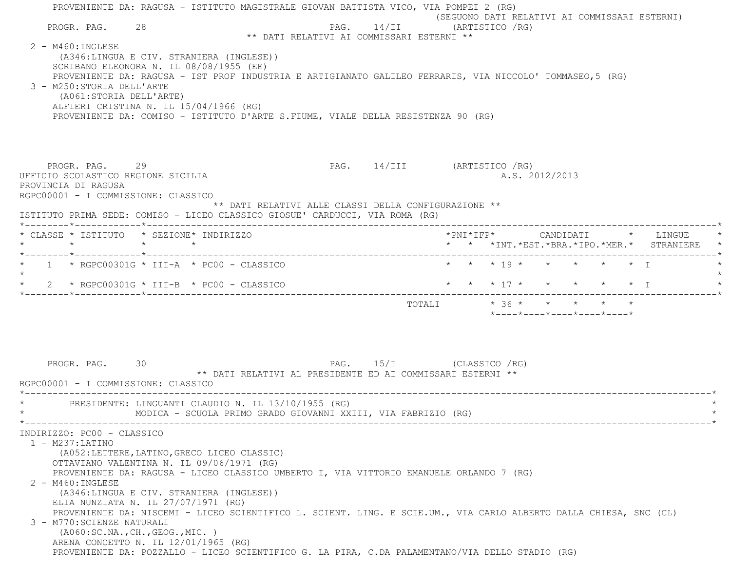|                                                                                                                                                                                   | PROVENIENTE DA: RAGUSA - ISTITUTO MAGISTRALE GIOVAN BATTISTA VICO, VIA POMPEI 2 (RG)                                                                                                                                                                                   |                                                            | (SEGUONO DATI RELATIVI AI COMMISSARI ESTERNI)                                                                     |
|-----------------------------------------------------------------------------------------------------------------------------------------------------------------------------------|------------------------------------------------------------------------------------------------------------------------------------------------------------------------------------------------------------------------------------------------------------------------|------------------------------------------------------------|-------------------------------------------------------------------------------------------------------------------|
| PROGR. PAG. 28                                                                                                                                                                    |                                                                                                                                                                                                                                                                        |                                                            | PAG. 14/II (ARTISTICO / RG)                                                                                       |
| $2 - M460$ : INGLESE<br>3 - M250: STORIA DELL'ARTE<br>(A061:STORIA DELL'ARTE)                                                                                                     | (A346:LINGUA E CIV. STRANIERA (INGLESE))<br>SCRIBANO ELEONORA N. IL 08/08/1955 (EE)<br>ALFIERI CRISTINA N. IL 15/04/1966 (RG)<br>PROVENIENTE DA: COMISO - ISTITUTO D'ARTE S.FIUME, VIALE DELLA RESISTENZA 90 (RG)                                                      | ** DATI RELATIVI AI COMMISSARI ESTERNI **                  | PROVENIENTE DA: RAGUSA - IST PROF INDUSTRIA E ARTIGIANATO GALILEO FERRARIS, VIA NICCOLO' TOMMASEO, 5 (RG)         |
| PROGR. PAG. 29<br>UFFICIO SCOLASTICO REGIONE SICILIA<br>PROVINCIA DI RAGUSA<br>RGPC00001 - I COMMISSIONE: CLASSICO                                                                | ISTITUTO PRIMA SEDE: COMISO - LICEO CLASSICO GIOSUE' CARDUCCI, VIA ROMA (RG)                                                                                                                                                                                           | ** DATI RELATIVI ALLE CLASSI DELLA CONFIGURAZIONE **       | PAG. 14/III (ARTISTICO / RG)<br>A.S. 2012/2013                                                                    |
| * CLASSE * ISTITUTO * SEZIONE* INDIRIZZO<br>$\star$ $\star$                                                                                                                       | $\star$ $\star$                                                                                                                                                                                                                                                        |                                                            | $*$ PNI $*$ IFP $*$ CANDIDATI $*$ LINGUE<br>* * *INT.*EST.*BRA.*IPO.*MER.* STRANIERE *                            |
|                                                                                                                                                                                   | $1 \times$ RGPC00301G $*$ III-A $*$ PC00 - CLASSICO                                                                                                                                                                                                                    |                                                            | * * * 19 * * * * * * T                                                                                            |
|                                                                                                                                                                                   | 2 * RGPC00301G * III-B * PC00 - CLASSICO                                                                                                                                                                                                                               |                                                            | * * * 17 * * * * * * T                                                                                            |
|                                                                                                                                                                                   |                                                                                                                                                                                                                                                                        |                                                            | TOTALI * 36 * * * * * *<br>$*$ ---- $*$ ---- $*$ ---- $*$ ---- $*$                                                |
| PROGR. PAG.<br>RGPC00001 - I COMMISSIONE: CLASSICO                                                                                                                                | 30<br>PRESIDENTE: LINGUANTI CLAUDIO N. IL 13/10/1955 (RG)<br>MODICA - SCUOLA PRIMO GRADO GIOVANNI XXIII, VIA FABRIZIO (RG)                                                                                                                                             | ** DATI RELATIVI AL PRESIDENTE ED AI COMMISSARI ESTERNI ** | PAG. 15/I (CLASSICO / RG)                                                                                         |
| INDIRIZZO: PC00 - CLASSICO<br>$1 - M237$ : LATINO<br>2 - M460: INGLESE<br>3 - M770: SCIENZE NATURALI<br>( A060:SC.NA., CH., GEOG., MIC. )<br>ARENA CONCETTO N. IL 12/01/1965 (RG) | (A052:LETTERE, LATINO, GRECO LICEO CLASSIC)<br>OTTAVIANO VALENTINA N. IL 09/06/1971 (RG)<br>PROVENIENTE DA: RAGUSA - LICEO CLASSICO UMBERTO I, VIA VITTORIO EMANUELE ORLANDO 7 (RG)<br>(A346:LINGUA E CIV. STRANIERA (INGLESE))<br>ELIA NUNZIATA N. IL 27/07/1971 (RG) |                                                            | PROVENIENTE DA: NISCEMI - LICEO SCIENTIFICO L. SCIENT. LING. E SCIE.UM., VIA CARLO ALBERTO DALLA CHIESA, SNC (CL) |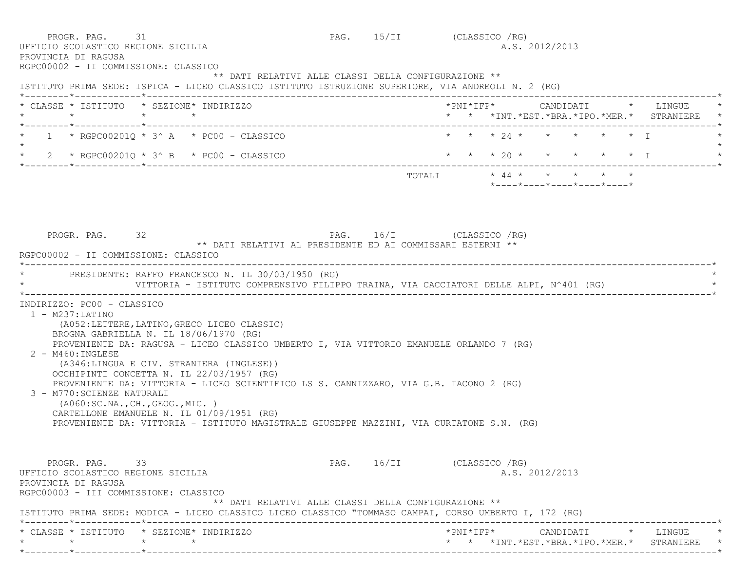PROGR. PAG. 31 31 PAG. 15/II (CLASSICO /RG) UFFICIO SCOLASTICO REGIONE SICILIA A.S. 2012/2013 PROVINCIA DI RAGUSA RGPC00002 - II COMMISSIONE: CLASSICO \*\* DATI RELATIVI ALLE CLASSI DELLA CONFIGURAZIONE \*\* ISTITUTO PRIMA SEDE: ISPICA - LICEO CLASSICO ISTITUTO ISTRUZIONE SUPERIORE, VIA ANDREOLI N. 2 (RG) \*--------\*------------\*-------------------------------------------------------------------------------------------------------\* \* CLASSE \* ISTITUTO \* SEZIONE\* INDIRIZZO \*PNI\*IFP\* CANDIDATI \* LINGUE \* \* \* \* \* \* \* \*INT.\*EST.\*BRA.\*IPO.\*MER.\* STRANIERE \* \*--------\*------------\*-------------------------------------------------------------------------------------------------------\* \* 1 \* RGPC00201Q \* 3^ A \* PC00 - CLASSICO \* \* \* 24 \* \* \* \* \* I \*  $\star$ \* 2 \* RGPC00201Q \* 3^ B \* PC00 - CLASSICO \* \* \* \* 20 \* \* \* \* \* \* \* I \*--------\*------------\*-------------------------------------------------------------------------------------------------------\* ${\tt TOTALI} \qquad \qquad * \quad 44 \; * \qquad * \qquad * \qquad * \qquad *$  \*----\*----\*----\*----\*----\* PROGR. PAG. 32 PAG. 16/I (CLASSICO /RG) \*\* DATI RELATIVI AL PRESIDENTE ED AI COMMISSARI ESTERNI \*\* RGPC00002 - II COMMISSIONE: CLASSICO \*----------------------------------------------------------------------------------------------------------------------------\*PRESIDENTE: RAFFO FRANCESCO N. IL 30/03/1950 (RG) VITTORIA - ISTITUTO COMPRENSIVO FILIPPO TRAINA, VIA CACCIATORI DELLE ALPI, N^401 (RG) \*----------------------------------------------------------------------------------------------------------------------------\* INDIRIZZO: PC00 - CLASSICO 1 - M237:LATINO (A052:LETTERE,LATINO,GRECO LICEO CLASSIC) BROGNA GABRIELLA N. IL 18/06/1970 (RG) PROVENIENTE DA: RAGUSA - LICEO CLASSICO UMBERTO I, VIA VITTORIO EMANUELE ORLANDO 7 (RG) 2 - M460:INGLESE (A346:LINGUA E CIV. STRANIERA (INGLESE)) OCCHIPINTI CONCETTA N. IL 22/03/1957 (RG) PROVENIENTE DA: VITTORIA - LICEO SCIENTIFICO LS S. CANNIZZARO, VIA G.B. IACONO 2 (RG) 3 - M770:SCIENZE NATURALI (A060:SC.NA.,CH.,GEOG.,MIC. ) CARTELLONE EMANUELE N. IL 01/09/1951 (RG) PROVENIENTE DA: VITTORIA - ISTITUTO MAGISTRALE GIUSEPPE MAZZINI, VIA CURTATONE S.N. (RG) PROGR. PAG. 33 3 PAG. 16/II (CLASSICO /RG) UFFICIO SCOLASTICO REGIONE SICILIA A.S. 2012/2013 PROVINCIA DI RAGUSA RGPC00003 - III COMMISSIONE: CLASSICO \*\* DATI RELATIVI ALLE CLASSI DELLA CONFIGURAZIONE \*\* ISTITUTO PRIMA SEDE: MODICA - LICEO CLASSICO LICEO CLASSICO "TOMMASO CAMPAI, CORSO UMBERTO I, 172 (RG) \*--------\*------------\*-------------------------------------------------------------------------------------------------------\* \* CLASSE \* ISTITUTO \* SEZIONE\* INDIRIZZO \*PNI\*IFP\* CANDIDATI \* LINGUE \*\* \* \* \* \* \* \*INT.\*EST.\*BRA.\*IPO.\*MER.\* STRANIERE \*

\*--------\*------------\*-------------------------------------------------------------------------------------------------------\*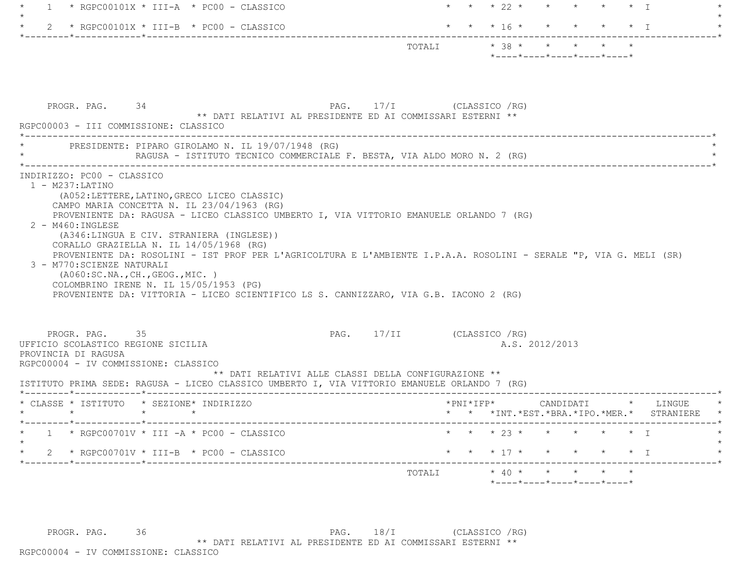|                                                                                                                                      | $*$ RGPC00101X $*$ III-A $*$ PC00 - CLASSICO                                                                                                                                                                                                                                                                                                                                                                                                                                 |                                                            |                            | $\star$ $\star$ 22 $\star$ $\star$ |  |                | $\star$ $\star$ $\star$ T                                       |                                               |
|--------------------------------------------------------------------------------------------------------------------------------------|------------------------------------------------------------------------------------------------------------------------------------------------------------------------------------------------------------------------------------------------------------------------------------------------------------------------------------------------------------------------------------------------------------------------------------------------------------------------------|------------------------------------------------------------|----------------------------|------------------------------------|--|----------------|-----------------------------------------------------------------|-----------------------------------------------|
|                                                                                                                                      | 2 * RGPC00101X * III-B * PC00 - CLASSICO                                                                                                                                                                                                                                                                                                                                                                                                                                     |                                                            |                            | * * * 16 * * * * * * I             |  |                |                                                                 |                                               |
|                                                                                                                                      |                                                                                                                                                                                                                                                                                                                                                                                                                                                                              |                                                            | TOTALI * 38 * * * * *      |                                    |  |                | $*$ - - - - $*$ - - - - $*$ - - - - $*$ - - - - $*$ - - - - $*$ |                                               |
| PROGR. PAG. 34<br>RGPC00003 - III COMMISSIONE: CLASSICO                                                                              | ____________________________________                                                                                                                                                                                                                                                                                                                                                                                                                                         | ** DATI RELATIVI AL PRESIDENTE ED AI COMMISSARI ESTERNI ** | PAG. 17/I (CLASSICO / RG)  |                                    |  |                |                                                                 |                                               |
|                                                                                                                                      | PRESIDENTE: PIPARO GIROLAMO N. IL 19/07/1948 (RG)<br>RAGUSA - ISTITUTO TECNICO COMMERCIALE F. BESTA, VIA ALDO MORO N. 2 (RG)                                                                                                                                                                                                                                                                                                                                                 |                                                            |                            |                                    |  |                |                                                                 |                                               |
| 2 - M460: INGLESE<br>3 - M770: SCIENZE NATURALI                                                                                      | PROVENIENTE DA: RAGUSA - LICEO CLASSICO UMBERTO I, VIA VITTORIO EMANUELE ORLANDO 7 (RG)<br>(A346:LINGUA E CIV. STRANIERA (INGLESE))<br>CORALLO GRAZIELLA N. IL 14/05/1968 (RG)<br>PROVENIENTE DA: ROSOLINI - IST PROF PER L'AGRICOLTURA E L'AMBIENTE I.P.A.A. ROSOLINI - SERALE "P, VIA G. MELI (SR)<br>( A060:SC.NA., CH., GEOG., MIC. )<br>COLOMBRINO IRENE N. IL 15/05/1953 (PG)<br>PROVENIENTE DA: VITTORIA - LICEO SCIENTIFICO LS S. CANNIZZARO, VIA G.B. IACONO 2 (RG) |                                                            |                            |                                    |  |                |                                                                 |                                               |
|                                                                                                                                      |                                                                                                                                                                                                                                                                                                                                                                                                                                                                              |                                                            |                            |                                    |  |                |                                                                 |                                               |
| PROGR. PAG. 35                                                                                                                       |                                                                                                                                                                                                                                                                                                                                                                                                                                                                              | ** DATI RELATIVI ALLE CLASSI DELLA CONFIGURAZIONE **       | PAG. 17/II (CLASSICO / RG) |                                    |  | A.S. 2012/2013 |                                                                 |                                               |
|                                                                                                                                      | ISTITUTO PRIMA SEDE: RAGUSA - LICEO CLASSICO UMBERTO I, VIA VITTORIO EMANUELE ORLANDO 7 (RG)<br>* CLASSE * ISTITUTO * SEZIONE* INDIRIZZO                                                                                                                                                                                                                                                                                                                                     |                                                            |                            | $*$ PNI $*$ IFP $*$                |  | CANDIDATI      |                                                                 | * LINGUE                                      |
|                                                                                                                                      | * RGPC00701V * III $-A$ * PC00 - CLASSICO                                                                                                                                                                                                                                                                                                                                                                                                                                    |                                                            |                            |                                    |  |                | * * 23 * * * * * * I                                            |                                               |
| UFFICIO SCOLASTICO REGIONE SICILIA<br>PROVINCIA DI RAGUSA<br>RGPC00004 - IV COMMISSIONE: CLASSICO<br>$\star$ $\star$ $\star$ $\star$ | * $RGPC00701V * III-B * PC00 - CLASSICO$                                                                                                                                                                                                                                                                                                                                                                                                                                     |                                                            |                            | * * * 17 * * * * * * I             |  |                |                                                                 | * * *INT. *EST. *BRA. *IPO. *MER. * STRANIERE |

PROGR. PAG. 36 36 PAG. 18/I (CLASSICO /RG) \*\* DATI RELATIVI AL PRESIDENTE ED AI COMMISSARI ESTERNI \*\*

RGPC00004 - IV COMMISSIONE: CLASSICO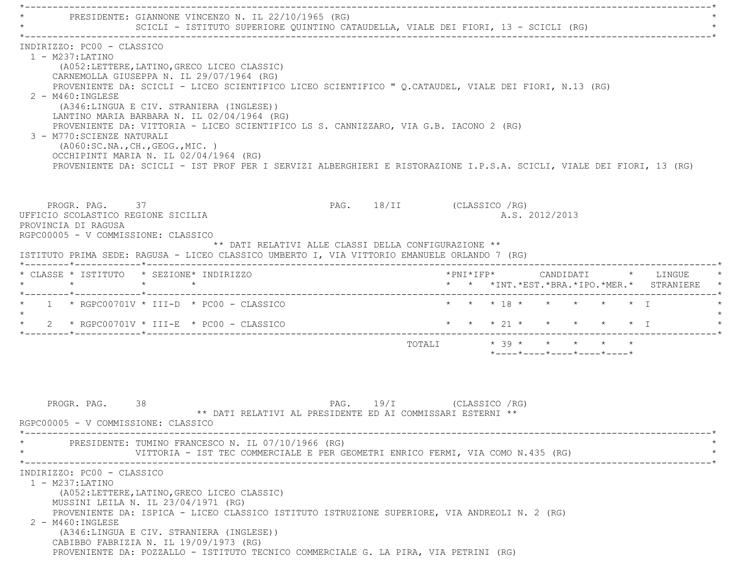\*----------------------------------------------------------------------------------------------------------------------------\*PRESIDENTE: GIANNONE VINCENZO N. IL 22/10/1965 (RG) SCICLI - ISTITUTO SUPERIORE QUINTINO CATAUDELLA, VIALE DEI FIORI, 13 - SCICLI (RG) \*----------------------------------------------------------------------------------------------------------------------------\* INDIRIZZO: PC00 - CLASSICO 1 - M237:LATINO (A052:LETTERE,LATINO,GRECO LICEO CLASSIC) CARNEMOLLA GIUSEPPA N. IL 29/07/1964 (RG) PROVENIENTE DA: SCICLI - LICEO SCIENTIFICO LICEO SCIENTIFICO " Q.CATAUDEL, VIALE DEI FIORI, N.13 (RG) 2 - M460:INGLESE (A346:LINGUA E CIV. STRANIERA (INGLESE)) LANTINO MARIA BARBARA N. IL 02/04/1964 (RG) PROVENIENTE DA: VITTORIA - LICEO SCIENTIFICO LS S. CANNIZZARO, VIA G.B. IACONO 2 (RG) 3 - M770:SCIENZE NATURALI (A060:SC.NA.,CH.,GEOG.,MIC. ) OCCHIPINTI MARIA N. IL 02/04/1964 (RG) PROVENIENTE DA: SCICLI - IST PROF PER I SERVIZI ALBERGHIERI E RISTORAZIONE I.P.S.A. SCICLI, VIALE DEI FIORI, 13 (RG) PROGR. PAG. 37 37 PAG. 18/II (CLASSICO /RG) UFFICIO SCOLASTICO REGIONE SICILIA A.S. 2012/2013 PROVINCIA DI RAGUSA RGPC00005 - V COMMISSIONE: CLASSICO \*\* DATI RELATIVI ALLE CLASSI DELLA CONFIGURAZIONE \*\* ISTITUTO PRIMA SEDE: RAGUSA - LICEO CLASSICO UMBERTO I, VIA VITTORIO EMANUELE ORLANDO 7 (RG) \*--------\*------------\*-------------------------------------------------------------------------------------------------------\* \* CLASSE \* ISTITUTO \* SEZIONE\* INDIRIZZO \*PNI\*IFP\* CANDIDATI \* LINGUE \* \* \* \* \* \* \* \*INT.\*EST.\*BRA.\*IPO.\*MER.\* STRANIERE \* \*--------\*------------\*-------------------------------------------------------------------------------------------------------\*1 \* RGPC00701V \* III-D \* PC00 - CLASSICO \* \* \* \* \* 18 \* \* \* \* \* \* \* \* I  $\star$ 2 \* RGPC00701V \* III-E \* PC00 - CLASSICO \* \* \* \* \* 21 \* \* \* \* \* \* \* \* I \*--------\*------------\*-------------------------------------------------------------------------------------------------------\* $\texttt{TOTALI} \qquad \qquad \star \quad \texttt{39} \star \qquad \star \qquad \star \qquad \star \qquad \star \qquad \star \qquad \star$  \*----\*----\*----\*----\*----\*PROGR. PAG. 38 38 PAG. 19/I (CLASSICO /RG) \*\* DATI RELATIVI AL PRESIDENTE ED AI COMMISSARI ESTERNI \*\* RGPC00005 - V COMMISSIONE: CLASSICO \*----------------------------------------------------------------------------------------------------------------------------\*PRESIDENTE: TUMINO FRANCESCO N. IL 07/10/1966 (RG) VITTORIA - IST TEC COMMERCIALE E PER GEOMETRI ENRICO FERMI, VIA COMO N.435 (RG) \*----------------------------------------------------------------------------------------------------------------------------\* INDIRIZZO: PC00 - CLASSICO 1 - M237:LATINO (A052:LETTERE,LATINO,GRECO LICEO CLASSIC) MUSSINI LEILA N. IL 23/04/1971 (RG) PROVENIENTE DA: ISPICA - LICEO CLASSICO ISTITUTO ISTRUZIONE SUPERIORE, VIA ANDREOLI N. 2 (RG) 2 - M460:INGLESE (A346:LINGUA E CIV. STRANIERA (INGLESE)) CABIBBO FABRIZIA N. IL 19/09/1973 (RG) PROVENIENTE DA: POZZALLO - ISTITUTO TECNICO COMMERCIALE G. LA PIRA, VIA PETRINI (RG)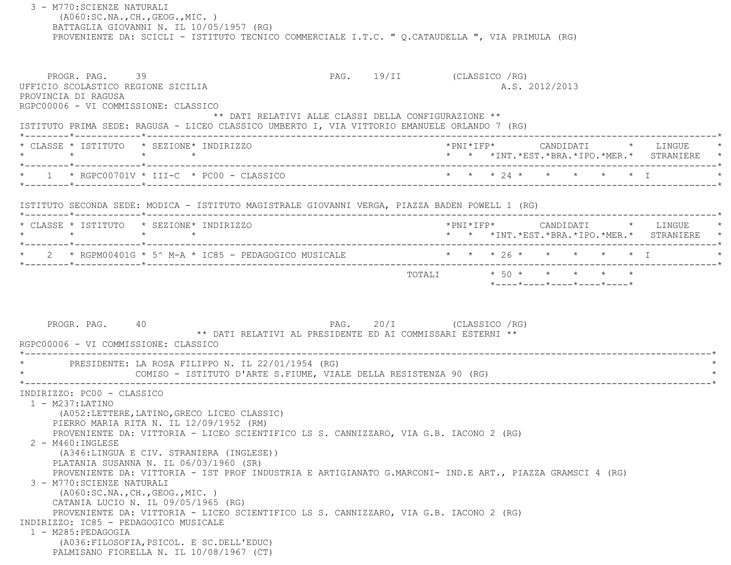3 - M770:SCIENZE NATURALI (A060:SC.NA.,CH.,GEOG.,MIC. ) BATTAGLIA GIOVANNI N. IL 10/05/1957 (RG) PROVENIENTE DA: SCICLI - ISTITUTO TECNICO COMMERCIALE I.T.C. " Q.CATAUDELLA ", VIA PRIMULA (RG) PROGR. PAG. 39 39 PAG. 19/II (CLASSICO /RG) UFFICIO SCOLASTICO REGIONE SICILIA A.S. 2012/2013 PROVINCIA DI RAGUSA RGPC00006 - VI COMMISSIONE: CLASSICO \*\* DATI RELATIVI ALLE CLASSI DELLA CONFIGURAZIONE \*\* ISTITUTO PRIMA SEDE: RAGUSA - LICEO CLASSICO UMBERTO I, VIA VITTORIO EMANUELE ORLANDO 7 (RG) \*--------\*------------\*-------------------------------------------------------------------------------------------------------\* \* CLASSE \* ISTITUTO \* SEZIONE\* INDIRIZZO \*PNI\*IFP\* CANDIDATI \* LINGUE \* \* \* \* \* \* \* \*INT.\*EST.\*BRA.\*IPO.\*MER.\* STRANIERE \* \*--------\*------------\*-------------------------------------------------------------------------------------------------------\*1 \* RGPC00701V \* TTT-C \* PC00 - CLASSICO  $\star$  \* \* \* 24 \* \* \* \* \* \* \* T \*--------\*------------\*-------------------------------------------------------------------------------------------------------\* ISTITUTO SECONDA SEDE: MODICA - ISTITUTO MAGISTRALE GIOVANNI VERGA, PIAZZA BADEN POWELL 1 (RG) \*--------\*------------\*-------------------------------------------------------------------------------------------------------\* \* CLASSE \* ISTITUTO \* SEZIONE\* INDIRIZZO \*PNI\*IFP\* CANDIDATI \* LINGUE \* \* \* \* \* \* \* \*INT.\*EST.\*BRA.\*IPO.\*MER.\* STRANIERE \* \*--------\*------------\*-------------------------------------------------------------------------------------------------------\*2 \* RGPM00401G \* 5^ M-A \* IC85 - PEDAGOGICO MUSICALE \* \* \* \* \* 26 \* \* \* \* \* \* \* \* I \*--------\*------------\*-------------------------------------------------------------------------------------------------------\*TOTALI  $* 50 * * * * * * * * *$  \*----\*----\*----\*----\*----\*PROGR. PAG. 40 PAG. 20/I (CLASSICO /RG) \*\* DATI RELATIVI AL PRESIDENTE ED AI COMMISSARI ESTERNI \*\* RGPC00006 - VI COMMISSIONE: CLASSICO \*----------------------------------------------------------------------------------------------------------------------------\*PRESIDENTE: LA ROSA FILIPPO N. IL 22/01/1954 (RG) COMISO - ISTITUTO D'ARTE S.FIUME, VIALE DELLA RESISTENZA 90 (RG) \*----------------------------------------------------------------------------------------------------------------------------\* INDIRIZZO: PC00 - CLASSICO 1 - M237:LATINO (A052:LETTERE,LATINO,GRECO LICEO CLASSIC) PIERRO MARIA RITA N. IL 12/09/1952 (RM) PROVENIENTE DA: VITTORIA - LICEO SCIENTIFICO LS S. CANNIZZARO, VIA G.B. IACONO 2 (RG) 2 - M460:INGLESE (A346:LINGUA E CIV. STRANIERA (INGLESE)) PLATANIA SUSANNA N. IL 06/03/1960 (SR) PROVENIENTE DA: VITTORIA - IST PROF INDUSTRIA E ARTIGIANATO G.MARCONI- IND.E ART., PIAZZA GRAMSCI 4 (RG) 3 - M770:SCIENZE NATURALI (A060:SC.NA.,CH.,GEOG.,MIC. ) CATANIA LUCIO N. IL 09/05/1965 (RG) PROVENIENTE DA: VITTORIA - LICEO SCIENTIFICO LS S. CANNIZZARO, VIA G.B. IACONO 2 (RG) INDIRIZZO: IC85 - PEDAGOGICO MUSICALE 1 - M285:PEDAGOGIA (A036:FILOSOFIA,PSICOL. E SC.DELL'EDUC) PALMISANO FIORELLA N. IL 10/08/1967 (CT)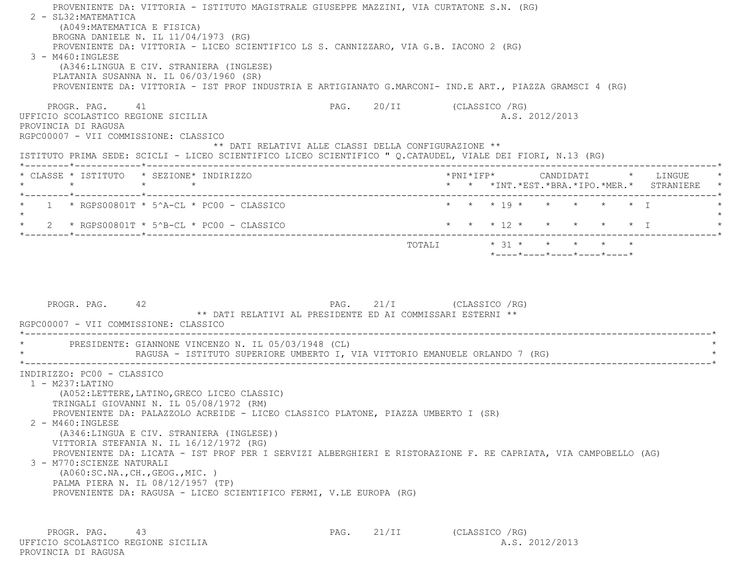PROVENIENTE DA: VITTORIA - ISTITUTO MAGISTRALE GIUSEPPE MAZZINI, VIA CURTATONE S.N. (RG) 2 - SL32:MATEMATICA (A049:MATEMATICA E FISICA) BROGNA DANIELE N. IL 11/04/1973 (RG) PROVENIENTE DA: VITTORIA - LICEO SCIENTIFICO LS S. CANNIZZARO, VIA G.B. IACONO 2 (RG) 3 - M460:INGLESE (A346:LINGUA E CIV. STRANIERA (INGLESE) PLATANIA SUSANNA N. IL 06/03/1960 (SR) PROVENIENTE DA: VITTORIA - IST PROF INDUSTRIA E ARTIGIANATO G.MARCONI- IND.E ART., PIAZZA GRAMSCI 4 (RG) PROGR. PAG. 41 PAG. 20/II (CLASSICO /RG) UFFICIO SCOLASTICO REGIONE SICILIA A.S. 2012/2013 PROVINCIA DI RAGUSA RGPC00007 - VII COMMISSIONE: CLASSICO \*\* DATI RELATIVI ALLE CLASSI DELLA CONFIGURAZIONE \*\* ISTITUTO PRIMA SEDE: SCICLI - LICEO SCIENTIFICO LICEO SCIENTIFICO " Q.CATAUDEL, VIALE DEI FIORI, N.13 (RG) \*--------\*------------\*-------------------------------------------------------------------------------------------------------\* \* CLASSE \* ISTITUTO \* SEZIONE\* INDIRIZZO \*PNI\*IFP\* CANDIDATI \* LINGUE \* \* \* \* \* \* \* \*INT.\*EST.\*BRA.\*IPO.\*MER.\* STRANIERE \* \*--------\*------------\*-------------------------------------------------------------------------------------------------------\*1 \* RGPS00801T \* 5^A-CL \* PC00 - CLASSICO \* \* \* \* 19 \* \* \* \* \* \* \* I  $\star$ \* 2 \* RGPS00801T \* 5^B-CL \* PC00 - CLASSICO \* \* \* \* 12 \* \* \* \* \* \* \* \* T \*--------\*------------\*-------------------------------------------------------------------------------------------------------\* TOTALI \* 31 \* \* \* \* \* \*----\*----\*----\*----\*----\*PROGR. PAG. 42 42 PAG. 21/I (CLASSICO / RG) \*\* DATI RELATIVI AL PRESIDENTE ED AI COMMISSARI ESTERNI \*\* RGPC00007 - VII COMMISSIONE: CLASSICO \*----------------------------------------------------------------------------------------------------------------------------\* \* PRESIDENTE: GIANNONE VINCENZO N. IL 05/03/1948 (CL) \* RAGUSA - ISTITUTO SUPERIORE UMBERTO I, VIA VITTORIO EMANUELE ORLANDO 7 (RG) \*----------------------------------------------------------------------------------------------------------------------------\* INDIRIZZO: PC00 - CLASSICO 1 - M237:LATINO (A052:LETTERE,LATINO,GRECO LICEO CLASSIC) TRINGALI GIOVANNI N. IL 05/08/1972 (RM) PROVENIENTE DA: PALAZZOLO ACREIDE - LICEO CLASSICO PLATONE, PIAZZA UMBERTO I (SR) 2 - M460:INGLESE (A346:LINGUA E CIV. STRANIERA (INGLESE)) VITTORIA STEFANIA N. IL 16/12/1972 (RG) PROVENIENTE DA: LICATA - IST PROF PER I SERVIZI ALBERGHIERI E RISTORAZIONE F. RE CAPRIATA, VIA CAMPOBELLO (AG) 3 - M770:SCIENZE NATURALI (A060:SC.NA.,CH.,GEOG.,MIC. ) PALMA PIERA N. IL 08/12/1957 (TP) PROVENIENTE DA: RAGUSA - LICEO SCIENTIFICO FERMI, V.LE EUROPA (RG)

PROGR. PAG. 43 PAG. 21/II (CLASSICO /RG) UFFICIO SCOLASTICO REGIONE SICILIA A.S. 2012/2013 PROVINCIA DI RAGUSA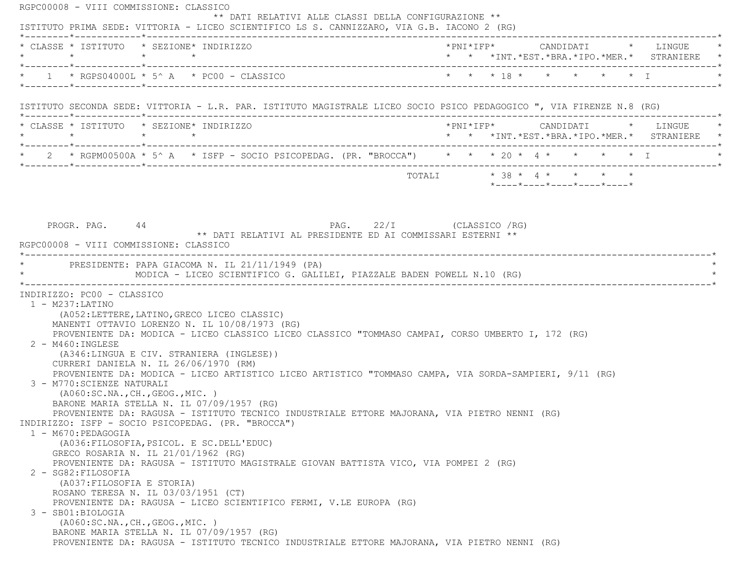RGPC00008 - VIII COMMISSIONE: CLASSICO \*\* DATI RELATIVI ALLE CLASSI DELLA CONFIGURAZIONE \*\* ISTITUTO PRIMA SEDE: VITTORIA - LICEO SCIENTIFICO LS S. CANNIZZARO, VIA G.B. IACONO 2 (RG) \*--------\*------------\*-------------------------------------------------------------------------------------------------------\* \* CLASSE \* ISTITUTO \* SEZIONE\* INDIRIZZO \*PNI\*IFP\* CANDIDATI \* LINGUE \* \* \* \* \* \* \* \*INT.\*EST.\*BRA.\*IPO.\*MER.\* STRANIERE \* \*--------\*------------\*-------------------------------------------------------------------------------------------------------\*\* 1 \* RGPS04000L \* 5^ A \* PC00 - CLASSICO \* \* \* \* 18 \* \* \* \* \* \* \* T \*--------\*------------\*-------------------------------------------------------------------------------------------------------\* ISTITUTO SECONDA SEDE: VITTORIA - L.R. PAR. ISTITUTO MAGISTRALE LICEO SOCIO PSICO PEDAGOGICO ", VIA FIRENZE N.8 (RG) \*--------\*------------\*-------------------------------------------------------------------------------------------------------\* \* CLASSE \* ISTITUTO \* SEZIONE\* INDIRIZZO \*PNI\*IFP\* CANDIDATI \* LINGUE \* \* \* \* \* \* \* \*INT.\*EST.\*BRA.\*IPO.\*MER.\* STRANIERE \* \*--------\*------------\*-------------------------------------------------------------------------------------------------------\*\* 2 \* RGPM00500A \* 5^ A \* ISFP - SOCIO PSICOPEDAG. (PR. "BROCCA") \* \* \* 20 \* 4 \* \* \* \* \* \* \* T \*--------\*------------\*-------------------------------------------------------------------------------------------------------\* $\texttt{TOTAL} \qquad \qquad \star \quad 38 \; \star \; \; 4 \; \star \qquad \star \qquad \star \qquad \star \qquad \star$  $*$ ---- $*$ ---- $*$ ---- $*$ ---- $*$ ---- $*$ PROGR. PAG. 44 PAG. 22/I (CLASSICO /RG) \*\* DATI RELATIVI AL PRESIDENTE ED AI COMMISSARI ESTERNI \*\* RGPC00008 - VIII COMMISSIONE: CLASSICO \*----------------------------------------------------------------------------------------------------------------------------\*PRESIDENTE: PAPA GIACOMA N. IL 21/11/1949 (PA) MODICA - LICEO SCIENTIFICO G. GALILEI, PIAZZALE BADEN POWELL N.10 (RG) \*----------------------------------------------------------------------------------------------------------------------------\* INDIRIZZO: PC00 - CLASSICO 1 - M237:LATINO (A052:LETTERE,LATINO,GRECO LICEO CLASSIC) MANENTI OTTAVIO LORENZO N. IL 10/08/1973 (RG) PROVENIENTE DA: MODICA - LICEO CLASSICO LICEO CLASSICO "TOMMASO CAMPAI, CORSO UMBERTO I, 172 (RG) 2 - M460:INGLESE (A346:LINGUA E CIV. STRANIERA (INGLESE)) CURRERI DANIELA N. IL 26/06/1970 (RM) PROVENIENTE DA: MODICA - LICEO ARTISTICO LICEO ARTISTICO "TOMMASO CAMPA, VIA SORDA-SAMPIERI, 9/11 (RG) 3 - M770:SCIENZE NATURALI (A060:SC.NA.,CH.,GEOG.,MIC. ) BARONE MARIA STELLA N. IL 07/09/1957 (RG) PROVENIENTE DA: RAGUSA - ISTITUTO TECNICO INDUSTRIALE ETTORE MAJORANA, VIA PIETRO NENNI (RG) INDIRIZZO: ISFP - SOCIO PSICOPEDAG. (PR. "BROCCA") 1 - M670:PEDAGOGIA (A036:FILOSOFIA,PSICOL. E SC.DELL'EDUC) GRECO ROSARIA N. IL 21/01/1962 (RG) PROVENIENTE DA: RAGUSA - ISTITUTO MAGISTRALE GIOVAN BATTISTA VICO, VIA POMPEI 2 (RG) 2 - SG82:FILOSOFIA (A037:FILOSOFIA E STORIA) ROSANO TERESA N. IL 03/03/1951 (CT) PROVENIENTE DA: RAGUSA - LICEO SCIENTIFICO FERMI, V.LE EUROPA (RG) 3 - SB01:BIOLOGIA (A060:SC.NA.,CH.,GEOG.,MIC. ) BARONE MARIA STELLA N. IL 07/09/1957 (RG) PROVENIENTE DA: RAGUSA - ISTITUTO TECNICO INDUSTRIALE ETTORE MAJORANA, VIA PIETRO NENNI (RG)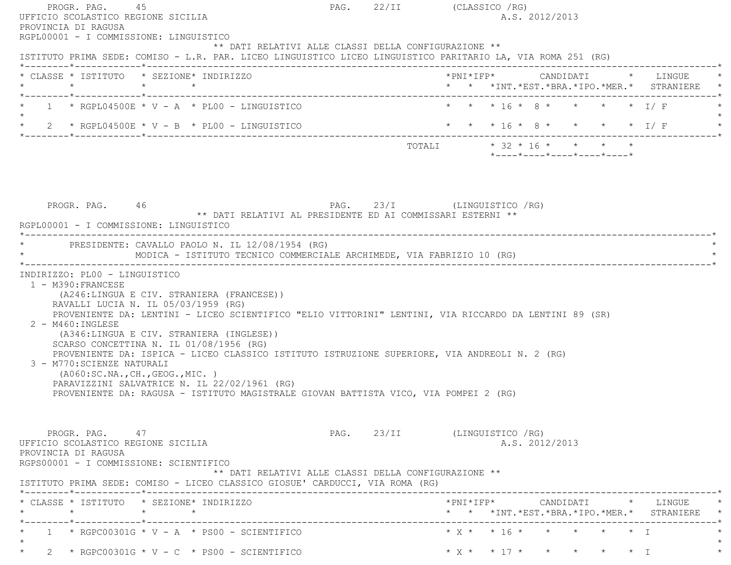| PROGR. PAG. 45<br>UFFICIO SCOLASTICO REGIONE SICILIA<br>PROVINCIA DI RAGUSA                                           |                                                                                                                                                                                                                                                                                                                                                                                                                                                       |  | PAG. 22/II (CLASSICO / RG)<br>A.S. 2012/2013                                                                |
|-----------------------------------------------------------------------------------------------------------------------|-------------------------------------------------------------------------------------------------------------------------------------------------------------------------------------------------------------------------------------------------------------------------------------------------------------------------------------------------------------------------------------------------------------------------------------------------------|--|-------------------------------------------------------------------------------------------------------------|
| RGPL00001 - I COMMISSIONE: LINGUISTICO                                                                                | ** DATI RELATIVI ALLE CLASSI DELLA CONFIGURAZIONE **                                                                                                                                                                                                                                                                                                                                                                                                  |  | ISTITUTO PRIMA SEDE: COMISO - L.R. PAR. LICEO LINGUISTICO LICEO LINGUISTICO PARITARIO LA, VIA ROMA 251 (RG) |
|                                                                                                                       | * CLASSE * ISTITUTO * SEZIONE* INDIRIZZO                                                                                                                                                                                                                                                                                                                                                                                                              |  | *PNI*IFP* CANDIDATI * LINGUE<br>* * *INT. *EST. *BRA. *IPO. *MER. * STRANIERE *                             |
|                                                                                                                       | $1 \times$ RGPL04500E $\star$ V - A $\star$ PL00 - LINGUISTICO                                                                                                                                                                                                                                                                                                                                                                                        |  | * * * 16 * 8 * * * * * I/F                                                                                  |
|                                                                                                                       |                                                                                                                                                                                                                                                                                                                                                                                                                                                       |  |                                                                                                             |
|                                                                                                                       |                                                                                                                                                                                                                                                                                                                                                                                                                                                       |  | TOTALI * 32 * 16 * * * * *<br>*----*----*----*----*----*                                                    |
| PROGR. PAG. 46<br>RGPL00001 - I COMMISSIONE: LINGUISTICO                                                              | PAG. 23/I (LINGUISTICO /RG)<br>** DATI RELATIVI AL PRESIDENTE ED AI COMMISSARI ESTERNI **                                                                                                                                                                                                                                                                                                                                                             |  |                                                                                                             |
|                                                                                                                       | * PRESIDENTE: CAVALLO PAOLO N. IL 12/08/1954 (RG)<br>MODICA - ISTITUTO TECNICO COMMERCIALE ARCHIMEDE, VIA FABRIZIO 10 (RG)                                                                                                                                                                                                                                                                                                                            |  |                                                                                                             |
| 1 - M390: FRANCESE<br>$2 - M460$ : INGLESE<br>3 - M770: SCIENZE NATURALI                                              | (A246:LINGUA E CIV. STRANIERA (FRANCESE))<br>RAVALLI LUCIA N. IL 05/03/1959 (RG)<br>(A346:LINGUA E CIV. STRANIERA (INGLESE))<br>SCARSO CONCETTINA N. IL 01/08/1956 (RG)<br>PROVENIENTE DA: ISPICA - LICEO CLASSICO ISTITUTO ISTRUZIONE SUPERIORE, VIA ANDREOLI N. 2 (RG)<br>( A060:SC.NA., CH., GEOG., MIC. )<br>PARAVIZZINI SALVATRICE N. IL 22/02/1961 (RG)<br>PROVENIENTE DA: RAGUSA - ISTITUTO MAGISTRALE GIOVAN BATTISTA VICO, VIA POMPEI 2 (RG) |  | PROVENIENTE DA: LENTINI - LICEO SCIENTIFICO "ELIO VITTORINI" LENTINI, VIA RICCARDO DA LENTINI 89 (SR)       |
| PROGR. PAG. 47<br>UFFICIO SCOLASTICO REGIONE SICILIA<br>PROVINCIA DI RAGUSA<br>RGPS00001 - I COMMISSIONE: SCIENTIFICO | ** DATI RELATIVI ALLE CLASSI DELLA CONFIGURAZIONE **<br>ISTITUTO PRIMA SEDE: COMISO - LICEO CLASSICO GIOSUE' CARDUCCI, VIA ROMA (RG)                                                                                                                                                                                                                                                                                                                  |  | PAG. 23/II (LINGUISTICO / RG)<br>A.S. 2012/2013                                                             |
| $\star$                                                                                                               | * CLASSE * ISTITUTO * SEZIONE* INDIRIZZO<br>$\star$ $\star$                                                                                                                                                                                                                                                                                                                                                                                           |  | CANDIDATI * LINGUE *<br>*PNI*IFP*<br>* * *INT. *EST. *BRA. *IPO. *MER. * STRANIERE *                        |
|                                                                                                                       | $1 \times$ RGPC00301G $\times$ V - A $\times$ PS00 - SCIENTIFICO                                                                                                                                                                                                                                                                                                                                                                                      |  | $* x * * 16 * * * * * * * T$                                                                                |
| $\star$                                                                                                               | 2 * RGPC00301G * V - C * PS00 - SCIENTIFICO                                                                                                                                                                                                                                                                                                                                                                                                           |  | * X * * 17 * * * * * * T                                                                                    |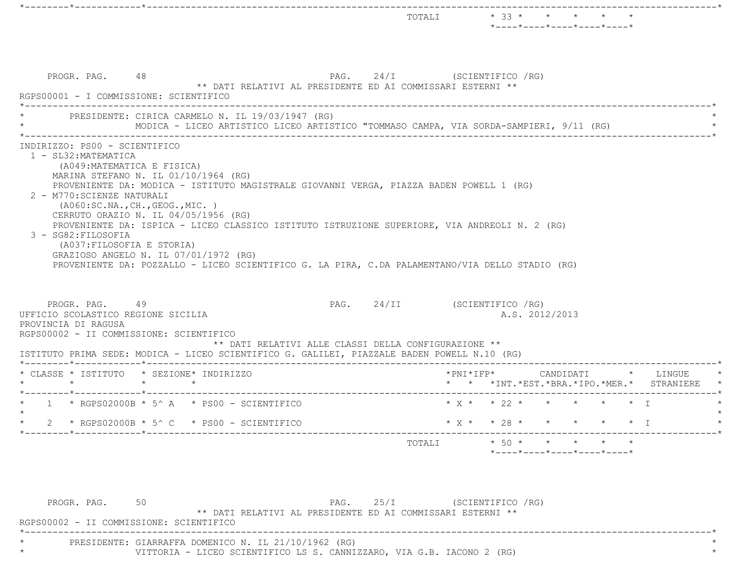|                                                                                                                                                                                                                                                                                                                                                                                                                                                                                                                                              |                               | TOTALI                 |                     | $\star$ 33 $\star$ $\star$ $\star$<br>*----*----*----*----*----*                    |  |           |                                                                  |
|----------------------------------------------------------------------------------------------------------------------------------------------------------------------------------------------------------------------------------------------------------------------------------------------------------------------------------------------------------------------------------------------------------------------------------------------------------------------------------------------------------------------------------------------|-------------------------------|------------------------|---------------------|-------------------------------------------------------------------------------------|--|-----------|------------------------------------------------------------------|
| PROGR. PAG. 48<br>** DATI RELATIVI AL PRESIDENTE ED AI COMMISSARI ESTERNI **<br>RGPS00001 - I COMMISSIONE: SCIENTIFICO                                                                                                                                                                                                                                                                                                                                                                                                                       | PAG. 24/I (SCIENTIFICO / RG)  |                        |                     |                                                                                     |  |           |                                                                  |
| PRESIDENTE: CIRICA CARMELO N. IL 19/03/1947 (RG)<br>MODICA - LICEO ARTISTICO LICEO ARTISTICO "TOMMASO CAMPA, VIA SORDA-SAMPIERI, 9/11 (RG)                                                                                                                                                                                                                                                                                                                                                                                                   |                               |                        |                     |                                                                                     |  |           |                                                                  |
| MARINA STEFANO N. IL 01/10/1964 (RG)<br>PROVENIENTE DA: MODICA - ISTITUTO MAGISTRALE GIOVANNI VERGA, PIAZZA BADEN POWELL 1 (RG)<br>2 - M770: SCIENZE NATURALI<br>( A060:SC.NA., CH., GEOG., MIC. )<br>CERRUTO ORAZIO N. IL 04/05/1956 (RG)<br>PROVENIENTE DA: ISPICA - LICEO CLASSICO ISTITUTO ISTRUZIONE SUPERIORE, VIA ANDREOLI N. 2 (RG)<br>3 - SG82: FILOSOFIA<br>(A037: FILOSOFIA E STORIA)<br>GRAZIOSO ANGELO N. IL 07/01/1972 (RG)<br>PROVENIENTE DA: POZZALLO - LICEO SCIENTIFICO G. LA PIRA, C.DA PALAMENTANO/VIA DELLO STADIO (RG) |                               |                        |                     |                                                                                     |  |           |                                                                  |
| PROGR. PAG. 49<br>UFFICIO SCOLASTICO REGIONE SICILIA<br>PROVINCIA DI RAGUSA<br>RGPS00002 - II COMMISSIONE: SCIENTIFICO<br>** DATI RELATIVI ALLE CLASSI DELLA CONFIGURAZIONE **<br>ISTITUTO PRIMA SEDE: MODICA - LICEO SCIENTIFICO G. GALILEI, PIAZZALE BADEN POWELL N.10 (RG)                                                                                                                                                                                                                                                                | PAG. 24/II (SCIENTIFICO / RG) |                        |                     | A.S. 2012/2013                                                                      |  |           |                                                                  |
| * CLASSE * ISTITUTO * SEZIONE* INDIRIZZO<br>$\star$<br>$\star$<br>$\star$<br>*--------*------------*-                                                                                                                                                                                                                                                                                                                                                                                                                                        |                               |                        | $*$ PNI $*$ IFP $*$ |                                                                                     |  |           | CANDIDATI * LINGUE<br>* * *INT.*EST.*BRA.*IPO.*MER.* STRANIERE * |
| $\star$ 1 $\star$ RGPS02000B $\star$ 5^ A $\star$ PS00 - SCIENTIFICO                                                                                                                                                                                                                                                                                                                                                                                                                                                                         |                               |                        |                     | * $X$ * * 22 * * *                                                                  |  | $\star$ T |                                                                  |
| * RGPS02000B * 5^ C * PS00 - SCIENTIFICO                                                                                                                                                                                                                                                                                                                                                                                                                                                                                                     |                               |                        |                     | * $X$ * * 28 * * * * * * I                                                          |  |           |                                                                  |
|                                                                                                                                                                                                                                                                                                                                                                                                                                                                                                                                              |                               | TOTALI                 |                     | $*$ 50 * * * * *<br>$*$ - - - - $*$ - - - - $*$ - - - - $*$ - - - - $*$ - - - - $*$ |  |           |                                                                  |
| PROGR. PAG. 50<br>** DATI RELATIVI AL PRESIDENTE ED AI COMMISSARI ESTERNI **<br>RGPS00002 - II COMMISSIONE: SCIENTIFICO                                                                                                                                                                                                                                                                                                                                                                                                                      | PAG.                          | 25/I (SCIENTIFICO /RG) |                     |                                                                                     |  |           |                                                                  |

\* PRESIDENTE: GIARRAFFA DOMENICO N. IL 21/10/1962 (RG) \*

\*----------------------------------------------------------------------------------------------------------------------------\*

\* VITTORIA - LICEO SCIENTIFICO LS S. CANNIZZARO, VIA G.B. IACONO 2 (RG) \*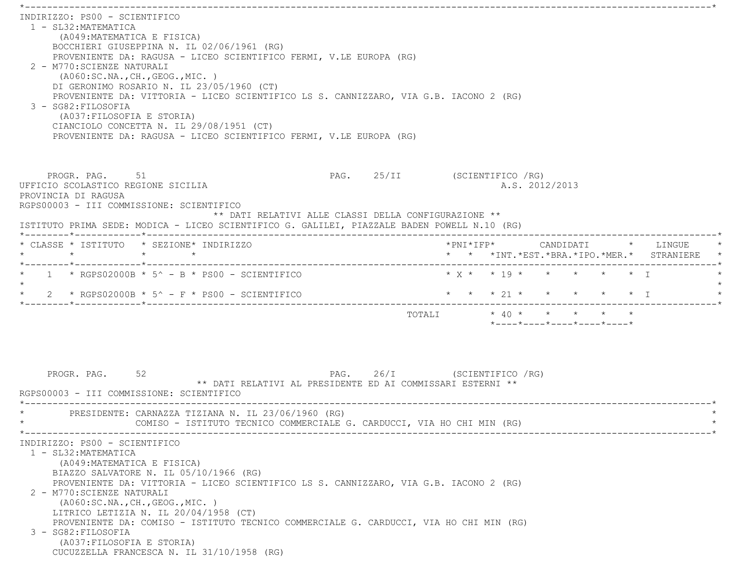\*----------------------------------------------------------------------------------------------------------------------------\* INDIRIZZO: PS00 - SCIENTIFICO 1 - SL32:MATEMATICA (A049:MATEMATICA E FISICA) BOCCHIERI GIUSEPPINA N. IL 02/06/1961 (RG) PROVENIENTE DA: RAGUSA - LICEO SCIENTIFICO FERMI, V.LE EUROPA (RG) 2 - M770:SCIENZE NATURALI (A060:SC.NA.,CH.,GEOG.,MIC. ) DI GERONIMO ROSARIO N. IL 23/05/1960 (CT) PROVENIENTE DA: VITTORIA - LICEO SCIENTIFICO LS S. CANNIZZARO, VIA G.B. IACONO 2 (RG) 3 - SG82:FILOSOFIA (A037:FILOSOFIA E STORIA) CIANCIOLO CONCETTA N. IL 29/08/1951 (CT) PROVENIENTE DA: RAGUSA - LICEO SCIENTIFICO FERMI, V.LE EUROPA (RG) PROGR. PAG. 51 51 PAG. 25/II (SCIENTIFICO /RG) UFFICIO SCOLASTICO REGIONE SICILIA A.S. 2012/2013 PROVINCIA DI RAGUSA RGPS00003 - III COMMISSIONE: SCIENTIFICO \*\* DATI RELATIVI ALLE CLASSI DELLA CONFIGURAZIONE \*\* ISTITUTO PRIMA SEDE: MODICA - LICEO SCIENTIFICO G. GALILEI, PIAZZALE BADEN POWELL N.10 (RG) \*--------\*------------\*-------------------------------------------------------------------------------------------------------\* \* CLASSE \* ISTITUTO \* SEZIONE\* INDIRIZZO \*PNI\*IFP\* CANDIDATI \* LINGUE \* \* \* \* \* \* \* \*INT.\*EST.\*BRA.\*IPO.\*MER.\* STRANIERE \* \*--------\*------------\*-------------------------------------------------------------------------------------------------------\*\* 1 \* RGPS02000B \* 5^ - B \* PS00 - SCIENTIFICO \* \* \* \* \* \* \* \* \* \* \* \* \* T  $\star$ \* 2 \* RGPS02000B \* 5^ - F \* PS00 - SCIENTIFICO \* \* \* \* \* 21 \* \* \* \* \* \* \* \* I \*--------\*------------\*-------------------------------------------------------------------------------------------------------\*TOTALI  $* 40 * * * * * * * * *$  \*----\*----\*----\*----\*----\*PROGR. PAG. 52 52 PAG. 26/I (SCIENTIFICO / RG) \*\* DATI RELATIVI AL PRESIDENTE ED AI COMMISSARI ESTERNI \*\* RGPS00003 - III COMMISSIONE: SCIENTIFICO \*----------------------------------------------------------------------------------------------------------------------------\*PRESIDENTE: CARNAZZA TIZIANA N. IL 23/06/1960 (RG) COMISO - ISTITUTO TECNICO COMMERCIALE G. CARDUCCI, VIA HO CHI MIN (RG) \*----------------------------------------------------------------------------------------------------------------------------\* INDIRIZZO: PS00 - SCIENTIFICO 1 - SL32:MATEMATICA (A049:MATEMATICA E FISICA) BIAZZO SALVATORE N. IL 05/10/1966 (RG) PROVENIENTE DA: VITTORIA - LICEO SCIENTIFICO LS S. CANNIZZARO, VIA G.B. IACONO 2 (RG) 2 - M770:SCIENZE NATURALI (A060:SC.NA.,CH.,GEOG.,MIC. ) LITRICO LETIZIA N. IL 20/04/1958 (CT) PROVENIENTE DA: COMISO - ISTITUTO TECNICO COMMERCIALE G. CARDUCCI, VIA HO CHI MIN (RG) 3 - SG82:FILOSOFIA (A037:FILOSOFIA E STORIA) CUCUZZELLA FRANCESCA N. IL 31/10/1958 (RG)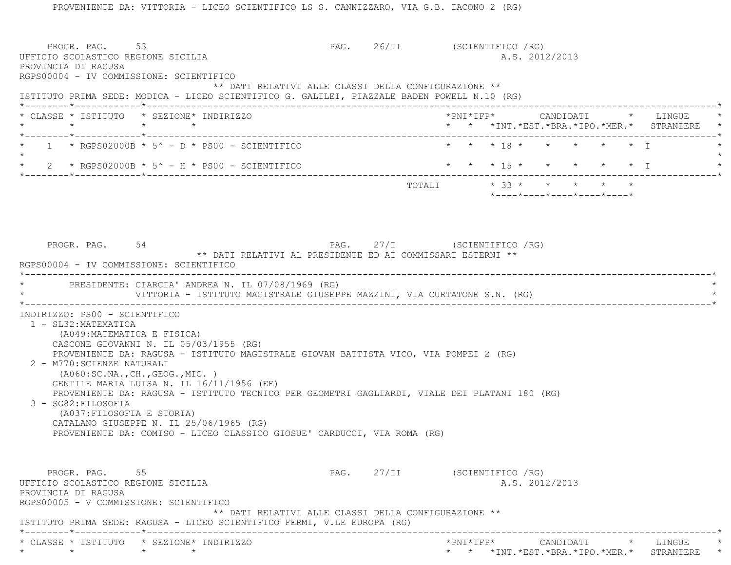PROVENIENTE DA: VITTORIA - LICEO SCIENTIFICO LS S. CANNIZZARO, VIA G.B. IACONO 2 (RG) PROGR. PAG. 53 53 PAG. 26/II (SCIENTIFICO / RG) UFFICIO SCOLASTICO REGIONE SICILIA A.S. 2012/2013 PROVINCIA DI RAGUSA RGPS00004 - IV COMMISSIONE: SCIENTIFICO \*\* DATI RELATIVI ALLE CLASSI DELLA CONFIGURAZIONE \*\* ISTITUTO PRIMA SEDE: MODICA - LICEO SCIENTIFICO G. GALILEI, PIAZZALE BADEN POWELL N.10 (RG) \*--------\*------------\*-------------------------------------------------------------------------------------------------------\* \* CLASSE \* ISTITUTO \* SEZIONE\* INDIRIZZO \*PNI\*IFP\* CANDIDATI \* LINGUE \* \* \* \* \* \* \* \*INT.\*EST.\*BRA.\*IPO.\*MER.\* STRANIERE \* \*--------\*------------\*-------------------------------------------------------------------------------------------------------\*1 \* RGPS02000B \* 5^ - D \* PS00 - SCIENTIFICO \* \* \* \* 18 \* \* \* \* \* \* \* \* T  $\star$ 2 \* RGPS02000B \* 5^ - H \* PS00 - SCIENTIFICO \* \* \* \* 15 \* \* \* \* \* \* \* \* I \*--------\*------------\*-------------------------------------------------------------------------------------------------------\* $\texttt{TOTAL} \qquad \qquad \star \quad \texttt{33}\; \star \qquad \star \qquad \star \qquad \star \qquad \star \qquad \star$  \*----\*----\*----\*----\*----\*PROGR. PAG. 54 54 PAG. 27/I (SCIENTIFICO / RG) \*\* DATI RELATIVI AL PRESIDENTE ED AI COMMISSARI ESTERNI \*\* RGPS00004 - IV COMMISSIONE: SCIENTIFICO \*----------------------------------------------------------------------------------------------------------------------------\*PRESIDENTE: CIARCIA' ANDREA N. IL 07/08/1969 (RG) VITTORIA - ISTITUTO MAGISTRALE GIUSEPPE MAZZINI, VIA CURTATONE S.N. (RG) \*----------------------------------------------------------------------------------------------------------------------------\* INDIRIZZO: PS00 - SCIENTIFICO 1 - SL32:MATEMATICA (A049:MATEMATICA E FISICA) CASCONE GIOVANNI N. IL 05/03/1955 (RG) PROVENIENTE DA: RAGUSA - ISTITUTO MAGISTRALE GIOVAN BATTISTA VICO, VIA POMPEI 2 (RG) 2 - M770:SCIENZE NATURALI (A060:SC.NA.,CH.,GEOG.,MIC. ) GENTILE MARIA LUISA N. IL 16/11/1956 (EE) PROVENIENTE DA: RAGUSA - ISTITUTO TECNICO PER GEOMETRI GAGLIARDI, VIALE DEI PLATANI 180 (RG) 3 - SG82:FILOSOFIA (A037:FILOSOFIA E STORIA) CATALANO GIUSEPPE N. IL 25/06/1965 (RG) PROVENIENTE DA: COMISO - LICEO CLASSICO GIOSUE' CARDUCCI, VIA ROMA (RG) PROGR. PAG. 55 Services of the Services of PAG. 27/II (SCIENTIFICO /RG) UFFICIO SCOLASTICO REGIONE SICILIA A.S. 2012/2013 PROVINCIA DI RAGUSA RGPS00005 - V COMMISSIONE: SCIENTIFICO \*\* DATI RELATIVI ALLE CLASSI DELLA CONFIGURAZIONE \*\* ISTITUTO PRIMA SEDE: RAGUSA - LICEO SCIENTIFICO FERMI, V.LE EUROPA (RG) \*--------\*------------\*-------------------------------------------------------------------------------------------------------\* \* CLASSE \* ISTITUTO \* SEZIONE\* INDIRIZZO \*PNI\*IFP\* CANDIDATI \* LINGUE \*\* \* \* \* \* \* \*INT.\*EST.\*BRA.\*IPO.\*MER.\* STRANIERE \*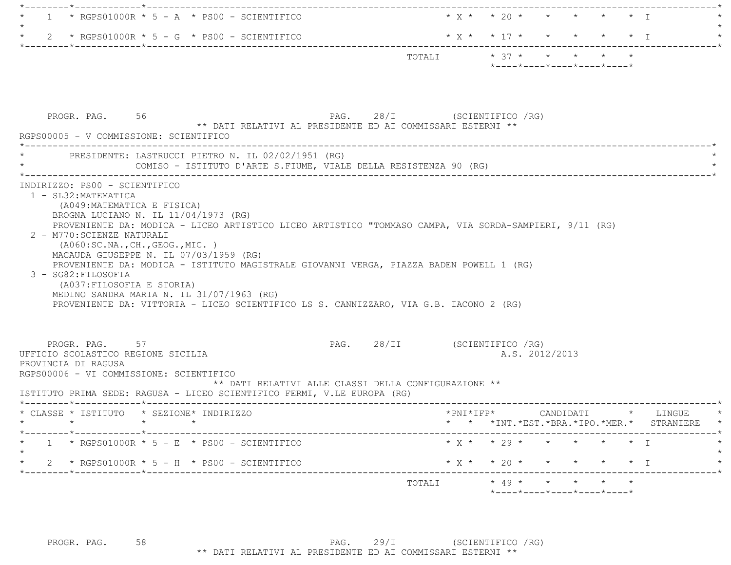| 1 * RGPS01000R * 5 - A * PS00 - SCIENTIFICO                                                                                                                                                                                                                                                                                                                                                                                                                                                                                                       |                                                                                            | $\star$ y $\star$ $\star$ 20 $\star$ $\star$ $\star$ $\star$ $\star$ $\star$ $\star$ $\top$ |          |
|---------------------------------------------------------------------------------------------------------------------------------------------------------------------------------------------------------------------------------------------------------------------------------------------------------------------------------------------------------------------------------------------------------------------------------------------------------------------------------------------------------------------------------------------------|--------------------------------------------------------------------------------------------|---------------------------------------------------------------------------------------------|----------|
| * $2$ * RGPS01000R * 5 - G * PS00 - SCIENTIFICO                                                                                                                                                                                                                                                                                                                                                                                                                                                                                                   |                                                                                            | * X * * 17 * * * * * * I                                                                    |          |
|                                                                                                                                                                                                                                                                                                                                                                                                                                                                                                                                                   |                                                                                            | TOTALI * 37 * * * * * *<br>$*$ - - - - $*$ - - - - $*$ - - - - $*$ - - - - $*$ - - - - $*$  |          |
| PROGR. PAG. 56<br>RGPS00005 - V COMMISSIONE: SCIENTIFICO                                                                                                                                                                                                                                                                                                                                                                                                                                                                                          | PAG. 28/I (SCIENTIFICO / RG)<br>** DATI RELATIVI AL PRESIDENTE ED AI COMMISSARI ESTERNI ** |                                                                                             |          |
| * PRESIDENTE: LASTRUCCI PIETRO N. IL 02/02/1951 (RG)<br>COMISO - ISTITUTO D'ARTE S.FIUME, VIALE DELLA RESISTENZA 90 (RG)                                                                                                                                                                                                                                                                                                                                                                                                                          |                                                                                            |                                                                                             |          |
| BROGNA LUCIANO N. IL 11/04/1973 (RG)<br>PROVENIENTE DA: MODICA - LICEO ARTISTICO LICEO ARTISTICO "TOMMASO CAMPA, VIA SORDA-SAMPIERI, 9/11 (RG)<br>2 - M770: SCIENZE NATURALI<br>( A060:SC.NA., CH., GEOG., MIC. )<br>MACAUDA GIUSEPPE N. IL 07/03/1959 (RG)<br>PROVENIENTE DA: MODICA - ISTITUTO MAGISTRALE GIOVANNI VERGA, PIAZZA BADEN POWELL 1 (RG)<br>3 - SG82: FILOSOFIA<br>(A037: FILOSOFIA E STORIA)<br>MEDINO SANDRA MARIA N. IL 31/07/1963 (RG)<br>PROVENIENTE DA: VITTORIA - LICEO SCIENTIFICO LS S. CANNIZZARO, VIA G.B. IACONO 2 (RG) |                                                                                            |                                                                                             |          |
| PROGR. PAG. 57<br>UFFICIO SCOLASTICO REGIONE SICILIA<br>PROVINCIA DI RAGUSA<br>RGPS00006 - VI COMMISSIONE: SCIENTIFICO<br>ISTITUTO PRIMA SEDE: RAGUSA - LICEO SCIENTIFICO FERMI, V.LE EUROPA (RG)                                                                                                                                                                                                                                                                                                                                                 | PAG. 28/II (SCIENTIFICO / RG)<br>** DATI RELATIVI ALLE CLASSI DELLA CONFIGURAZIONE **      | A.S. 2012/2013                                                                              |          |
| * CLASSE * ISTITUTO * SEZIONE* INDIRIZZO<br>$\star$                                                                                                                                                                                                                                                                                                                                                                                                                                                                                               |                                                                                            | *PNI*IFP* CANDIDATI<br>* * *INT. *EST. *BRA. *IPO. *MER. * STRANIERE *                      | * LINGUE |
| ------*------------*-------------<br>$1 \times$ RGPS01000R $*$ 5 - E $*$ PS00 - SCIENTIFICO                                                                                                                                                                                                                                                                                                                                                                                                                                                       |                                                                                            | $* x * * 29 * * * * * * * T$                                                                |          |
| 2 * RGPS01000R * 5 - H * PS00 - SCIENTIFICO                                                                                                                                                                                                                                                                                                                                                                                                                                                                                                       |                                                                                            | * X * * 20 * * * * * * I                                                                    |          |
|                                                                                                                                                                                                                                                                                                                                                                                                                                                                                                                                                   |                                                                                            |                                                                                             |          |
|                                                                                                                                                                                                                                                                                                                                                                                                                                                                                                                                                   |                                                                                            | *----*----*----*----*----*                                                                  |          |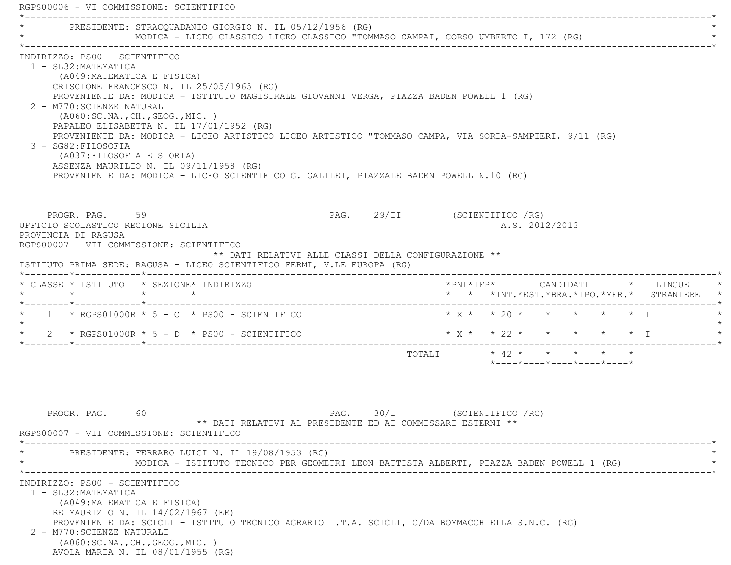|                                                                                                                                                                                                             | PRESIDENTE: STRACOUADANIO GIORGIO N. IL 05/12/1956 (RG)<br>MODICA - LICEO CLASSICO LICEO CLASSICO "TOMMASO CAMPAI, CORSO UMBERTO I, 172 (RG)                                                                                                                                                                                                                                                                                   |                              |                                |                                               |  |  |                                               |
|-------------------------------------------------------------------------------------------------------------------------------------------------------------------------------------------------------------|--------------------------------------------------------------------------------------------------------------------------------------------------------------------------------------------------------------------------------------------------------------------------------------------------------------------------------------------------------------------------------------------------------------------------------|------------------------------|--------------------------------|-----------------------------------------------|--|--|-----------------------------------------------|
| INDIRIZZO: PS00 - SCIENTIFICO<br>1 - SL32: MATEMATICA<br>(A049: MATEMATICA E FISICA)<br>2 - M770: SCIENZE NATURALI<br>( A060:SC.NA., CH., GEOG., MIC. )<br>3 - SG82:FILOSOFIA<br>(A037: FILOSOFIA E STORIA) | CRISCIONE FRANCESCO N. IL 25/05/1965 (RG)<br>PROVENIENTE DA: MODICA - ISTITUTO MAGISTRALE GIOVANNI VERGA, PIAZZA BADEN POWELL 1 (RG)<br>PAPALEO ELISABETTA N. IL 17/01/1952 (RG)<br>PROVENIENTE DA: MODICA - LICEO ARTISTICO LICEO ARTISTICO "TOMMASO CAMPA, VIA SORDA-SAMPIERI, 9/11 (RG)<br>ASSENZA MAURILIO N. IL 09/11/1958 (RG)<br>PROVENIENTE DA: MODICA - LICEO SCIENTIFICO G. GALILEI, PIAZZALE BADEN POWELL N.10 (RG) |                              |                                |                                               |  |  |                                               |
| PROGR. PAG. 59<br>UFFICIO SCOLASTICO REGIONE SICILIA<br>PROVINCIA DI RAGUSA<br>RGPS00007 - VII COMMISSIONE: SCIENTIFICO                                                                                     | ** DATI RELATIVI ALLE CLASSI DELLA CONFIGURAZIONE **<br>ISTITUTO PRIMA SEDE: RAGUSA - LICEO SCIENTIFICO FERMI, V.LE EUROPA (RG)                                                                                                                                                                                                                                                                                                | PAG. 29/II (SCIENTIFICO /RG) |                                | A.S. 2012/2013                                |  |  |                                               |
| * CLASSE * ISTITUTO * SEZIONE* INDIRIZZO                                                                                                                                                                    |                                                                                                                                                                                                                                                                                                                                                                                                                                |                              |                                |                                               |  |  | * * *INT. *EST. *BRA. *IPO. *MER. * STRANIERE |
|                                                                                                                                                                                                             | $1 * RGPS01000R * 5 - C * PS00 - SCIENTIFICO$<br>$\star$ 2 $\star$ RGPS01000R $\star$ 5 - D $\star$ PS00 - SCIENTIFICO                                                                                                                                                                                                                                                                                                         |                              | $* x * x * 22 * * * * * * x 1$ |                                               |  |  |                                               |
|                                                                                                                                                                                                             |                                                                                                                                                                                                                                                                                                                                                                                                                                |                              | TOTALI * 42 * * * * * *        | $*$ ---- $*$ ---- $*$ ---- $*$ ---- $*$ ----* |  |  |                                               |
| PROGR. PAG. 60<br>RGPS00007 - VII COMMISSIONE: SCIENTIFICO                                                                                                                                                  | ** DATI RELATIVI AL PRESIDENTE ED AI COMMISSARI ESTERNI **<br>PRESIDENTE: FERRARO LUIGI N. IL 19/08/1953 (RG)<br>MODICA - ISTITUTO TECNICO PER GEOMETRI LEON BATTISTA ALBERTI, PIAZZA BADEN POWELL 1 (RG)                                                                                                                                                                                                                      | PAG. 30/I (SCIENTIFICO / RG) |                                |                                               |  |  |                                               |
| INDIRIZZO: PS00 - SCIENTIFICO<br>1 - SL32: MATEMATICA<br>(A049: MATEMATICA E FISICA)<br>RE MAURIZIO N. IL 14/02/1967 (EE)<br>2 - M770: SCIENZE NATURALI                                                     | PROVENIENTE DA: SCICLI - ISTITUTO TECNICO AGRARIO I.T.A. SCICLI, C/DA BOMMACCHIELLA S.N.C. (RG)                                                                                                                                                                                                                                                                                                                                |                              |                                |                                               |  |  |                                               |

AVOLA MARIA N. IL 08/01/1955 (RG)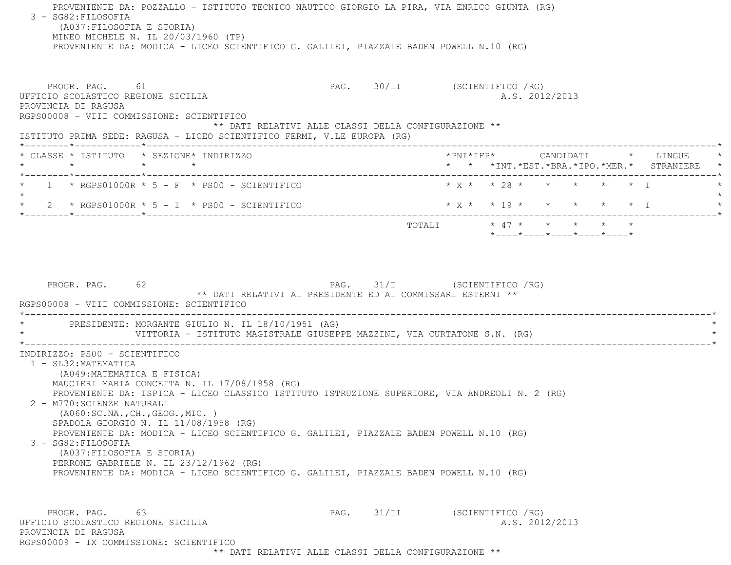PROVENIENTE DA: POZZALLO - ISTITUTO TECNICO NAUTICO GIORGIO LA PIRA, VIA ENRICO GIUNTA (RG) 3 - SG82:FILOSOFIA (A037:FILOSOFIA E STORIA) MINEO MICHELE N. IL 20/03/1960 (TP) PROVENIENTE DA: MODICA - LICEO SCIENTIFICO G. GALILEI, PIAZZALE BADEN POWELL N.10 (RG) PROGR. PAG. 61 61 PAG. 30/II (SCIENTIFICO / RG) UFFICIO SCOLASTICO REGIONE SICILIA A.S. 2012/2013 PROVINCIA DI RAGUSA RGPS00008 - VIII COMMISSIONE: SCIENTIFICO \*\* DATI RELATIVI ALLE CLASSI DELLA CONFIGURAZIONE \*\* ISTITUTO PRIMA SEDE: RAGUSA - LICEO SCIENTIFICO FERMI, V.LE EUROPA (RG) \*--------\*------------\*-------------------------------------------------------------------------------------------------------\* \* CLASSE \* ISTITUTO \* SEZIONE\* INDIRIZZO \*PNI\*IFP\* CANDIDATI \* LINGUE \* \* \* \* \* \* \* \*INT.\*EST.\*BRA.\*IPO.\*MER.\* STRANIERE \* \*--------\*------------\*-------------------------------------------------------------------------------------------------------\* \* 1 \* RGPS01000R \* 5 - F \* PS00 - SCIENTIFICO \* X \* \* 28 \* \* \* \* \* I \* $\star$ \* 2 \* RGPS01000R \* 5 - I \* PS00 - SCIENTIFICO \* \* \* \* \* \* \* \* \* \* \* \* I \* \* \* \* I \*--------\*------------\*-------------------------------------------------------------------------------------------------------\* TOTALI \* 47 \* \* \* \* \* \*----\*----\*----\*----\*----\*PROGR. PAG. 62 62 PAG. 31/I (SCIENTIFICO / RG) \*\* DATI RELATIVI AL PRESIDENTE ED AI COMMISSARI ESTERNI \*\* RGPS00008 - VIII COMMISSIONE: SCIENTIFICO \*----------------------------------------------------------------------------------------------------------------------------\*PRESIDENTE: MORGANTE GIULIO N. IL 18/10/1951 (AG) VITTORIA - ISTITUTO MAGISTRALE GIUSEPPE MAZZINI, VIA CURTATONE S.N. (RG) \*----------------------------------------------------------------------------------------------------------------------------\* INDIRIZZO: PS00 - SCIENTIFICO 1 - SL32:MATEMATICA (A049:MATEMATICA E FISICA) MAUCIERI MARIA CONCETTA N. IL 17/08/1958 (RG) PROVENIENTE DA: ISPICA - LICEO CLASSICO ISTITUTO ISTRUZIONE SUPERIORE, VIA ANDREOLI N. 2 (RG) 2 - M770:SCIENZE NATURALI (A060:SC.NA.,CH.,GEOG.,MIC. ) SPADOLA GIORGIO N. IL 11/08/1958 (RG) PROVENIENTE DA: MODICA - LICEO SCIENTIFICO G. GALILEI, PIAZZALE BADEN POWELL N.10 (RG) 3 - SG82:FILOSOFIA (A037:FILOSOFIA E STORIA) PERRONE GABRIELE N. IL 23/12/1962 (RG) PROVENIENTE DA: MODICA - LICEO SCIENTIFICO G. GALILEI, PIAZZALE BADEN POWELL N.10 (RG) PROGR. PAG. 63 63 PAG. 31/II (SCIENTIFICO / RG) UFFICIO SCOLASTICO REGIONE SICILIA A.S. 2012/2013 PROVINCIA DI RAGUSARGPS00009 - IX COMMISSIONE: SCIENTIFICO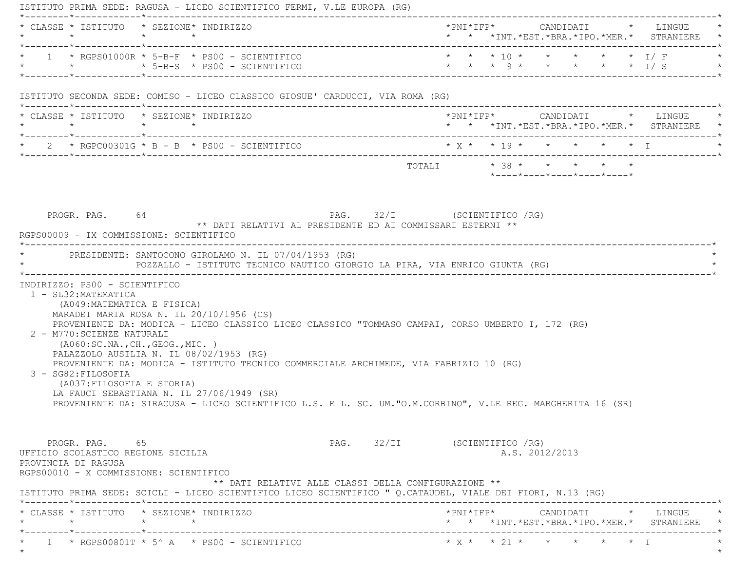|                                                                                                                                        | * CLASSE * ISTITUTO * SEZIONE* INDIRIZZO                                                                                                                                                                                                                                                                               |                                                                                |  |                |                                                                 |  | * * *INT. *EST. *BRA. *IPO. *MER. * STRANIERE *                                   |
|----------------------------------------------------------------------------------------------------------------------------------------|------------------------------------------------------------------------------------------------------------------------------------------------------------------------------------------------------------------------------------------------------------------------------------------------------------------------|--------------------------------------------------------------------------------|--|----------------|-----------------------------------------------------------------|--|-----------------------------------------------------------------------------------|
|                                                                                                                                        | $1 * RGPS01000R * 5-B-F * PS00 - SCIENTIFICO$                                                                                                                                                                                                                                                                          |                                                                                |  |                |                                                                 |  | * * * 10 * * * * * * T/F<br>* * * 9 * * * * * * I/S                               |
|                                                                                                                                        | ISTITUTO SECONDA SEDE: COMISO - LICEO CLASSICO GIOSUE' CARDUCCI, VIA ROMA (RG)                                                                                                                                                                                                                                         |                                                                                |  |                |                                                                 |  |                                                                                   |
|                                                                                                                                        | * CLASSE * ISTITUTO * SEZIONE* INDIRIZZO                                                                                                                                                                                                                                                                               |                                                                                |  |                |                                                                 |  | * * *INT.*EST.*BRA.*IPO.*MER.* STRANIERE *                                        |
|                                                                                                                                        | * $2$ * RGPC00301G * B - B * PS00 - SCIENTIFICO                                                                                                                                                                                                                                                                        | $\star$ x $\star$ $\star$ 19 $\star$ $\star$ $\star$ $\star$ $\star$ $\star$ T |  |                |                                                                 |  |                                                                                   |
|                                                                                                                                        |                                                                                                                                                                                                                                                                                                                        |                                                                                |  |                | $*$ _ _ _ _ $*$ _ _ _ _ $*$ _ _ _ _ $*$ _ _ _ _ $*$ _ _ _ _ $*$ |  |                                                                                   |
|                                                                                                                                        | PRESIDENTE: SANTOCONO GIROLAMO N. IL 07/04/1953 (RG)<br>POZZALLO - ISTITUTO TECNICO NAUTICO GIORGIO LA PIRA, VIA ENRICO GIUNTA (RG)                                                                                                                                                                                    |                                                                                |  |                |                                                                 |  |                                                                                   |
|                                                                                                                                        |                                                                                                                                                                                                                                                                                                                        |                                                                                |  |                |                                                                 |  |                                                                                   |
| INDIRIZZO: PS00 - SCIENTIFICO                                                                                                          |                                                                                                                                                                                                                                                                                                                        |                                                                                |  |                |                                                                 |  |                                                                                   |
| 1 - SL32: MATEMATICA<br>(A049: MATEMATICA E FISICA)<br>2 - M770: SCIENZE NATURALI<br>3 - SG82: FILOSOFIA<br>(A037: FILOSOFIA E STORIA) | MARADEI MARIA ROSA N. IL 20/10/1956 (CS)<br>PROVENIENTE DA: MODICA - LICEO CLASSICO LICEO CLASSICO "TOMMASO CAMPAI, CORSO UMBERTO I, 172 (RG)<br>( A060:SC.NA., CH., GEOG., MIC. )<br>PALAZZOLO AUSILIA N. IL 08/02/1953 (RG)<br>PROVENIENTE DA: MODICA - ISTITUTO TECNICO COMMERCIALE ARCHIMEDE, VIA FABRIZIO 10 (RG) |                                                                                |  |                |                                                                 |  |                                                                                   |
|                                                                                                                                        | LA FAUCI SEBASTIANA N. IL 27/06/1949 (SR)<br>PROVENIENTE DA: SIRACUSA - LICEO SCIENTIFICO L.S. E L. SC. UM."O.M.CORBINO", V.LE REG. MARGHERITA 16 (SR)                                                                                                                                                                 |                                                                                |  |                |                                                                 |  |                                                                                   |
| PROGR. PAG. 65<br>PROVINCIA DI RAGUSA                                                                                                  | PAG. 32/II (SCIENTIFICO / RG)<br>UFFICIO SCOLASTICO REGIONE SICILIA                                                                                                                                                                                                                                                    |                                                                                |  | A.S. 2012/2013 |                                                                 |  |                                                                                   |
|                                                                                                                                        | RGPS00010 - X COMMISSIONE: SCIENTIFICO<br>** DATI RELATIVI ALLE CLASSI DELLA CONFIGURAZIONE **<br>ISTITUTO PRIMA SEDE: SCICLI - LICEO SCIENTIFICO LICEO SCIENTIFICO " Q.CATAUDEL, VIALE DEI FIORI, N.13 (RG)                                                                                                           |                                                                                |  |                |                                                                 |  |                                                                                   |
|                                                                                                                                        | * CLASSE * ISTITUTO * SEZIONE* INDIRIZZO                                                                                                                                                                                                                                                                               |                                                                                |  |                |                                                                 |  | *PNI*IFP*     CANDIDATI    *   LINGUE<br>* * *INT.*EST.*BRA.*IPO.*MER.* STRANIERE |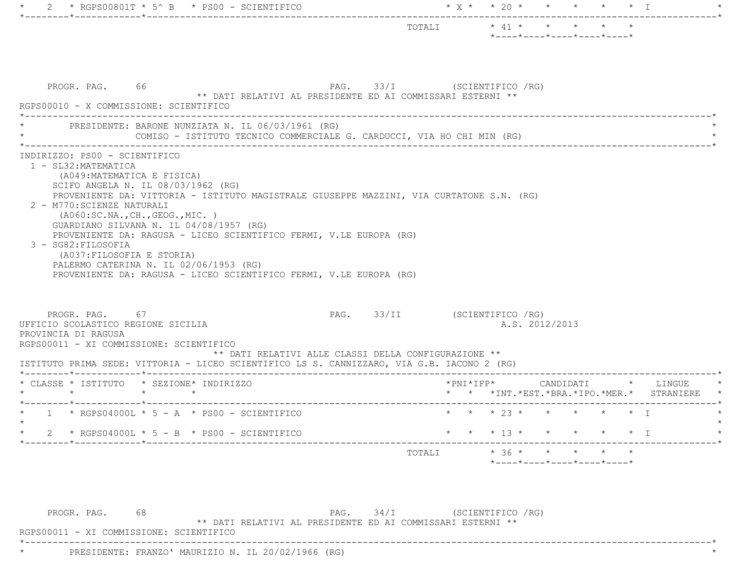|                                                                                                                                                                                                                                                                                                                    |  |                                          | $*$ ---- $*$ ---- $*$ ---- $*$ ---- $*$ ---- $*$ |                         |           |           |
|--------------------------------------------------------------------------------------------------------------------------------------------------------------------------------------------------------------------------------------------------------------------------------------------------------------------|--|------------------------------------------|--------------------------------------------------|-------------------------|-----------|-----------|
| PAG. 33/I (SCIENTIFICO / RG)<br>PROGR. PAG. 66<br>** DATI RELATIVI AL PRESIDENTE ED AI COMMISSARI ESTERNI **<br>RGPS00010 - X COMMISSIONE: SCIENTIFICO                                                                                                                                                             |  |                                          |                                                  |                         |           |           |
| PRESIDENTE: BARONE NUNZIATA N. IL 06/03/1961 (RG)<br>COMISO - ISTITUTO TECNICO COMMERCIALE G. CARDUCCI, VIA HO CHI MIN (RG)                                                                                                                                                                                        |  |                                          |                                                  |                         |           |           |
| SCIFO ANGELA N. IL 08/03/1962 (RG)<br>PROVENIENTE DA: VITTORIA - ISTITUTO MAGISTRALE GIUSEPPE MAZZINI, VIA CURTATONE S.N. (RG)<br>2 - M770: SCIENZE NATURALI<br>( A060:SC.NA., CH., GEOG., MIC. )<br>GUARDIANO SILVANA N. IL 04/08/1957 (RG)<br>PROVENIENTE DA: RAGUSA - LICEO SCIENTIFICO FERMI, V.LE EUROPA (RG) |  |                                          |                                                  |                         |           |           |
| 3 - SG82: FILOSOFIA<br>(A037: FILOSOFIA E STORIA)<br>PALERMO CATERINA N. IL 02/06/1953 (RG)<br>PROVENIENTE DA: RAGUSA - LICEO SCIENTIFICO FERMI, V.LE EUROPA (RG)<br>PAG. 33/II (SCIENTIFICO / RG)<br>PROGR. PAG. 67                                                                                               |  |                                          | A.S. 2012/2013                                   |                         |           |           |
| UFFICIO SCOLASTICO REGIONE SICILIA<br>PROVINCIA DI RAGUSA<br>RGPS00011 - XI COMMISSIONE: SCIENTIFICO<br>** DATI RELATIVI ALLE CLASSI DELLA CONFIGURAZIONE **<br>ISTITUTO PRIMA SEDE: VITTORIA - LICEO SCIENTIFICO LS S. CANNIZZARO, VIA G.B. IACONO 2 (RG)                                                         |  |                                          |                                                  |                         |           |           |
| $\star$ $\star$                                                                                                                                                                                                                                                                                                    |  |                                          | * * * INT. * EST. * BRA. * IPO. * MER. *         |                         |           | STRANIERE |
| * CLASSE * ISTITUTO * SEZIONE* INDIRIZZO<br>$\star$ $\star$<br>* $1$ * RGPS04000L * 5 - A * PS00 - SCIENTIFICO                                                                                                                                                                                                     |  |                                          | * * * 23 * * * * * * I                           |                         |           |           |
| 2 * RGPS04000L * 5 - B * PS00 - SCIENTIFICO                                                                                                                                                                                                                                                                        |  | $\star \quad \star \quad 13 \quad \star$ |                                                  | $\star$ $\star$ $\star$ | $\star$ T |           |

\*----------------------------------------------------------------------------------------------------------------------------\*

RGPS00011 - XI COMMISSIONE: SCIENTIFICO

\* PRESIDENTE: FRANZO' MAURIZIO N. IL 20/02/1966 (RG) \*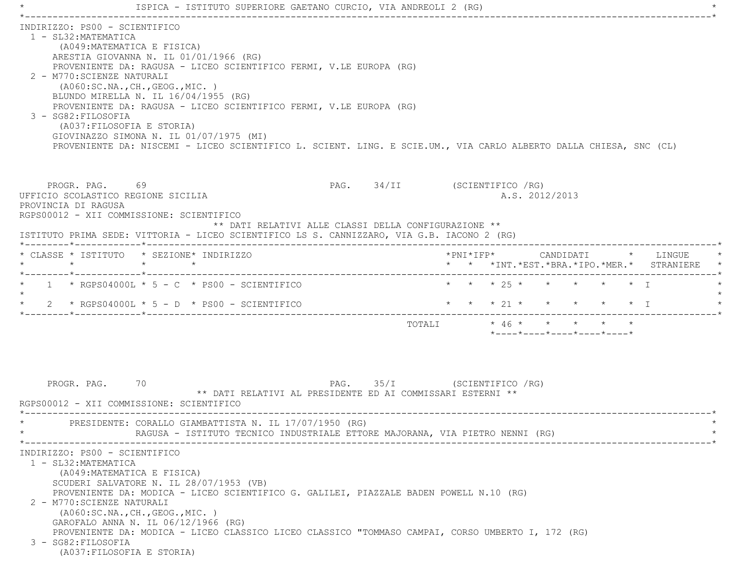|                                             | ISPICA - ISTITUTO SUPERIORE GAETANO CURCIO, VIA ANDREOLI 2 (RG)                                                                                                                                                                                                                                                                                                                                                                                  |                                                            |                                                                                                                   |
|---------------------------------------------|--------------------------------------------------------------------------------------------------------------------------------------------------------------------------------------------------------------------------------------------------------------------------------------------------------------------------------------------------------------------------------------------------------------------------------------------------|------------------------------------------------------------|-------------------------------------------------------------------------------------------------------------------|
| 1 - SL32: MATEMATICA<br>3 - SG82: FILOSOFIA | INDIRIZZO: PS00 - SCIENTIFICO<br>(A049: MATEMATICA E FISICA)<br>ARESTIA GIOVANNA N. IL 01/01/1966 (RG)<br>PROVENIENTE DA: RAGUSA - LICEO SCIENTIFICO FERMI, V.LE EUROPA (RG)<br>2 - M770: SCIENZE NATURALI<br>( A060:SC.NA., CH., GEOG., MIC. )<br>BLUNDO MIRELLA N. IL 16/04/1955 (RG)<br>PROVENIENTE DA: RAGUSA - LICEO SCIENTIFICO FERMI, V.LE EUROPA (RG)<br>(A037: FILOSOFIA E STORIA)<br>GIOVINAZZO SIMONA N. IL 01/07/1975 (MI)           |                                                            | PROVENIENTE DA: NISCEMI - LICEO SCIENTIFICO L. SCIENT. LING. E SCIE.UM., VIA CARLO ALBERTO DALLA CHIESA, SNC (CL) |
| PROVINCIA DI RAGUSA                         | PROGR. PAG. 69<br>UFFICIO SCOLASTICO REGIONE SICILIA<br>RGPS00012 - XII COMMISSIONE: SCIENTIFICO<br>ISTITUTO PRIMA SEDE: VITTORIA - LICEO SCIENTIFICO LS S. CANNIZZARO, VIA G.B. IACONO 2 (RG)                                                                                                                                                                                                                                                   | ** DATI RELATIVI ALLE CLASSI DELLA CONFIGURAZIONE **       | PAG. 34/II (SCIENTIFICO / RG)<br>A.S. 2012/2013                                                                   |
| $\star$                                     | * CLASSE * ISTITUTO * SEZIONE* INDIRIZZO<br>$\star$ $\qquad$ $\star$                                                                                                                                                                                                                                                                                                                                                                             |                                                            | *PNI*IFP* CANDIDATI * LINGUE<br>* * *INT. *EST. *BRA. *IPO. *MER. * STRANIERE                                     |
|                                             | *--------*-----------*-<br>$1 \times R$ GPS04000L $*$ 5 - C $*$ PS00 - SCIENTIFICO<br>2 * RGPS04000L * 5 - D * PS00 - SCIENTIFICO                                                                                                                                                                                                                                                                                                                |                                                            | * * * 25 * * * * * * T<br>* * * 21 * * * * * * I                                                                  |
|                                             |                                                                                                                                                                                                                                                                                                                                                                                                                                                  |                                                            | TOTALI $* 46 * * * * * *$<br>$*$ - - - - $*$ - - - - $*$ - - - - $*$ - - - - $*$ - - - - $*$                      |
| PROGR. PAG.                                 | 70<br>RGPS00012 - XII COMMISSIONE: SCIENTIFICO<br>PRESIDENTE: CORALLO GIAMBATTISTA N. IL 17/07/1950 (RG)<br>RAGUSA - ISTITUTO TECNICO INDUSTRIALE ETTORE MAJORANA, VIA PIETRO NENNI (RG)                                                                                                                                                                                                                                                         | ** DATI RELATIVI AL PRESIDENTE ED AI COMMISSARI ESTERNI ** | PAG. 35/I (SCIENTIFICO / RG)                                                                                      |
| 1 - SL32: MATEMATICA<br>3 - SG82: FILOSOFIA | INDIRIZZO: PS00 - SCIENTIFICO<br>(A049: MATEMATICA E FISICA)<br>SCUDERI SALVATORE N. IL 28/07/1953 (VB)<br>PROVENIENTE DA: MODICA - LICEO SCIENTIFICO G. GALILEI, PIAZZALE BADEN POWELL N.10 (RG)<br>2 - M770: SCIENZE NATURALI<br>( A060:SC.NA., CH., GEOG., MIC. )<br>GAROFALO ANNA N. IL $06/12/1966$ (RG)<br>PROVENIENTE DA: MODICA - LICEO CLASSICO LICEO CLASSICO "TOMMASO CAMPAI, CORSO UMBERTO I, 172 (RG)<br>(A037: FILOSOFIA E STORIA) |                                                            |                                                                                                                   |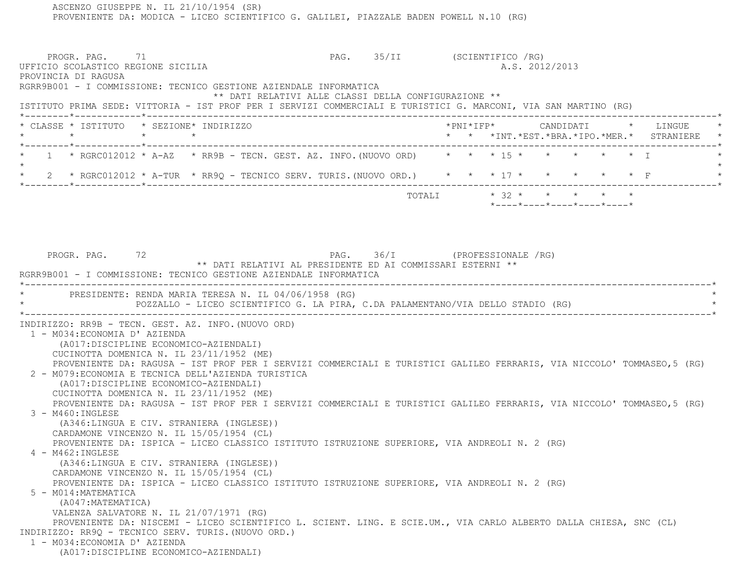PROVENIENTE DA: MODICA - LICEO SCIENTIFICO G. GALILEI, PIAZZALE BADEN POWELL N.10 (RG) PROGR. PAG. 71 PAG. S5/II (SCIENTIFICO /RG) UFFICIO SCOLASTICO REGIONE SICILIA A.S. 2012/2013 PROVINCIA DI RAGUSA RGRR9B001 - I COMMISSIONE: TECNICO GESTIONE AZIENDALE INFORMATICA \*\* DATI RELATIVI ALLE CLASSI DELLA CONFIGURAZIONE \*\* ISTITUTO PRIMA SEDE: VITTORIA - IST PROF PER I SERVIZI COMMERCIALI E TURISTICI G. MARCONI, VIA SAN MARTINO (RG) \*--------\*------------\*-------------------------------------------------------------------------------------------------------\* \* CLASSE \* ISTITUTO \* SEZIONE\* INDIRIZZO \*PNI\*IFP\* CANDIDATI \* LINGUE \* \* \* \* \* \* \* \*INT.\*EST.\*BRA.\*IPO.\*MER.\* STRANIERE \* \*--------\*------------\*-------------------------------------------------------------------------------------------------------\*1 \* RGRC012012 \* A-AZ \* RR9B - TECN. GEST. AZ. INFO. (NUOVO ORD) \* \* \* \* 15 \* \* \* \* \* \* \* \* \*  $\star$ \* 2 \* RGRC012012 \* A-TUR \* RR9Q - TECNICO SERV. TURIS. (NUOVO ORD.) \* \* \* 17 \* \* \* \* \* \* \* F \*--------\*------------\*-------------------------------------------------------------------------------------------------------\*TOTALI  $* 32 * * * * * * * * * *$  \*----\*----\*----\*----\*----\*PROGR. PAG. 72 72 PAG. 36/I (PROFESSIONALE /RG) \*\* DATI RELATIVI AL PRESIDENTE ED AI COMMISSARI ESTERNI \*\* RGRR9B001 - I COMMISSIONE: TECNICO GESTIONE AZIENDALE INFORMATICA \*----------------------------------------------------------------------------------------------------------------------------\*PRESIDENTE: RENDA MARIA TERESA N. IL 04/06/1958 (RG) \* POZZALLO - LICEO SCIENTIFICO G. LA PIRA, C.DA PALAMENTANO/VIA DELLO STADIO (RG) \* \*----------------------------------------------------------------------------------------------------------------------------\* INDIRIZZO: RR9B - TECN. GEST. AZ. INFO.(NUOVO ORD) 1 - M034:ECONOMIA D' AZIENDA (A017:DISCIPLINE ECONOMICO-AZIENDALI) CUCINOTTA DOMENICA N. IL 23/11/1952 (ME) PROVENIENTE DA: RAGUSA - IST PROF PER I SERVIZI COMMERCIALI E TURISTICI GALILEO FERRARIS, VIA NICCOLO' TOMMASEO,5 (RG) 2 - M079:ECONOMIA E TECNICA DELL'AZIENDA TURISTICA (A017:DISCIPLINE ECONOMICO-AZIENDALI) CUCINOTTA DOMENICA N. IL 23/11/1952 (ME) PROVENIENTE DA: RAGUSA - IST PROF PER I SERVIZI COMMERCIALI E TURISTICI GALILEO FERRARIS, VIA NICCOLO' TOMMASEO,5 (RG) 3 - M460:INGLESE (A346:LINGUA E CIV. STRANIERA (INGLESE)) CARDAMONE VINCENZO N. IL 15/05/1954 (CL) PROVENIENTE DA: ISPICA - LICEO CLASSICO ISTITUTO ISTRUZIONE SUPERIORE, VIA ANDREOLI N. 2 (RG) 4 - M462:INGLESE (A346:LINGUA E CIV. STRANIERA (INGLESE)) CARDAMONE VINCENZO N. IL 15/05/1954 (CL) PROVENIENTE DA: ISPICA - LICEO CLASSICO ISTITUTO ISTRUZIONE SUPERIORE, VIA ANDREOLI N. 2 (RG) 5 - M014:MATEMATICA (A047:MATEMATICA) VALENZA SALVATORE N. IL 21/07/1971 (RG) PROVENIENTE DA: NISCEMI - LICEO SCIENTIFICO L. SCIENT. LING. E SCIE.UM., VIA CARLO ALBERTO DALLA CHIESA, SNC (CL) INDIRIZZO: RR9Q - TECNICO SERV. TURIS.(NUOVO ORD.) 1 - M034:ECONOMIA D' AZIENDA(A017:DISCIPLINE ECONOMICO-AZIENDALI)

ASCENZO GIUSEPPE N. IL 21/10/1954 (SR)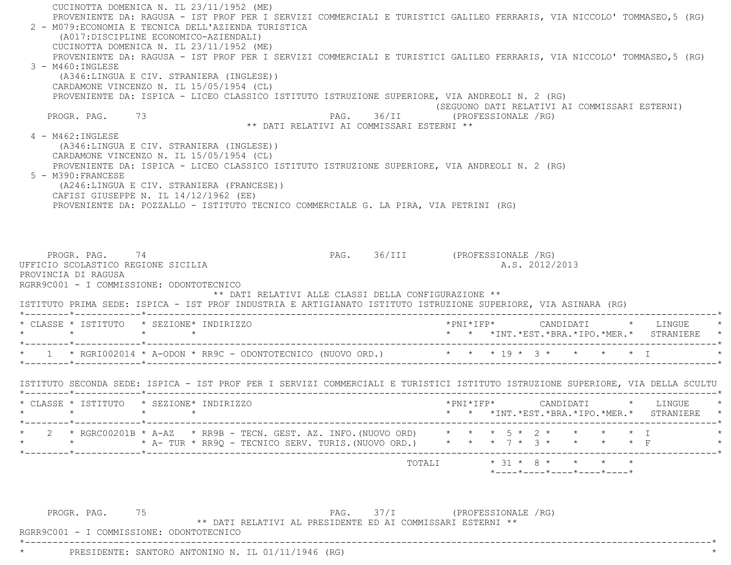CUCINOTTA DOMENICA N. IL 23/11/1952 (ME) PROVENIENTE DA: RAGUSA - IST PROF PER I SERVIZI COMMERCIALI E TURISTICI GALILEO FERRARIS, VIA NICCOLO' TOMMASEO,5 (RG) 2 - M079:ECONOMIA E TECNICA DELL'AZIENDA TURISTICA (A017:DISCIPLINE ECONOMICO-AZIENDALI) CUCINOTTA DOMENICA N. IL 23/11/1952 (ME) PROVENIENTE DA: RAGUSA - IST PROF PER I SERVIZI COMMERCIALI E TURISTICI GALILEO FERRARIS, VIA NICCOLO' TOMMASEO,5 (RG)  $3 - M460 \cdot INGLESE$  (A346:LINGUA E CIV. STRANIERA (INGLESE)) CARDAMONE VINCENZO N. IL 15/05/1954 (CL) PROVENIENTE DA: ISPICA - LICEO CLASSICO ISTITUTO ISTRUZIONE SUPERIORE, VIA ANDREOLI N. 2 (RG) (SEGUONO DATI RELATIVI AI COMMISSARI ESTERNI) PROGR. PAG. 73 73 PAG. 36/II (PROFESSIONALE /RG) \*\* DATI RELATIVI AI COMMISSARI ESTERNI \*\* 4 - M462:INGLESE (A346:LINGUA E CIV. STRANIERA (INGLESE)) CARDAMONE VINCENZO N. IL 15/05/1954 (CL) PROVENIENTE DA: ISPICA - LICEO CLASSICO ISTITUTO ISTRUZIONE SUPERIORE, VIA ANDREOLI N. 2 (RG) 5 - M390:FRANCESE (A246:LINGUA E CIV. STRANIERA (FRANCESE)) CAFISI GIUSEPPE N. IL 14/12/1962 (EE) PROVENIENTE DA: POZZALLO - ISTITUTO TECNICO COMMERCIALE G. LA PIRA, VIA PETRINI (RG) PROGR. PAG. 74 74 PAG. 36/III (PROFESSIONALE /RG) UFFICIO SCOLASTICO REGIONE SICILIA A.S. 2012/2013 PROVINCIA DI RAGUSA RGRR9C001 - I COMMISSIONE: ODONTOTECNICO \*\* DATI RELATIVI ALLE CLASSI DELLA CONFIGURAZIONE \*\* ISTITUTO PRIMA SEDE: ISPICA - IST PROF INDUSTRIA E ARTIGIANATO ISTITUTO ISTRUZIONE SUPERIORE, VIA ASINARA (RG) \*--------\*------------\*-------------------------------------------------------------------------------------------------------\* \* CLASSE \* ISTITUTO \* SEZIONE\* INDIRIZZO \*PNI\*IFP\* CANDIDATI \* LINGUE \* \* \* \* \* \* \* \*INT.\*EST.\*BRA.\*IPO.\*MER.\* STRANIERE \* \*--------\*------------\*-------------------------------------------------------------------------------------------------------\*\* 1 \* RGRI002014 \* A-ODON \* RR9C - ODONTOTECNICO (NUOVO ORD.) \* \* \* 19 \* 3 \* \* \* \* \* \* I \*--------\*------------\*-------------------------------------------------------------------------------------------------------\* ISTITUTO SECONDA SEDE: ISPICA - IST PROF PER I SERVIZI COMMERCIALI E TURISTICI ISTITUTO ISTRUZIONE SUPERIORE, VIA DELLA SCULTU \*--------\*------------\*-------------------------------------------------------------------------------------------------------\* \* CLASSE \* ISTITUTO \* SEZIONE\* INDIRIZZO \*PNI\*IFP\* CANDIDATI \* LINGUE \* \* \* \* \* \* \* \*INT.\*EST.\*BRA.\*IPO.\*MER.\* STRANIERE \* \*--------\*------------\*-------------------------------------------------------------------------------------------------------\* \* 2 \* RGRC00201B \* A-AZ \* RR9B - TECN. GEST. AZ. INFO.(NUOVO ORD) \* \* \* 5 \* 2 \* \* \* \* I \* \* \* A- TUR \* RR9Q - TECNICO SERV. TURIS.(NUOVO ORD.) \* \* 7 \*  $3$  \* \* \* \* \* F \*--------\*------------\*-------------------------------------------------------------------------------------------------------\*TOTALI  $* 31 * 8 * * * * * * *$  \*----\*----\*----\*----\*----\*PROGR. PAG. 75 2007 PAG. 37/I (PROFESSIONALE /RG) \*\* DATI RELATIVI AL PRESIDENTE ED AI COMMISSARI ESTERNI \*\*

\*----------------------------------------------------------------------------------------------------------------------------\*

RGRR9C001 - I COMMISSIONE: ODONTOTECNICO

PRESIDENTE: SANTORO ANTONINO N. IL 01/11/1946 (RG)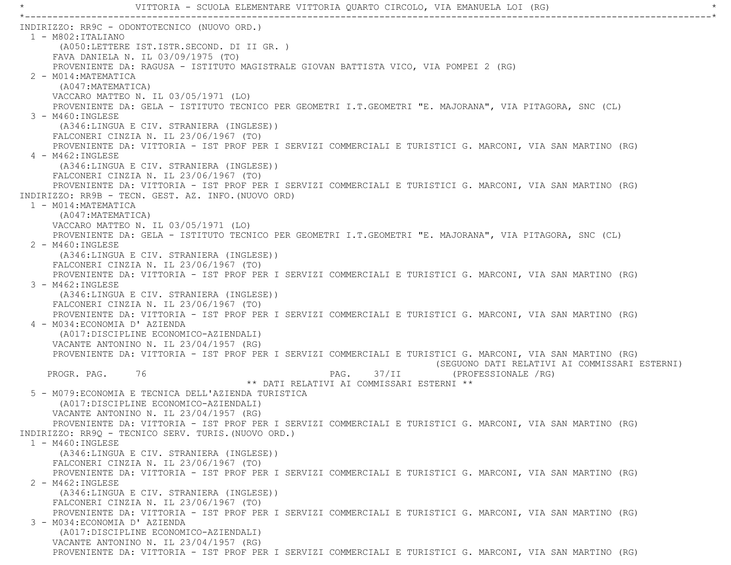INDIRIZZO: RR9C - ODONTOTECNICO (NUOVO ORD.) 1 - M802:ITALIANO (A050:LETTERE IST.ISTR.SECOND. DI II GR. ) FAVA DANIELA N. IL 03/09/1975 (TO) PROVENIENTE DA: RAGUSA - ISTITUTO MAGISTRALE GIOVAN BATTISTA VICO, VIA POMPEI 2 (RG) 2 - M014:MATEMATICA (A047:MATEMATICA) VACCARO MATTEO N. IL 03/05/1971 (LO) PROVENIENTE DA: GELA - ISTITUTO TECNICO PER GEOMETRI I.T.GEOMETRI "E. MAJORANA", VIA PITAGORA, SNC (CL) 3 - M460:INGLESE (A346:LINGUA E CIV. STRANIERA (INGLESE)) FALCONERI CINZIA N. IL 23/06/1967 (TO) PROVENIENTE DA: VITTORIA - IST PROF PER I SERVIZI COMMERCIALI E TURISTICI G. MARCONI, VIA SAN MARTINO (RG) 4 - M462:INGLESE (A346:LINGUA E CIV. STRANIERA (INGLESE)) FALCONERI CINZIA N. IL 23/06/1967 (TO) PROVENIENTE DA: VITTORIA - IST PROF PER I SERVIZI COMMERCIALI E TURISTICI G. MARCONI, VIA SAN MARTINO (RG) INDIRIZZO: RR9B - TECN. GEST. AZ. INFO.(NUOVO ORD) 1 - M014:MATEMATICA (A047:MATEMATICA) VACCARO MATTEO N. IL 03/05/1971 (LO) PROVENIENTE DA: GELA - ISTITUTO TECNICO PER GEOMETRI I.T.GEOMETRI "E. MAJORANA", VIA PITAGORA, SNC (CL) 2 - M460:INGLESE (A346:LINGUA E CIV. STRANIERA (INGLESE)) FALCONERI CINZIA N. IL 23/06/1967 (TO) PROVENIENTE DA: VITTORIA - IST PROF PER I SERVIZI COMMERCIALI E TURISTICI G. MARCONI, VIA SAN MARTINO (RG) 3 - M462:INGLESE (A346:LINGUA E CIV. STRANIERA (INGLESE)) FALCONERI CINZIA N. IL 23/06/1967 (TO) PROVENIENTE DA: VITTORIA - IST PROF PER I SERVIZI COMMERCIALI E TURISTICI G. MARCONI, VIA SAN MARTINO (RG) 4 - M034:ECONOMIA D' AZIENDA (A017:DISCIPLINE ECONOMICO-AZIENDALI) VACANTE ANTONINO N. IL 23/04/1957 (RG) PROVENIENTE DA: VITTORIA - IST PROF PER I SERVIZI COMMERCIALI E TURISTICI G. MARCONI, VIA SAN MARTINO (RG) (SEGUONO DATI RELATIVI AI COMMISSARI ESTERNI) PROGR. PAG. 76 76 PAG. 37/II (PROFESSIONALE /RG) \*\* DATI RELATIVI AI COMMISSARI ESTERNI \*\* 5 - M079:ECONOMIA E TECNICA DELL'AZIENDA TURISTICA (A017:DISCIPLINE ECONOMICO-AZIENDALI) VACANTE ANTONINO N. IL 23/04/1957 (RG) PROVENIENTE DA: VITTORIA - IST PROF PER I SERVIZI COMMERCIALI E TURISTICI G. MARCONI, VIA SAN MARTINO (RG) INDIRIZZO: RR9Q - TECNICO SERV. TURIS.(NUOVO ORD.) 1 - M460:INGLESE (A346:LINGUA E CIV. STRANIERA (INGLESE)) FALCONERI CINZIA N. IL 23/06/1967 (TO) PROVENIENTE DA: VITTORIA - IST PROF PER I SERVIZI COMMERCIALI E TURISTICI G. MARCONI, VIA SAN MARTINO (RG) 2 - M462:INGLESE (A346:LINGUA E CIV. STRANIERA (INGLESE)) FALCONERI CINZIA N. IL 23/06/1967 (TO) PROVENIENTE DA: VITTORIA - IST PROF PER I SERVIZI COMMERCIALI E TURISTICI G. MARCONI, VIA SAN MARTINO (RG) 3 - M034:ECONOMIA D' AZIENDA (A017:DISCIPLINE ECONOMICO-AZIENDALI) VACANTE ANTONINO N. IL 23/04/1957 (RG) PROVENIENTE DA: VITTORIA - IST PROF PER I SERVIZI COMMERCIALI E TURISTICI G. MARCONI, VIA SAN MARTINO (RG)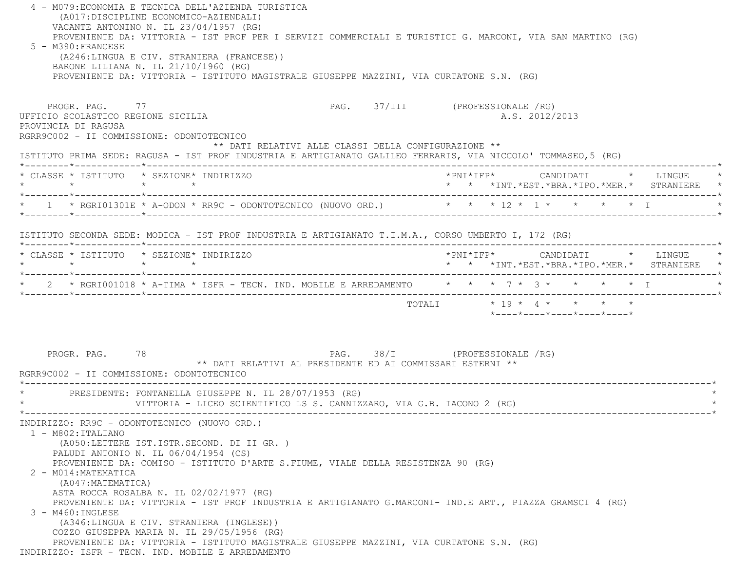4 - M079:ECONOMIA E TECNICA DELL'AZIENDA TURISTICA (A017:DISCIPLINE ECONOMICO-AZIENDALI) VACANTE ANTONINO N. IL 23/04/1957 (RG) PROVENIENTE DA: VITTORIA - IST PROF PER I SERVIZI COMMERCIALI E TURISTICI G. MARCONI, VIA SAN MARTINO (RG) 5 - M390:FRANCESE (A246:LINGUA E CIV. STRANIERA (FRANCESE)) BARONE LILIANA N. IL 21/10/1960 (RG) PROVENIENTE DA: VITTORIA - ISTITUTO MAGISTRALE GIUSEPPE MAZZINI, VIA CURTATONE S.N. (RG) PROGR. PAG. 77 PAG. STATISTIC PAG. 27/III (PROFESSIONALE /RG) UFFICIO SCOLASTICO REGIONE SICILIA A.S. 2012/2013 PROVINCIA DI RAGUSA RGRR9C002 - II COMMISSIONE: ODONTOTECNICO \*\* DATI RELATIVI ALLE CLASSI DELLA CONFIGURAZIONE \*\* ISTITUTO PRIMA SEDE: RAGUSA - IST PROF INDUSTRIA E ARTIGIANATO GALILEO FERRARIS, VIA NICCOLO' TOMMASEO,5 (RG) \*--------\*------------\*-------------------------------------------------------------------------------------------------------\* \* CLASSE \* ISTITUTO \* SEZIONE\* INDIRIZZO \*PNI\*IFP\* CANDIDATI \* LINGUE \* \* \* \* \* \* \* \*INT.\*EST.\*BRA.\*IPO.\*MER.\* STRANIERE \* \*--------\*------------\*-------------------------------------------------------------------------------------------------------\*\* 1 \* RGRI01301E \* A-ODON \* RR9C - ODONTOTECNICO (NUOVO ORD.) \* \* \* \* 12 \* 1 \* \* \* \* \* \* I \*--------\*------------\*-------------------------------------------------------------------------------------------------------\* ISTITUTO SECONDA SEDE: MODICA - IST PROF INDUSTRIA E ARTIGIANATO T.I.M.A., CORSO UMBERTO I, 172 (RG) \*--------\*------------\*-------------------------------------------------------------------------------------------------------\* \* CLASSE \* ISTITUTO \* SEZIONE\* INDIRIZZO \*PNI\*IFP\* CANDIDATI \* LINGUE \* \* \* \* \* \* \* \*INT.\*EST.\*BRA.\*IPO.\*MER.\* STRANIERE \* \*--------\*------------\*-------------------------------------------------------------------------------------------------------\*\* 2 \* RGRI001018 \* A-TIMA \* ISFR - TECN. IND. MOBILE E ARREDAMENTO  $\qquad$  \* \* \* 7 \* 3 \* \* \* \* \* \* T \*--------\*------------\*-------------------------------------------------------------------------------------------------------\* TOTALI \* 19 \* 4 \* \* \* \* \*----\*----\*----\*----\*----\*PROGR. PAG. 78 78 PAG. 38/I (PROFESSIONALE / RG) \*\* DATI RELATIVI AL PRESIDENTE ED AI COMMISSARI ESTERNI \*\* RGRR9C002 - II COMMISSIONE: ODONTOTECNICO \*----------------------------------------------------------------------------------------------------------------------------\*PRESIDENTE: FONTANELLA GIUSEPPE N. IL 28/07/1953 (RG) VITTORIA - LICEO SCIENTIFICO LS S. CANNIZZARO, VIA G.B. IACONO 2 (RG) \*----------------------------------------------------------------------------------------------------------------------------\* INDIRIZZO: RR9C - ODONTOTECNICO (NUOVO ORD.) 1 - M802:ITALIANO (A050:LETTERE IST.ISTR.SECOND. DI II GR. ) PALUDI ANTONIO N. IL 06/04/1954 (CS) PROVENIENTE DA: COMISO - ISTITUTO D'ARTE S.FIUME, VIALE DELLA RESISTENZA 90 (RG) 2 - M014:MATEMATICA (A047:MATEMATICA) ASTA ROCCA ROSALBA N. IL 02/02/1977 (RG) PROVENIENTE DA: VITTORIA - IST PROF INDUSTRIA E ARTIGIANATO G.MARCONI- IND.E ART., PIAZZA GRAMSCI 4 (RG) 3 - M460:INGLESE (A346:LINGUA E CIV. STRANIERA (INGLESE)) COZZO GIUSEPPA MARIA N. IL 29/05/1956 (RG) PROVENIENTE DA: VITTORIA - ISTITUTO MAGISTRALE GIUSEPPE MAZZINI, VIA CURTATONE S.N. (RG) INDIRIZZO: ISFR - TECN. IND. MOBILE E ARREDAMENTO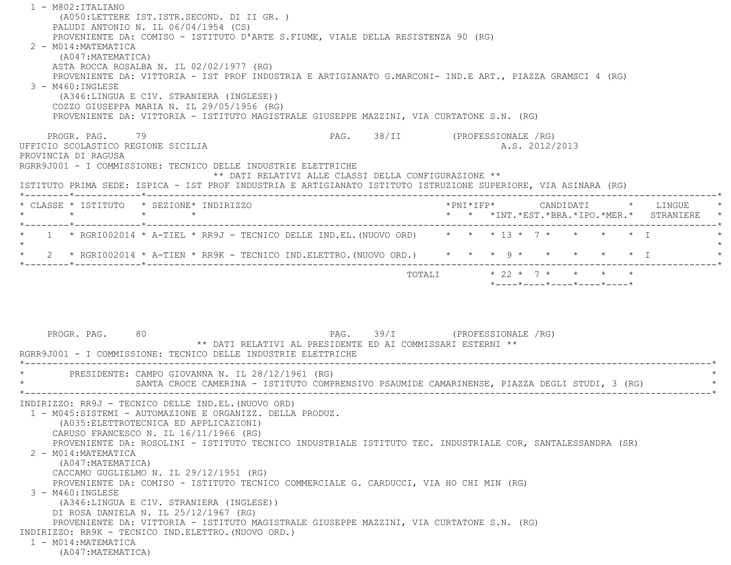| 1 - M802: ITALIANO                                                                                             |                                                            |                                                                                              |  |
|----------------------------------------------------------------------------------------------------------------|------------------------------------------------------------|----------------------------------------------------------------------------------------------|--|
| (A050:LETTERE IST.ISTR.SECOND. DI II GR. )                                                                     |                                                            |                                                                                              |  |
| PALUDI ANTONIO N. IL 06/04/1954 (CS)                                                                           |                                                            |                                                                                              |  |
| PROVENIENTE DA: COMISO - ISTITUTO D'ARTE S.FIUME, VIALE DELLA RESISTENZA 90 (RG)                               |                                                            |                                                                                              |  |
| 2 - M014: MATEMATICA                                                                                           |                                                            |                                                                                              |  |
| (A047: MATEMATICA)                                                                                             |                                                            |                                                                                              |  |
| ASTA ROCCA ROSALBA N. IL 02/02/1977 (RG)                                                                       |                                                            |                                                                                              |  |
| PROVENIENTE DA: VITTORIA - IST PROF INDUSTRIA E ARTIGIANATO G.MARCONI- IND.E ART., PIAZZA GRAMSCI 4 (RG)       |                                                            |                                                                                              |  |
| $3 - M460$ : INGLESE                                                                                           |                                                            |                                                                                              |  |
| (A346:LINGUA E CIV. STRANIERA (INGLESE))                                                                       |                                                            |                                                                                              |  |
| COZZO GIUSEPPA MARIA N. IL 29/05/1956 (RG)                                                                     |                                                            |                                                                                              |  |
| PROVENIENTE DA: VITTORIA - ISTITUTO MAGISTRALE GIUSEPPE MAZZINI, VIA CURTATONE S.N. (RG)                       |                                                            |                                                                                              |  |
|                                                                                                                |                                                            |                                                                                              |  |
| PROGR. PAG. 79                                                                                                 |                                                            | PAG. 38/II (PROFESSIONALE /RG)                                                               |  |
| UFFICIO SCOLASTICO REGIONE SICILIA                                                                             |                                                            | A.S. 2012/2013                                                                               |  |
| PROVINCIA DI RAGUSA<br>RGRR9J001 - I COMMISSIONE: TECNICO DELLE INDUSTRIE ELETTRICHE                           |                                                            |                                                                                              |  |
|                                                                                                                | ** DATI RELATIVI ALLE CLASSI DELLA CONFIGURAZIONE **       |                                                                                              |  |
| ISTITUTO PRIMA SEDE: ISPICA - IST PROF INDUSTRIA E ARTIGIANATO ISTITUTO ISTRUZIONE SUPERIORE, VIA ASINARA (RG) |                                                            |                                                                                              |  |
|                                                                                                                |                                                            |                                                                                              |  |
| * CLASSE * ISTITUTO * SEZIONE* INDIRIZZO                                                                       |                                                            | *PNI*IFP*     CANDIDATI    *   LINGUE                                                        |  |
| $\star$ $\star$<br>$\star$                                                                                     |                                                            | * * *INT.*EST.*BRA.*IPO.*MER.* STRANIERE                                                     |  |
| 1 * RGRI002014 * A-TIEL * RR9J - TECNICO DELLE IND.EL. (NUOVO ORD) * * * 13 * 7 * * * * * * I                  |                                                            |                                                                                              |  |
|                                                                                                                |                                                            |                                                                                              |  |
|                                                                                                                |                                                            | 2 * RGRI002014 * A-TIEN * RR9K - TECNICO IND.ELETTRO. (NUOVO ORD.) * * * 9 * * * * * * * I   |  |
|                                                                                                                |                                                            |                                                                                              |  |
|                                                                                                                |                                                            | TOTALI * 22 * 7 * * * *                                                                      |  |
|                                                                                                                |                                                            | $*$ ---- $*$ ---- $*$ ---- $*$ ---- $*$ ---- $*$                                             |  |
|                                                                                                                |                                                            |                                                                                              |  |
|                                                                                                                |                                                            |                                                                                              |  |
|                                                                                                                |                                                            |                                                                                              |  |
| PROGR. PAG. 80                                                                                                 | PAG. 39/I (PROFESSIONALE /RG)                              |                                                                                              |  |
|                                                                                                                | ** DATI RELATIVI AL PRESIDENTE ED AI COMMISSARI ESTERNI ** |                                                                                              |  |
| RGRR9J001 - I COMMISSIONE: TECNICO DELLE INDUSTRIE ELETTRICHE                                                  |                                                            |                                                                                              |  |
|                                                                                                                |                                                            |                                                                                              |  |
| PRESIDENTE: CAMPO GIOVANNA N. IL 28/12/1961 (RG)                                                               |                                                            |                                                                                              |  |
|                                                                                                                |                                                            | SANTA CROCE CAMERINA - ISTITUTO COMPRENSIVO PSAUMIDE CAMARINENSE, PIAZZA DEGLI STUDI, 3 (RG) |  |
|                                                                                                                |                                                            |                                                                                              |  |
| INDIRIZZO: RR9J - TECNICO DELLE IND.EL. (NUOVO ORD)                                                            |                                                            |                                                                                              |  |
| 1 - M045:SISTEMI - AUTOMAZIONE E ORGANIZZ. DELLA PRODUZ.                                                       |                                                            |                                                                                              |  |
| (A035: ELETTROTECNICA ED APPLICAZIONI)                                                                         |                                                            |                                                                                              |  |
| CARUSO FRANCESCO N. IL 16/11/1966 (RG)                                                                         |                                                            |                                                                                              |  |
| PROVENIENTE DA: ROSOLINI - ISTITUTO TECNICO INDUSTRIALE ISTITUTO TEC. INDUSTRIALE COR, SANTALESSANDRA (SR)     |                                                            |                                                                                              |  |
| 2 - M014: MATEMATICA                                                                                           |                                                            |                                                                                              |  |
| (A047: MATEMATICA)                                                                                             |                                                            |                                                                                              |  |
| CACCAMO GUGLIELMO N. IL 29/12/1951 (RG)                                                                        |                                                            |                                                                                              |  |
| PROVENIENTE DA: COMISO - ISTITUTO TECNICO COMMERCIALE G. CARDUCCI, VIA HO CHI MIN (RG)                         |                                                            |                                                                                              |  |
| 3 - M460: INGLESE                                                                                              |                                                            |                                                                                              |  |
|                                                                                                                |                                                            |                                                                                              |  |
|                                                                                                                |                                                            |                                                                                              |  |
| (A346:LINGUA E CIV. STRANIERA (INGLESE))<br>DI ROSA DANIELA N. IL 25/12/1967 (RG)                              |                                                            |                                                                                              |  |
|                                                                                                                |                                                            |                                                                                              |  |
| PROVENIENTE DA: VITTORIA - ISTITUTO MAGISTRALE GIUSEPPE MAZZINI, VIA CURTATONE S.N. (RG)                       |                                                            |                                                                                              |  |
| INDIRIZZO: RR9K - TECNICO IND.ELETTRO. (NUOVO ORD.)<br>1 - M014: MATEMATICA                                    |                                                            |                                                                                              |  |
| (A047: MATEMATICA)                                                                                             |                                                            |                                                                                              |  |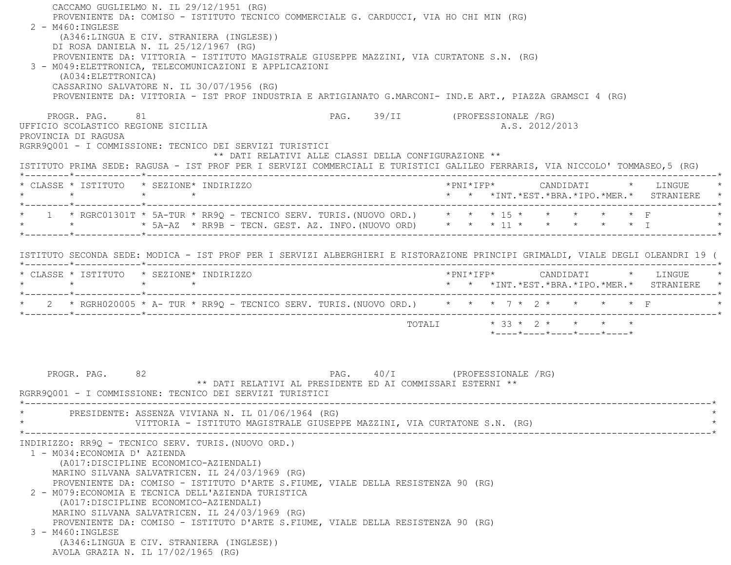| CACCAMO GUGLIELMO N. IL 29/12/1951 (RG)<br>PROVENIENTE DA: COMISO - ISTITUTO TECNICO COMMERCIALE G. CARDUCCI, VIA HO CHI MIN (RG)<br>$2 - M460$ : INGLESE<br>(A346:LINGUA E CIV. STRANIERA (INGLESE))<br>DI ROSA DANIELA N. IL 25/12/1967 (RG)<br>PROVENIENTE DA: VITTORIA - ISTITUTO MAGISTRALE GIUSEPPE MAZZINI, VIA CURTATONE S.N. (RG)<br>3 - M049: ELETTRONICA, TELECOMUNICAZIONI E APPLICAZIONI<br>(A034: ELETTRONICA)<br>CASSARINO SALVATORE N. IL 30/07/1956 (RG)<br>PROVENIENTE DA: VITTORIA - IST PROF INDUSTRIA E ARTIGIANATO G.MARCONI- IND.E ART., PIAZZA GRAMSCI 4 (RG)                            |                                                                            |
|------------------------------------------------------------------------------------------------------------------------------------------------------------------------------------------------------------------------------------------------------------------------------------------------------------------------------------------------------------------------------------------------------------------------------------------------------------------------------------------------------------------------------------------------------------------------------------------------------------------|----------------------------------------------------------------------------|
| PROGR. PAG. 81<br>UFFICIO SCOLASTICO REGIONE SICILIA<br>PROVINCIA DI RAGUSA<br>RGRR90001 - I COMMISSIONE: TECNICO DEI SERVIZI TURISTICI<br>** DATI RELATIVI ALLE CLASSI DELLA CONFIGURAZIONE **<br>ISTITUTO PRIMA SEDE: RAGUSA - IST PROF PER I SERVIZI COMMERCIALI E TURISTICI GALILEO FERRARIS, VIA NICCOLO' TOMMASEO,5 (RG)                                                                                                                                                                                                                                                                                   | PAG. 39/II (PROFESSIONALE /RG)<br>A.S. 2012/2013                           |
| * CLASSE * ISTITUTO * SEZIONE* INDIRIZZO                                                                                                                                                                                                                                                                                                                                                                                                                                                                                                                                                                         | * * *INT.*EST.*BRA.*IPO.*MER.* STRANIERE *                                 |
| * 1 * RGRC01301T * 5A-TUR * RR9Q - TECNICO SERV. TURIS. (NUOVO ORD.) * * * 15 * * * * * * * F<br>* * * 5A-AZ * RR9B - TECN. GEST. AZ. INFO. (NUOVO ORD) * * * 11 * * * * * * * I                                                                                                                                                                                                                                                                                                                                                                                                                                 |                                                                            |
| ISTITUTO SECONDA SEDE: MODICA - IST PROF PER I SERVIZI ALBERGHIERI E RISTORAZIONE PRINCIPI GRIMALDI, VIALE DEGLI OLEANDRI 19 (                                                                                                                                                                                                                                                                                                                                                                                                                                                                                   |                                                                            |
| * CLASSE * ISTITUTO * SEZIONE* INDIRIZZO<br>$\star$ $\star$ $\star$ $\star$                                                                                                                                                                                                                                                                                                                                                                                                                                                                                                                                      | *PNI*IFP* CANDIDATI * LINGUE<br>* * *INT.*EST.*BRA.*IPO.*MER.* STRANIERE * |
| * 2 * RGRH020005 * A- TUR * RR9Q - TECNICO SERV. TURIS. (NUOVO ORD.) * * * 7 * 2 * * * * * F                                                                                                                                                                                                                                                                                                                                                                                                                                                                                                                     |                                                                            |
|                                                                                                                                                                                                                                                                                                                                                                                                                                                                                                                                                                                                                  | TOTALI * 33 * 2 * * * * *<br>*----*----*----*----*----*                    |
| PROGR. PAG.<br>82<br>** DATI RELATIVI AL PRESIDENTE ED AI COMMISSARI ESTERNI **<br>RGRR90001 - I COMMISSIONE: TECNICO DEI SERVIZI TURISTICI<br>PRESIDENTE: ASSENZA VIVIANA N. IL 01/06/1964 (RG)<br>VITTORIA - ISTITUTO MAGISTRALE GIUSEPPE MAZZINI, VIA CURTATONE S.N. (RG)                                                                                                                                                                                                                                                                                                                                     | PAG. 40/I (PROFESSIONALE /RG)                                              |
| INDIRIZZO: RR9Q - TECNICO SERV. TURIS. (NUOVO ORD.)<br>1 - M034: ECONOMIA D' AZIENDA<br>(A017:DISCIPLINE ECONOMICO-AZIENDALI)<br>MARINO SILVANA SALVATRICEN. IL 24/03/1969 (RG)<br>PROVENIENTE DA: COMISO - ISTITUTO D'ARTE S.FIUME, VIALE DELLA RESISTENZA 90 (RG)<br>2 - M079: ECONOMIA E TECNICA DELL'AZIENDA TURISTICA<br>(A017:DISCIPLINE ECONOMICO-AZIENDALI)<br>MARINO SILVANA SALVATRICEN. IL 24/03/1969 (RG)<br>PROVENIENTE DA: COMISO - ISTITUTO D'ARTE S.FIUME, VIALE DELLA RESISTENZA 90 (RG)<br>3 - M460: INGLESE<br>(A346:LINGUA E CIV. STRANIERA (INGLESE))<br>AVOLA GRAZIA N. IL 17/02/1965 (RG) |                                                                            |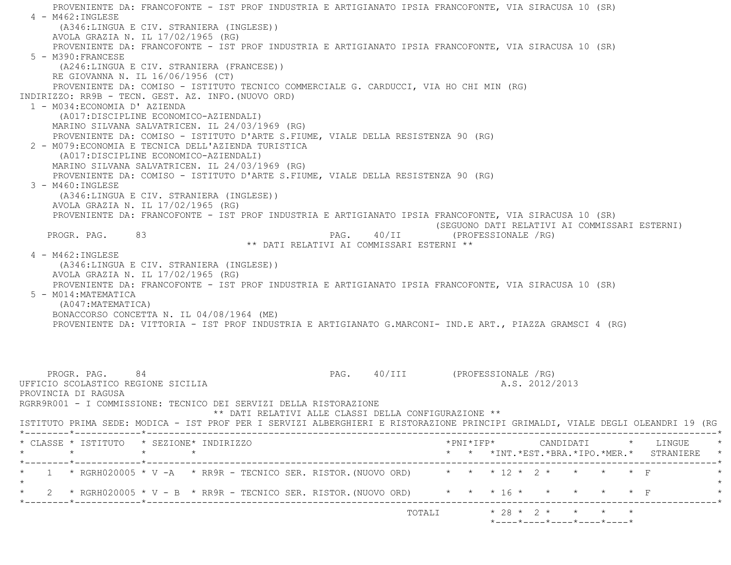PROVENIENTE DA: FRANCOFONTE - IST PROF INDUSTRIA E ARTIGIANATO IPSIA FRANCOFONTE, VIA SIRACUSA 10 (SR) 4 - M462:INGLESE (A346:LINGUA E CIV. STRANIERA (INGLESE)) AVOLA GRAZIA N. IL 17/02/1965 (RG) PROVENIENTE DA: FRANCOFONTE - IST PROF INDUSTRIA E ARTIGIANATO IPSIA FRANCOFONTE, VIA SIRACUSA 10 (SR) 5 - M390:FRANCESE (A246:LINGUA E CIV. STRANIERA (FRANCESE)) RE GIOVANNA N. IL 16/06/1956 (CT) PROVENIENTE DA: COMISO - ISTITUTO TECNICO COMMERCIALE G. CARDUCCI, VIA HO CHI MIN (RG) INDIRIZZO: RR9B - TECN. GEST. AZ. INFO.(NUOVO ORD) 1 - M034:ECONOMIA D' AZIENDA (A017:DISCIPLINE ECONOMICO-AZIENDALI) MARINO SILVANA SALVATRICEN. IL 24/03/1969 (RG) PROVENIENTE DA: COMISO - ISTITUTO D'ARTE S.FIUME, VIALE DELLA RESISTENZA 90 (RG) 2 - M079:ECONOMIA E TECNICA DELL'AZIENDA TURISTICA (A017:DISCIPLINE ECONOMICO-AZIENDALI) MARINO SILVANA SALVATRICEN. IL 24/03/1969 (RG) PROVENIENTE DA: COMISO - ISTITUTO D'ARTE S.FIUME, VIALE DELLA RESISTENZA 90 (RG) 3 - M460:INGLESE (A346:LINGUA E CIV. STRANIERA (INGLESE)) AVOLA GRAZIA N. IL 17/02/1965 (RG) PROVENIENTE DA: FRANCOFONTE - IST PROF INDUSTRIA E ARTIGIANATO IPSIA FRANCOFONTE, VIA SIRACUSA 10 (SR) (SEGUONO DATI RELATIVI AI COMMISSARI ESTERNI) PROGR. PAG. 83 PAG. 40/II (PROFESSIONALE /RG) \*\* DATI RELATIVI AI COMMISSARI ESTERNI \*\* 4 - M462:INGLESE (A346:LINGUA E CIV. STRANIERA (INGLESE)) AVOLA GRAZIA N. IL 17/02/1965 (RG) PROVENIENTE DA: FRANCOFONTE - IST PROF INDUSTRIA E ARTIGIANATO IPSIA FRANCOFONTE, VIA SIRACUSA 10 (SR) 5 - M014:MATEMATICA (A047:MATEMATICA) BONACCORSO CONCETTA N. IL 04/08/1964 (ME) PROVENIENTE DA: VITTORIA - IST PROF INDUSTRIA E ARTIGIANATO G.MARCONI- IND.E ART., PIAZZA GRAMSCI 4 (RG) PROGR. PAG. 84 84 PAG. 40/III (PROFESSIONALE /RG) UFFICIO SCOLASTICO REGIONE SICILIA AND ALS. 2012/2013 PROVINCIA DI RAGUSA RGRR9R001 - I COMMISSIONE: TECNICO DEI SERVIZI DELLA RISTORAZIONE \*\* DATI RELATIVI ALLE CLASSI DELLA CONFIGURAZIONE \*\* ISTITUTO PRIMA SEDE: MODICA - IST PROF PER I SERVIZI ALBERGHIERI E RISTORAZIONE PRINCIPI GRIMALDI, VIALE DEGLI OLEANDRI 19 (RG \*--------\*------------\*-------------------------------------------------------------------------------------------------------\* \* CLASSE \* ISTITUTO \* SEZIONE\* INDIRIZZO \*PNI\*IFP\* CANDIDATI \* LINGUE \* \* \* \* \* \* \* \*INT.\*EST.\*BRA.\*IPO.\*MER.\* STRANIERE \* \*--------\*------------\*-------------------------------------------------------------------------------------------------------\*\* 1 \* RGRH020005 \* V -A \* RR9R - TECNICO SER. RISTOR. (NUOVO ORD) \* \* \* 12 \* 2 \* \* \* \* \* \* F  $\star$ \* 2 \* RGRH020005 \* V - B \* RR9R - TECNICO SER. RISTOR. (NUOVO ORD) \* \* \* 16 \* \* \* \* \* \* \* F \*--------\*------------\*-------------------------------------------------------------------------------------------------------\*

TOTALI  $* 28 * 2 * * * * * * * *$ 

 $*$ ---- $*$ ---- $*$ ---- $*$ ---- $*$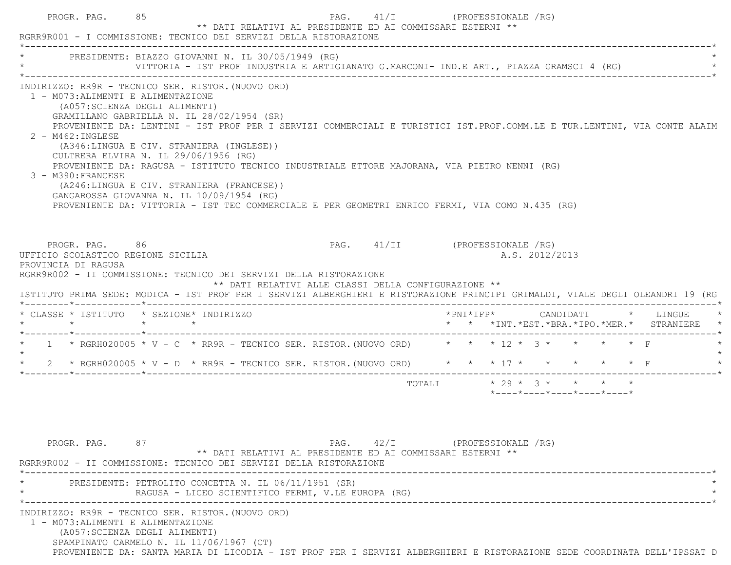|                                                           | * PRESIDENTE: BIAZZO GIOVANNI N. IL 30/05/1949 (RG)                                                                                                                                                                                                                                                                                                                                                                                                                                                                                                                                                                                                                                    |                                                                                             |                           |  |                |                                                                 |  |                                                                                        |
|-----------------------------------------------------------|----------------------------------------------------------------------------------------------------------------------------------------------------------------------------------------------------------------------------------------------------------------------------------------------------------------------------------------------------------------------------------------------------------------------------------------------------------------------------------------------------------------------------------------------------------------------------------------------------------------------------------------------------------------------------------------|---------------------------------------------------------------------------------------------|---------------------------|--|----------------|-----------------------------------------------------------------|--|----------------------------------------------------------------------------------------|
|                                                           | VITTORIA - IST PROF INDUSTRIA E ARTIGIANATO G.MARCONI- IND.E ART., PIAZZA GRAMSCI 4 (RG)                                                                                                                                                                                                                                                                                                                                                                                                                                                                                                                                                                                               |                                                                                             |                           |  |                |                                                                 |  |                                                                                        |
| $2 - M462 : INGLESE$<br>3 - M390: FRANCESE                | INDIRIZZO: RR9R - TECNICO SER. RISTOR. (NUOVO ORD)<br>1 - M073: ALIMENTI E ALIMENTAZIONE<br>(A057: SCIENZA DEGLI ALIMENTI)<br>GRAMILLANO GABRIELLA N. IL 28/02/1954 (SR)<br>PROVENIENTE DA: LENTINI - IST PROF PER I SERVIZI COMMERCIALI E TURISTICI IST.PROF.COMM.LE E TUR.LENTINI, VIA CONTE ALAIM<br>(A346:LINGUA E CIV. STRANIERA (INGLESE))<br>CULTRERA ELVIRA N. IL 29/06/1956 (RG)<br>PROVENIENTE DA: RAGUSA - ISTITUTO TECNICO INDUSTRIALE ETTORE MAJORANA, VIA PIETRO NENNI (RG)<br>(A246:LINGUA E CIV. STRANIERA (FRANCESE))<br>GANGAROSSA GIOVANNA N. IL 10/09/1954 (RG)<br>PROVENIENTE DA: VITTORIA - IST TEC COMMERCIALE E PER GEOMETRI ENRICO FERMI, VIA COMO N.435 (RG) |                                                                                             |                           |  |                |                                                                 |  |                                                                                        |
| UFFICIO SCOLASTICO REGIONE SICILIA<br>PROVINCIA DI RAGUSA | PROGR. PAG. 86<br>RGRR9R002 - II COMMISSIONE: TECNICO DEI SERVIZI DELLA RISTORAZIONE<br>ISTITUTO PRIMA SEDE: MODICA - IST PROF PER I SERVIZI ALBERGHIERI E RISTORAZIONE PRINCIPI GRIMALDI, VIALE DEGLI OLEANDRI 19 (RG                                                                                                                                                                                                                                                                                                                                                                                                                                                                 | PAG. 41/II (PROFESSIONALE /RG)<br>** DATI RELATIVI ALLE CLASSI DELLA CONFIGURAZIONE **      |                           |  | A.S. 2012/2013 |                                                                 |  |                                                                                        |
|                                                           | * CLASSE * ISTITUTO * SEZIONE* INDIRIZZO                                                                                                                                                                                                                                                                                                                                                                                                                                                                                                                                                                                                                                               |                                                                                             |                           |  |                |                                                                 |  | *PNI*IFP*     CANDIDATI    *   LINGUE<br>* * *INT. *EST. *BRA. *IPO. *MER. * STRANIERE |
|                                                           | $\star$ $\star$ $\star$ $\star$                                                                                                                                                                                                                                                                                                                                                                                                                                                                                                                                                                                                                                                        |                                                                                             |                           |  |                |                                                                 |  |                                                                                        |
|                                                           | * 1 * RGRH020005 * V - C * RR9R - TECNICO SER. RISTOR. (NUOVO ORD) * * * 12 * 3 * * * * * F                                                                                                                                                                                                                                                                                                                                                                                                                                                                                                                                                                                            |                                                                                             |                           |  |                |                                                                 |  |                                                                                        |
|                                                           | * 2 * RGRH020005 * V - D * RR9R - TECNICO SER. RISTOR. (NUOVO ORD) * * * * 17 * * * * * * * F                                                                                                                                                                                                                                                                                                                                                                                                                                                                                                                                                                                          |                                                                                             |                           |  |                |                                                                 |  |                                                                                        |
|                                                           |                                                                                                                                                                                                                                                                                                                                                                                                                                                                                                                                                                                                                                                                                        |                                                                                             | TOTALI * 29 * 3 * * * * * |  |                | $*$ - - - - $*$ - - - - $*$ - - - - $*$ - - - - $*$ - - - - $*$ |  |                                                                                        |
| PROGR. PAG.                                               | 87<br>RGRR9R002 - II COMMISSIONE: TECNICO DEI SERVIZI DELLA RISTORAZIONE                                                                                                                                                                                                                                                                                                                                                                                                                                                                                                                                                                                                               | PAG. 42/I (PROFESSIONALE /RG)<br>** DATI RELATIVI AL PRESIDENTE ED AI COMMISSARI ESTERNI ** |                           |  |                |                                                                 |  |                                                                                        |
|                                                           | PRESIDENTE: PETROLITO CONCETTA N. IL 06/11/1951 (SR)<br>RAGUSA - LICEO SCIENTIFICO FERMI, V.LE EUROPA (RG)                                                                                                                                                                                                                                                                                                                                                                                                                                                                                                                                                                             |                                                                                             |                           |  |                |                                                                 |  |                                                                                        |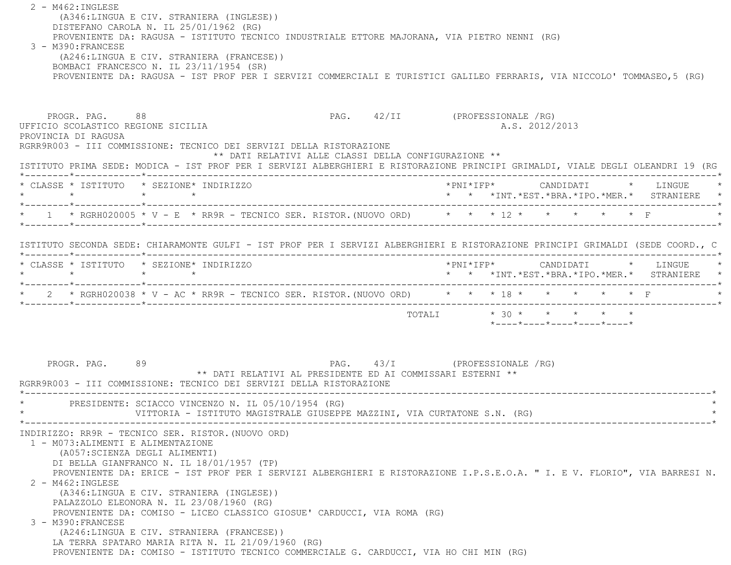2 - M462:INGLESE (A346:LINGUA E CIV. STRANIERA (INGLESE)) DISTEFANO CAROLA N. IL 25/01/1962 (RG) PROVENIENTE DA: RAGUSA - ISTITUTO TECNICO INDUSTRIALE ETTORE MAJORANA, VIA PIETRO NENNI (RG) 3 - M390:FRANCESE (A246:LINGUA E CIV. STRANIERA (FRANCESE)) BOMBACI FRANCESCO N. IL 23/11/1954 (SR) PROVENIENTE DA: RAGUSA - IST PROF PER I SERVIZI COMMERCIALI E TURISTICI GALILEO FERRARIS, VIA NICCOLO' TOMMASEO,5 (RG) PROGR. PAG. 88 8 PAG. 42/II (PROFESSIONALE /RG) UFFICIO SCOLASTICO REGIONE SICILIA A.S. 2012/2013 PROVINCIA DI RAGUSA RGRR9R003 - III COMMISSIONE: TECNICO DEI SERVIZI DELLA RISTORAZIONE \*\* DATI RELATIVI ALLE CLASSI DELLA CONFIGURAZIONE \*\* ISTITUTO PRIMA SEDE: MODICA - IST PROF PER I SERVIZI ALBERGHIERI E RISTORAZIONE PRINCIPI GRIMALDI, VIALE DEGLI OLEANDRI 19 (RG \*--------\*------------\*-------------------------------------------------------------------------------------------------------\* \* CLASSE \* ISTITUTO \* SEZIONE\* INDIRIZZO \*PNI\*IFP\* CANDIDATI \* LINGUE \* \* \* \* \* \* \* \*INT.\*EST.\*BRA.\*IPO.\*MER.\* STRANIERE \* \*--------\*------------\*-------------------------------------------------------------------------------------------------------\*1 \* RGRH020005 \* V - E \* RR9R - TECNICO SER. RISTOR. (NUOVO ORD) \* \* \* \* 12 \* \* \* \* \* \* \* \* F \*--------\*------------\*-------------------------------------------------------------------------------------------------------\* ISTITUTO SECONDA SEDE: CHIARAMONTE GULFI - IST PROF PER I SERVIZI ALBERGHIERI E RISTORAZIONE PRINCIPI GRIMALDI (SEDE COORD., C \*--------\*------------\*-------------------------------------------------------------------------------------------------------\* \* CLASSE \* ISTITUTO \* SEZIONE\* INDIRIZZO \*PNI\*IFP\* CANDIDATI \* LINGUE \* \* \* \* \* \* \* \*INT.\*EST.\*BRA.\*IPO.\*MER.\* STRANIERE \* \*--------\*------------\*-------------------------------------------------------------------------------------------------------\*\* 2 \* RGRH020038 \* V - AC \* RR9R - TECNICO SER. RISTOR. (NUOVO ORD) \* \* \* 18 \* \* \* \* \* \* \* F \*--------\*------------\*-------------------------------------------------------------------------------------------------------\*TOTALI  $* 30 * * * * * * * * *$  \*----\*----\*----\*----\*----\*PROGR. PAG. 89 88 PAG. 43/I (PROFESSIONALE / RG) \*\* DATI RELATIVI AL PRESIDENTE ED AI COMMISSARI ESTERNI \*\* RGRR9R003 - III COMMISSIONE: TECNICO DEI SERVIZI DELLA RISTORAZIONE \*----------------------------------------------------------------------------------------------------------------------------\*PRESIDENTE: SCIACCO VINCENZO N. IL 05/10/1954 (RG) VITTORIA - ISTITUTO MAGISTRALE GIUSEPPE MAZZINI, VIA CURTATONE S.N. (RG) \*----------------------------------------------------------------------------------------------------------------------------\* INDIRIZZO: RR9R - TECNICO SER. RISTOR.(NUOVO ORD) 1 - M073:ALIMENTI E ALIMENTAZIONE (A057:SCIENZA DEGLI ALIMENTI) DI BELLA GIANFRANCO N. IL 18/01/1957 (TP) PROVENIENTE DA: ERICE - IST PROF PER I SERVIZI ALBERGHIERI E RISTORAZIONE I.P.S.E.O.A. " I. E V. FLORIO", VIA BARRESI N. 2 - M462:INGLESE (A346:LINGUA E CIV. STRANIERA (INGLESE)) PALAZZOLO ELEONORA N. IL 23/08/1960 (RG) PROVENIENTE DA: COMISO - LICEO CLASSICO GIOSUE' CARDUCCI, VIA ROMA (RG) 3 - M390:FRANCESE (A246:LINGUA E CIV. STRANIERA (FRANCESE)) LA TERRA SPATARO MARIA RITA N. IL 21/09/1960 (RG) PROVENIENTE DA: COMISO - ISTITUTO TECNICO COMMERCIALE G. CARDUCCI, VIA HO CHI MIN (RG)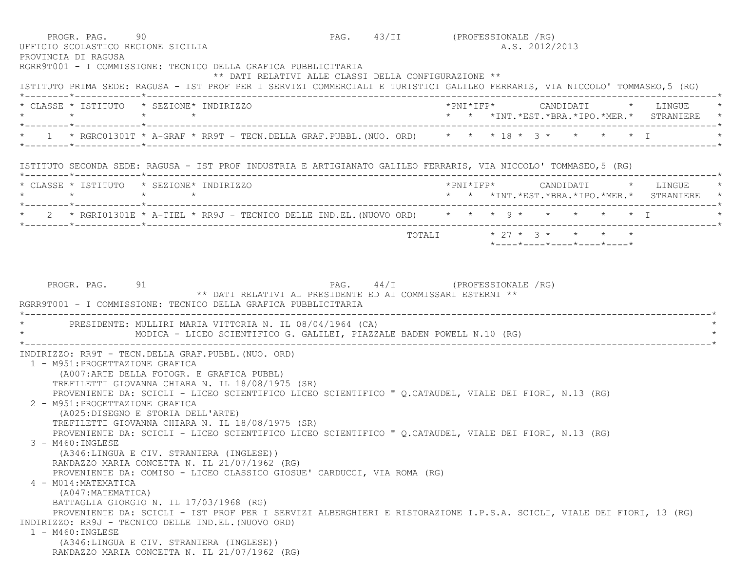|                                                                    | 90<br>UFFICIO SCOLASTICO REGIONE SICILIA<br>RGRR9T001 - I COMMISSIONE: TECNICO DELLA GRAFICA PUBBLICITARIA                                                                                                                                                                                                                                                                                                                                                                                                                       | PAG. 43/II (PROFESSIONALE /RG) |  | A.S. 2012/2013 |                                                         |                                                                            |
|--------------------------------------------------------------------|----------------------------------------------------------------------------------------------------------------------------------------------------------------------------------------------------------------------------------------------------------------------------------------------------------------------------------------------------------------------------------------------------------------------------------------------------------------------------------------------------------------------------------|--------------------------------|--|----------------|---------------------------------------------------------|----------------------------------------------------------------------------|
|                                                                    | ** DATI RELATIVI ALLE CLASSI DELLA CONFIGURAZIONE **<br>ISTITUTO PRIMA SEDE: RAGUSA - IST PROF PER I SERVIZI COMMERCIALI E TURISTICI GALILEO FERRARIS, VIA NICCOLO' TOMMASEO,5 (RG)                                                                                                                                                                                                                                                                                                                                              |                                |  |                |                                                         |                                                                            |
| * CLASSE * ISTITUTO * SEZIONE* INDIRIZZO                           |                                                                                                                                                                                                                                                                                                                                                                                                                                                                                                                                  |                                |  |                |                                                         | * * *INT. *EST. *BRA. *IPO. *MER. * STRANIERE *                            |
|                                                                    | 1 * RGRC01301T * A-GRAF * RR9T - TECN.DELLA GRAF.PUBBL.(NUO. ORD) * * * 18 * 3 * * * * * * T                                                                                                                                                                                                                                                                                                                                                                                                                                     |                                |  |                |                                                         |                                                                            |
|                                                                    | ISTITUTO SECONDA SEDE: RAGUSA - IST PROF INDUSTRIA E ARTIGIANATO GALILEO FERRARIS, VIA NICCOLO' TOMMASEO,5 (RG)                                                                                                                                                                                                                                                                                                                                                                                                                  |                                |  |                |                                                         |                                                                            |
| * CLASSE * ISTITUTO * SEZIONE* INDIRIZZO                           |                                                                                                                                                                                                                                                                                                                                                                                                                                                                                                                                  |                                |  |                |                                                         | *PNI*IFP* CANDIDATI * LINGUE<br>* * *INT.*EST.*BRA.*IPO.*MER.* STRANIERE * |
|                                                                    | * 2 * RGRI01301E * A-TIEL * RR9J - TECNICO DELLE IND.EL. (NUOVO ORD) * * * 9 * * * * * * * I                                                                                                                                                                                                                                                                                                                                                                                                                                     |                                |  |                |                                                         |                                                                            |
|                                                                    |                                                                                                                                                                                                                                                                                                                                                                                                                                                                                                                                  |                                |  |                | TOTALI * 27 * 3 * * * * *<br>*----*----*----*----*----* |                                                                            |
|                                                                    | PRESIDENTE: MULLIRI MARIA VITTORIA N. IL 08/04/1964 (CA)<br>MODICA - LICEO SCIENTIFICO G. GALILEI, PIAZZALE BADEN POWELL N.10 (RG)                                                                                                                                                                                                                                                                                                                                                                                               |                                |  |                |                                                         |                                                                            |
| 1 - M951: PROGETTAZIONE GRAFICA<br>2 - M951: PROGETTAZIONE GRAFICA | INDIRIZZO: RR9T - TECN.DELLA GRAF.PUBBL. (NUO. ORD)<br>(A007: ARTE DELLA FOTOGR. E GRAFICA PUBBL)<br>TREFILETTI GIOVANNA CHIARA N. IL 18/08/1975 (SR)<br>PROVENIENTE DA: SCICLI - LICEO SCIENTIFICO LICEO SCIENTIFICO " Q.CATAUDEL, VIALE DEI FIORI, N.13 (RG)<br>(A025:DISEGNO E STORIA DELL'ARTE)<br>TREFILETTI GIOVANNA CHIARA N. IL 18/08/1975 (SR)<br>PROVENIENTE DA: SCICLI - LICEO SCIENTIFICO LICEO SCIENTIFICO " Q.CATAUDEL, VIALE DEI FIORI, N.13 (RG)<br>3 - M460:INGLESE<br>(A346:LINGUA E CIV. STRANIERA (INGLESE)) |                                |  |                |                                                         |                                                                            |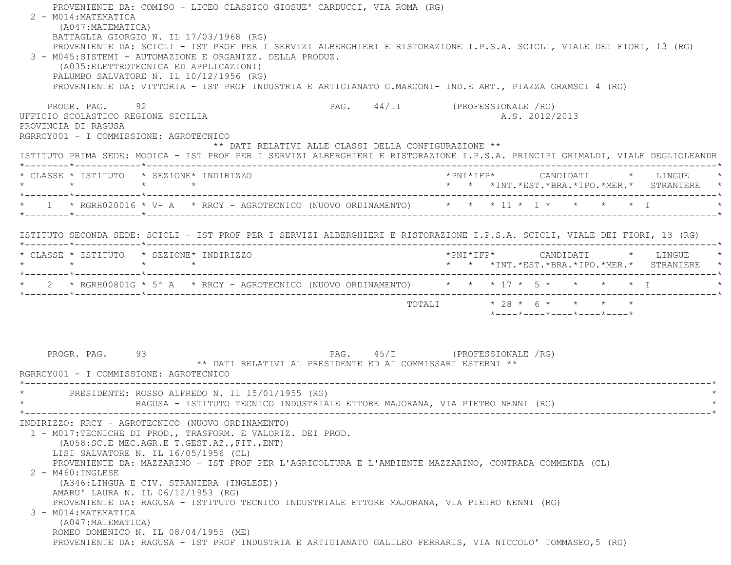| PROVENIENTE DA: COMISO - LICEO CLASSICO GIOSUE' CARDUCCI, VIA ROMA (RG)<br>2 - M014: MATEMATICA<br>(A047: MATEMATICA)<br>BATTAGLIA GIORGIO N. IL 17/03/1968 (RG)<br>PROVENIENTE DA: SCICLI - IST PROF PER I SERVIZI ALBERGHIERI E RISTORAZIONE I.P.S.A. SCICLI, VIALE DEI FIORI, 13 (RG)<br>3 - M045:SISTEMI - AUTOMAZIONE E ORGANIZZ. DELLA PRODUZ.<br>(A035: ELETTROTECNICA ED APPLICAZIONI)<br>PALUMBO SALVATORE N. IL 10/12/1956 (RG)<br>PROVENIENTE DA: VITTORIA - IST PROF INDUSTRIA E ARTIGIANATO G.MARCONI- IND.E ART., PIAZZA GRAMSCI 4 (RG)                                                                                                                                                                     |                                                      |                                                                            |
|---------------------------------------------------------------------------------------------------------------------------------------------------------------------------------------------------------------------------------------------------------------------------------------------------------------------------------------------------------------------------------------------------------------------------------------------------------------------------------------------------------------------------------------------------------------------------------------------------------------------------------------------------------------------------------------------------------------------------|------------------------------------------------------|----------------------------------------------------------------------------|
| PROGR, PAG, 92<br>UFFICIO SCOLASTICO REGIONE SICILIA<br>PROVINCIA DI RAGUSA<br>RGRRCY001 - I COMMISSIONE: AGROTECNICO                                                                                                                                                                                                                                                                                                                                                                                                                                                                                                                                                                                                     | PAG. 44/II (PROFESSIONALE /RG)                       | A.S. 2012/2013                                                             |
| ISTITUTO PRIMA SEDE: MODICA - IST PROF PER I SERVIZI ALBERGHIERI E RISTORAZIONE I.P.S.A. PRINCIPI GRIMALDI, VIALE DEGLIOLEANDR                                                                                                                                                                                                                                                                                                                                                                                                                                                                                                                                                                                            | ** DATI RELATIVI ALLE CLASSI DELLA CONFIGURAZIONE ** |                                                                            |
| * CLASSE * ISTITUTO * SEZIONE* INDIRIZZO<br>$\star$ $\star$ $\star$ $\star$                                                                                                                                                                                                                                                                                                                                                                                                                                                                                                                                                                                                                                               |                                                      | *PNI*IFP* CANDIDATI * LINGUE<br>* * *INT.*EST.*BRA.*IPO.*MER.* STRANIERE * |
| * 1 * RGRH020016 * V- A * RRCY - AGROTECNICO (NUOVO ORDINAMENTO) * * * 11 * 1 * * * * * * I                                                                                                                                                                                                                                                                                                                                                                                                                                                                                                                                                                                                                               |                                                      |                                                                            |
| ISTITUTO SECONDA SEDE: SCICLI - IST PROF PER I SERVIZI ALBERGHIERI E RISTORAZIONE I.P.S.A. SCICLI, VIALE DEI FIORI, 13 (RG)                                                                                                                                                                                                                                                                                                                                                                                                                                                                                                                                                                                               |                                                      |                                                                            |
| * CLASSE * ISTITUTO * SEZIONE* INDIRIZZO<br>$\star$ $\star$ $\star$ $\star$                                                                                                                                                                                                                                                                                                                                                                                                                                                                                                                                                                                                                                               |                                                      | * * *INT.*EST.*BRA.*IPO.*MER.* STRANIERE *                                 |
| * 2 * RGRH00801G * 5^ A * RRCY - AGROTECNICO (NUOVO ORDINAMENTO) * * * 17 * 5 * * * * * * I                                                                                                                                                                                                                                                                                                                                                                                                                                                                                                                                                                                                                               |                                                      |                                                                            |
|                                                                                                                                                                                                                                                                                                                                                                                                                                                                                                                                                                                                                                                                                                                           |                                                      | *----*----*----*----*----*                                                 |
| PROGR. PAG.<br>93<br>** DATI RELATIVI AL PRESIDENTE ED AI COMMISSARI ESTERNI **<br>RGRRCY001 - I COMMISSIONE: AGROTECNICO                                                                                                                                                                                                                                                                                                                                                                                                                                                                                                                                                                                                 |                                                      | PAG. 45/I (PROFESSIONALE /RG)                                              |
| * PRESIDENTE: ROSSO ALFREDO N. IL 15/01/1955 (RG)<br>RAGUSA - ISTITUTO TECNICO INDUSTRIALE ETTORE MAJORANA, VIA PIETRO NENNI (RG)                                                                                                                                                                                                                                                                                                                                                                                                                                                                                                                                                                                         |                                                      |                                                                            |
| INDIRIZZO: RRCY - AGROTECNICO (NUOVO ORDINAMENTO)<br>1 - M017:TECNICHE DI PROD., TRASFORM. E VALORIZ. DEI PROD.<br>(A058:SC.E MEC.AGR.E T.GEST.AZ., FIT., ENT)<br>LISI SALVATORE N. IL 16/05/1956 (CL)<br>PROVENIENTE DA: MAZZARINO - IST PROF PER L'AGRICOLTURA E L'AMBIENTE MAZZARINO, CONTRADA COMMENDA (CL)<br>2 - M460: INGLESE<br>(A346:LINGUA E CIV. STRANIERA (INGLESE))<br>AMARU' LAURA N. IL 06/12/1953 (RG)<br>PROVENIENTE DA: RAGUSA - ISTITUTO TECNICO INDUSTRIALE ETTORE MAJORANA, VIA PIETRO NENNI (RG)<br>3 - M014: MATEMATICA<br>(A047: MATEMATICA)<br>ROMEO DOMENICO N. IL 08/04/1955 (ME)<br>PROVENIENTE DA: RAGUSA - IST PROF INDUSTRIA E ARTIGIANATO GALILEO FERRARIS, VIA NICCOLO' TOMMASEO, 5 (RG) |                                                      |                                                                            |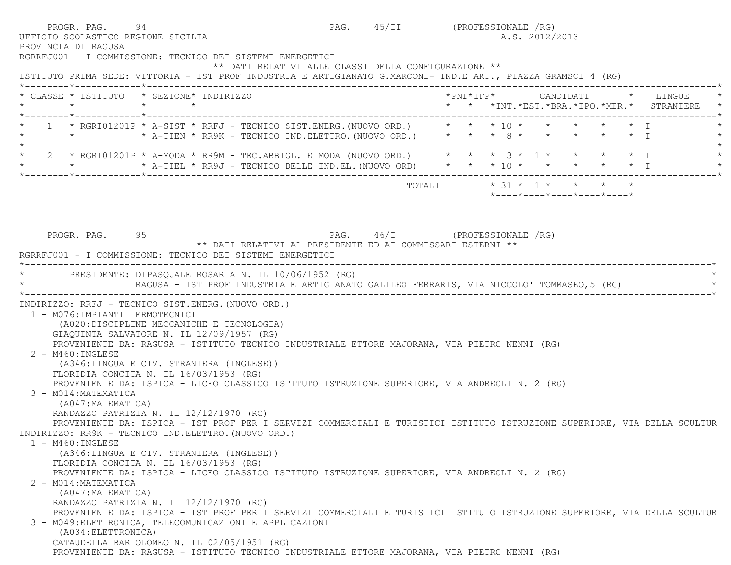PROGR. PAG. 94 94 PAG. 45/II (PROFESSIONALE / RG) UFFICIO SCOLASTICO REGIONE SICILIA A.S. 2012/2013 PROVINCIA DI RAGUSA RGRRFJ001 - I COMMISSIONE: TECNICO DEI SISTEMI ENERGETICI \*\* DATI RELATIVI ALLE CLASSI DELLA CONFIGURAZIONE \*\* ISTITUTO PRIMA SEDE: VITTORIA - IST PROF INDUSTRIA E ARTIGIANATO G.MARCONI- IND.E ART., PIAZZA GRAMSCI 4 (RG) \*--------\*------------\*-------------------------------------------------------------------------------------------------------\* \* CLASSE \* ISTITUTO \* SEZIONE\* INDIRIZZO \*PNI\*IFP\* CANDIDATI \* LINGUE \* \* \* \* \* \* \* \*INT.\*EST.\*BRA.\*IPO.\*MER.\* STRANIERE \* \*--------\*------------\*-------------------------------------------------------------------------------------------------------\*1 \* RGRI01201P \* A-SIST \* RRFJ - TECNICO SIST.ENERG. (NUOVO ORD.) \* \* \* 10 \* \* \* \* \* \* \* T \* \* \* \* A-TIEN \* RR9K - TECNICO IND.ELETTRO. (NUOVO ORD.) \* \* \* 8 \* \* \* \* \* \* \* \* I  $\star$  \* 2 \* RGRI01201P \* A-MODA \* RR9M - TEC.ABBIGL. E MODA (NUOVO ORD.) \* \* \* 3 \* 1 \* \* \* \* I \* \* A-TIEL \* RR9J - TECNICO DELLE IND.EL. (NUOVO ORD)  $\qquad$  \* \* \* \* \* \* \* \* \* \* \* I \*--------\*------------\*-------------------------------------------------------------------------------------------------------\* TOTALI \* 31 \* 1 \* \* \* \* \*----\*----\*----\*----\*----\*PROGR. PAG. 95 95 PAG. 46/I (PROFESSIONALE /RG) \*\* DATI RELATIVI AL PRESIDENTE ED AI COMMISSARI ESTERNI \*\* RGRRFJ001 - I COMMISSIONE: TECNICO DEI SISTEMI ENERGETICI \*----------------------------------------------------------------------------------------------------------------------------\*PRESIDENTE: DIPASOUALE ROSARIA N. IL 10/06/1952 (RG) RAGUSA - IST PROF INDUSTRIA E ARTIGIANATO GALILEO FERRARIS, VIA NICCOLO' TOMMASEO,5 (RG) \*----------------------------------------------------------------------------------------------------------------------------\* INDIRIZZO: RRFJ - TECNICO SIST.ENERG.(NUOVO ORD.) 1 - M076:IMPIANTI TERMOTECNICI (A020:DISCIPLINE MECCANICHE E TECNOLOGIA) GIAQUINTA SALVATORE N. IL 12/09/1957 (RG) PROVENIENTE DA: RAGUSA - ISTITUTO TECNICO INDUSTRIALE ETTORE MAJORANA, VIA PIETRO NENNI (RG) 2 - M460:INGLESE (A346:LINGUA E CIV. STRANIERA (INGLESE)) FLORIDIA CONCITA N. IL 16/03/1953 (RG) PROVENIENTE DA: ISPICA - LICEO CLASSICO ISTITUTO ISTRUZIONE SUPERIORE, VIA ANDREOLI N. 2 (RG) 3 - M014:MATEMATICA (A047:MATEMATICA) RANDAZZO PATRIZIA N. IL 12/12/1970 (RG) PROVENIENTE DA: ISPICA - IST PROF PER I SERVIZI COMMERCIALI E TURISTICI ISTITUTO ISTRUZIONE SUPERIORE, VIA DELLA SCULTUR INDIRIZZO: RR9K - TECNICO IND.ELETTRO.(NUOVO ORD.) 1 - M460:INGLESE (A346:LINGUA E CIV. STRANIERA (INGLESE)) FLORIDIA CONCITA N. IL 16/03/1953 (RG) PROVENIENTE DA: ISPICA - LICEO CLASSICO ISTITUTO ISTRUZIONE SUPERIORE, VIA ANDREOLI N. 2 (RG) 2 - M014:MATEMATICA (A047:MATEMATICA) RANDAZZO PATRIZIA N. IL 12/12/1970 (RG) PROVENIENTE DA: ISPICA - IST PROF PER I SERVIZI COMMERCIALI E TURISTICI ISTITUTO ISTRUZIONE SUPERIORE, VIA DELLA SCULTUR 3 - M049:ELETTRONICA, TELECOMUNICAZIONI E APPLICAZIONI (A034:ELETTRONICA) CATAUDELLA BARTOLOMEO N. IL 02/05/1951 (RG) PROVENIENTE DA: RAGUSA - ISTITUTO TECNICO INDUSTRIALE ETTORE MAJORANA, VIA PIETRO NENNI (RG)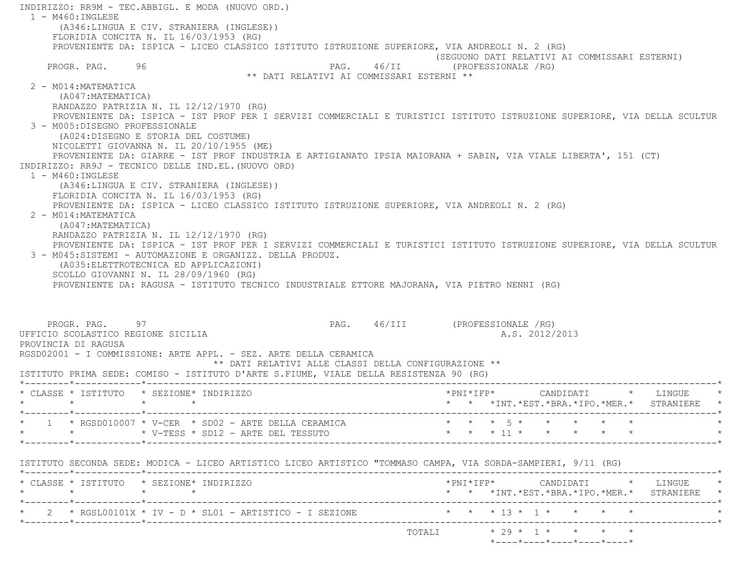INDIRIZZO: RR9M - TEC.ABBIGL. E MODA (NUOVO ORD.)  $1 - M460 : INGIERSE$  (A346:LINGUA E CIV. STRANIERA (INGLESE)) FLORIDIA CONCITA N. IL 16/03/1953 (RG) PROVENIENTE DA: ISPICA - LICEO CLASSICO ISTITUTO ISTRUZIONE SUPERIORE, VIA ANDREOLI N. 2 (RG) (SEGUONO DATI RELATIVI AI COMMISSARI ESTERNI) PROGR. PAG. 96 96 PAG. 46/II (PROFESSIONALE /RG) \*\* DATI RELATIVI AI COMMISSARI ESTERNI \*\* 2 - M014:MATEMATICA (A047:MATEMATICA) RANDAZZO PATRIZIA N. IL 12/12/1970 (RG) PROVENIENTE DA: ISPICA - IST PROF PER I SERVIZI COMMERCIALI E TURISTICI ISTITUTO ISTRUZIONE SUPERIORE, VIA DELLA SCULTUR 3 - M005:DISEGNO PROFESSIONALE (A024:DISEGNO E STORIA DEL COSTUME) NICOLETTI GIOVANNA N. IL 20/10/1955 (ME) PROVENIENTE DA: GIARRE - IST PROF INDUSTRIA E ARTIGIANATO IPSIA MAIORANA + SABIN, VIA VIALE LIBERTA', 151 (CT) INDIRIZZO: RR9J - TECNICO DELLE IND.EL.(NUOVO ORD) 1 - M460:INGLESE (A346:LINGUA E CIV. STRANIERA (INGLESE)) FLORIDIA CONCITA N. IL 16/03/1953 (RG) PROVENIENTE DA: ISPICA - LICEO CLASSICO ISTITUTO ISTRUZIONE SUPERIORE, VIA ANDREOLI N. 2 (RG) 2 - M014:MATEMATICA (A047:MATEMATICA) RANDAZZO PATRIZIA N. IL 12/12/1970 (RG) PROVENIENTE DA: ISPICA - IST PROF PER I SERVIZI COMMERCIALI E TURISTICI ISTITUTO ISTRUZIONE SUPERIORE, VIA DELLA SCULTUR 3 - M045:SISTEMI - AUTOMAZIONE E ORGANIZZ. DELLA PRODUZ. (A035:ELETTROTECNICA ED APPLICAZIONI) SCOLLO GIOVANNI N. IL 28/09/1960 (RG) PROVENIENTE DA: RAGUSA - ISTITUTO TECNICO INDUSTRIALE ETTORE MAJORANA, VIA PIETRO NENNI (RG) PROGR. PAG. 97 97 PAG. 46/III (PROFESSIONALE /RG) UFFICIO SCOLASTICO REGIONE SICILIA A.S. 2012/2013 PROVINCIA DI RAGUSA RGSD02001 - I COMMISSIONE: ARTE APPL. - SEZ. ARTE DELLA CERAMICA \*\* DATI RELATIVI ALLE CLASSI DELLA CONFIGURAZIONE \*\* ISTITUTO PRIMA SEDE: COMISO - ISTITUTO D'ARTE S.FIUME, VIALE DELLA RESISTENZA 90 (RG) \*--------\*------------\*-------------------------------------------------------------------------------------------------------\* \* CLASSE \* ISTITUTO \* SEZIONE\* INDIRIZZO \*PNI\*IFP\* CANDIDATI \* LINGUE \* \* \* \* \* \* \* \*INT.\*EST.\*BRA.\*IPO.\*MER.\* STRANIERE \* \*--------\*------------\*-------------------------------------------------------------------------------------------------------\* \* 1 \* RGSD010007 \* V-CER \* SD02 - ARTE DELLA CERAMICA \* \* \* 5 \* \* \* \* \* \* \* \* \* V-TESS \* SD12 - ARTE DEL TESSUTO \* \* \* 11 \* \* \* \* \* \* \*--------\*------------\*-------------------------------------------------------------------------------------------------------\* ISTITUTO SECONDA SEDE: MODICA - LICEO ARTISTICO LICEO ARTISTICO "TOMMASO CAMPA, VIA SORDA-SAMPIERI, 9/11 (RG) \*--------\*------------\*-------------------------------------------------------------------------------------------------------\* \* CLASSE \* ISTITUTO \* SEZIONE\* INDIRIZZO \*PNI\*IFP\* CANDIDATI \* LINGUE \* \* \* \* \* \* \* \*INT.\*EST.\*BRA.\*IPO.\*MER.\* STRANIERE \* \*--------\*------------\*-------------------------------------------------------------------------------------------------------\*\* 2 \* RGSL00101X \* IV - D \* SL01 - ARTISTICO - I SEZIONE \* \* \* \* 13 \* 1 \* \* \* \* \* \* \* \*--------\*------------\*-------------------------------------------------------------------------------------------------------\* TOTALI \* 29 \* 1 \* \* \* \*\*----\*----\*----\*----\*----\*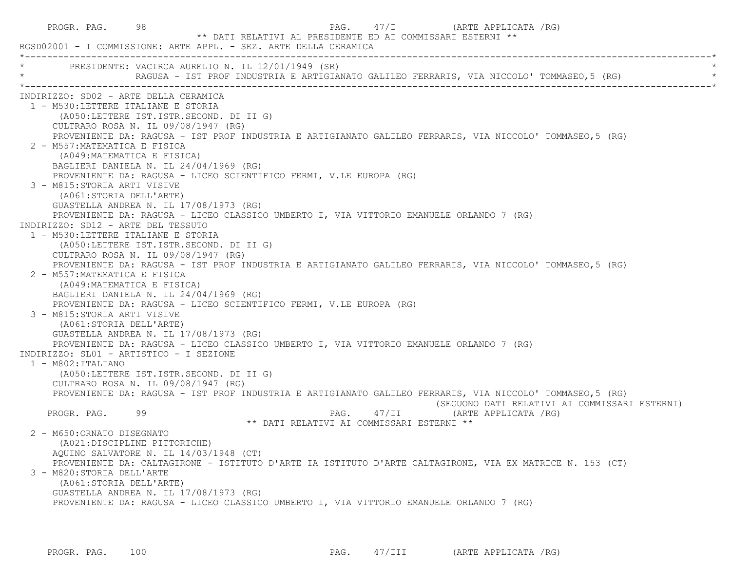PROGR. PAG. 98 98 PAG. PAG. 47/I (ARTE APPLICATA / RG) \*\* DATI RELATIVI AL PRESIDENTE ED AI COMMISSARI ESTERNI \*\* RGSD02001 - I COMMISSIONE: ARTE APPL. - SEZ. ARTE DELLA CERAMICA \*----------------------------------------------------------------------------------------------------------------------------\*PRESIDENTE: VACIRCA AURELIO N. IL 12/01/1949 (SR) RAGUSA - IST PROF INDUSTRIA E ARTIGIANATO GALILEO FERRARIS, VIA NICCOLO' TOMMASEO,5 (RG) \*----------------------------------------------------------------------------------------------------------------------------\* INDIRIZZO: SD02 - ARTE DELLA CERAMICA 1 - M530:LETTERE ITALIANE E STORIA (A050:LETTERE IST.ISTR.SECOND. DI II G) CULTRARO ROSA N. IL 09/08/1947 (RG) PROVENIENTE DA: RAGUSA - IST PROF INDUSTRIA E ARTIGIANATO GALILEO FERRARIS, VIA NICCOLO' TOMMASEO,5 (RG) 2 - M557:MATEMATICA E FISICA (A049:MATEMATICA E FISICA) BAGLIERI DANIELA N. IL 24/04/1969 (RG) PROVENIENTE DA: RAGUSA - LICEO SCIENTIFICO FERMI, V.LE EUROPA (RG) 3 - M815:STORIA ARTI VISIVE (A061:STORIA DELL'ARTE) GUASTELLA ANDREA N. IL 17/08/1973 (RG) PROVENIENTE DA: RAGUSA - LICEO CLASSICO UMBERTO I, VIA VITTORIO EMANUELE ORLANDO 7 (RG) INDIRIZZO: SD12 - ARTE DEL TESSUTO 1 - M530:LETTERE ITALIANE E STORIA (A050:LETTERE IST.ISTR.SECOND. DI II G) CULTRARO ROSA N. IL 09/08/1947 (RG) PROVENIENTE DA: RAGUSA - IST PROF INDUSTRIA E ARTIGIANATO GALILEO FERRARIS, VIA NICCOLO' TOMMASEO,5 (RG) 2 - M557:MATEMATICA E FISICA (A049:MATEMATICA E FISICA) BAGLIERI DANIELA N. IL 24/04/1969 (RG) PROVENIENTE DA: RAGUSA - LICEO SCIENTIFICO FERMI, V.LE EUROPA (RG) 3 - M815:STORIA ARTI VISIVE (A061:STORIA DELL'ARTE) GUASTELLA ANDREA N. IL 17/08/1973 (RG) PROVENIENTE DA: RAGUSA - LICEO CLASSICO UMBERTO I, VIA VITTORIO EMANUELE ORLANDO 7 (RG) INDIRIZZO: SL01 - ARTISTICO - I SEZIONE 1 - M802:ITALIANO (A050:LETTERE IST.ISTR.SECOND. DI II G) CULTRARO ROSA N. IL 09/08/1947 (RG) PROVENIENTE DA: RAGUSA - IST PROF INDUSTRIA E ARTIGIANATO GALILEO FERRARIS, VIA NICCOLO' TOMMASEO,5 (RG) (SEGUONO DATI RELATIVI AI COMMISSARI ESTERNI) PROGR. PAG. 99 PAG. 47/II (ARTE APPLICATA /RG) \*\* DATI RELATIVI AI COMMISSARI ESTERNI \*\* 2 - M650:ORNATO DISEGNATO (A021:DISCIPLINE PITTORICHE) AQUINO SALVATORE N. IL 14/03/1948 (CT) PROVENIENTE DA: CALTAGIRONE - ISTITUTO D'ARTE IA ISTITUTO D'ARTE CALTAGIRONE, VIA EX MATRICE N. 153 (CT) 3 - M820:STORIA DELL'ARTE (A061:STORIA DELL'ARTE) GUASTELLA ANDREA N. IL 17/08/1973 (RG) PROVENIENTE DA: RAGUSA - LICEO CLASSICO UMBERTO I, VIA VITTORIO EMANUELE ORLANDO 7 (RG)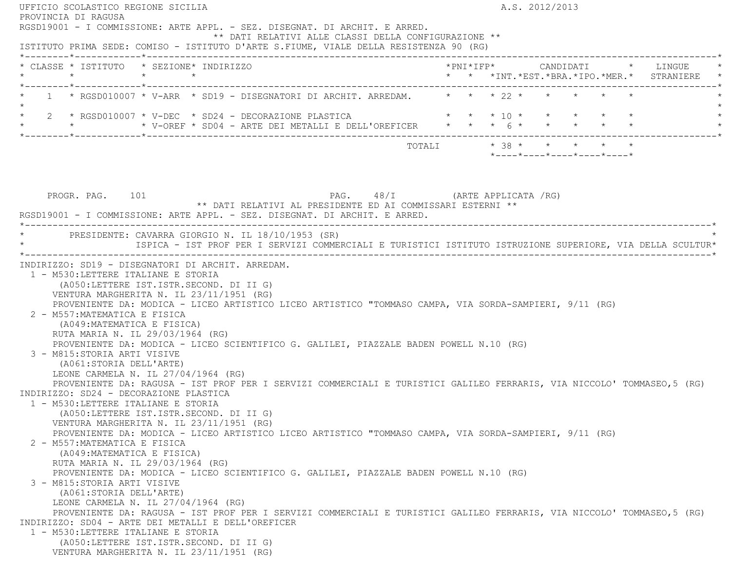|                                         | UFFICIO SCOLASTICO REGIONE SICILIA<br>PROVINCIA DI RAGUSA                                                                                                                                                                                                                                                                                                                                                                                                                                                                                                                                                                                                                                                                                                                                                                                                                                                                      |                 |  |  |                                                            |  |  | A.S. 2012/2013 |  |                                                                 |                                                                                                                         |
|-----------------------------------------|--------------------------------------------------------------------------------------------------------------------------------------------------------------------------------------------------------------------------------------------------------------------------------------------------------------------------------------------------------------------------------------------------------------------------------------------------------------------------------------------------------------------------------------------------------------------------------------------------------------------------------------------------------------------------------------------------------------------------------------------------------------------------------------------------------------------------------------------------------------------------------------------------------------------------------|-----------------|--|--|------------------------------------------------------------|--|--|----------------|--|-----------------------------------------------------------------|-------------------------------------------------------------------------------------------------------------------------|
|                                         | RGSD19001 - I COMMISSIONE: ARTE APPL. - SEZ. DISEGNAT. DI ARCHIT. E ARRED.<br>ISTITUTO PRIMA SEDE: COMISO - ISTITUTO D'ARTE S.FIUME, VIALE DELLA RESISTENZA 90 (RG)                                                                                                                                                                                                                                                                                                                                                                                                                                                                                                                                                                                                                                                                                                                                                            |                 |  |  | ** DATI RELATIVI ALLE CLASSI DELLA CONFIGURAZIONE **       |  |  |                |  |                                                                 |                                                                                                                         |
|                                         |                                                                                                                                                                                                                                                                                                                                                                                                                                                                                                                                                                                                                                                                                                                                                                                                                                                                                                                                |                 |  |  |                                                            |  |  |                |  |                                                                 |                                                                                                                         |
|                                         | * CLASSE * ISTITUTO * SEZIONE* INDIRIZZO<br>$\star$                                                                                                                                                                                                                                                                                                                                                                                                                                                                                                                                                                                                                                                                                                                                                                                                                                                                            | $\star$ $\star$ |  |  |                                                            |  |  |                |  |                                                                 | *PNI*IFP*     CANDIDATI    *   LINGUE<br>* * *INT. *EST. *BRA. *IPO. *MER. * STRANIERE *                                |
|                                         | 1 * RGSD010007 * V-ARR * SD19 - DISEGNATORI DI ARCHIT. ARREDAM. * * * * 22 * * * * * *                                                                                                                                                                                                                                                                                                                                                                                                                                                                                                                                                                                                                                                                                                                                                                                                                                         |                 |  |  |                                                            |  |  |                |  |                                                                 |                                                                                                                         |
|                                         | 2 * RGSD010007 * V-DEC * SD24 - DECORAZIONE PLASTICA $\qquad$ * * * 10 * * * * * *<br>* * * * V-OREF * SD04 - ARTE DEI METALLI E DELL'OREFICER * * * 6 * * * * * * * *                                                                                                                                                                                                                                                                                                                                                                                                                                                                                                                                                                                                                                                                                                                                                         |                 |  |  |                                                            |  |  |                |  |                                                                 |                                                                                                                         |
|                                         |                                                                                                                                                                                                                                                                                                                                                                                                                                                                                                                                                                                                                                                                                                                                                                                                                                                                                                                                |                 |  |  |                                                            |  |  |                |  | $*$ - - - - $*$ - - - - $*$ - - - - $*$ - - - - $*$ - - - - $*$ |                                                                                                                         |
|                                         |                                                                                                                                                                                                                                                                                                                                                                                                                                                                                                                                                                                                                                                                                                                                                                                                                                                                                                                                |                 |  |  |                                                            |  |  |                |  |                                                                 |                                                                                                                         |
|                                         | PROGR. PAG. 101                                                                                                                                                                                                                                                                                                                                                                                                                                                                                                                                                                                                                                                                                                                                                                                                                                                                                                                |                 |  |  | PAG. 48/I (ARTE APPLICATA /RG)                             |  |  |                |  |                                                                 |                                                                                                                         |
|                                         | RGSD19001 - I COMMISSIONE: ARTE APPL. - SEZ. DISEGNAT. DI ARCHIT. E ARRED.                                                                                                                                                                                                                                                                                                                                                                                                                                                                                                                                                                                                                                                                                                                                                                                                                                                     |                 |  |  | ** DATI RELATIVI AL PRESIDENTE ED AI COMMISSARI ESTERNI ** |  |  |                |  |                                                                 |                                                                                                                         |
|                                         |                                                                                                                                                                                                                                                                                                                                                                                                                                                                                                                                                                                                                                                                                                                                                                                                                                                                                                                                |                 |  |  |                                                            |  |  |                |  |                                                                 |                                                                                                                         |
|                                         | * PRESIDENTE: CAVARRA GIORGIO N. IL 18/10/1953 (SR)                                                                                                                                                                                                                                                                                                                                                                                                                                                                                                                                                                                                                                                                                                                                                                                                                                                                            |                 |  |  |                                                            |  |  |                |  |                                                                 |                                                                                                                         |
|                                         |                                                                                                                                                                                                                                                                                                                                                                                                                                                                                                                                                                                                                                                                                                                                                                                                                                                                                                                                |                 |  |  |                                                            |  |  |                |  |                                                                 | ISPICA - IST PROF PER I SERVIZI COMMERCIALI E TURISTICI ISTITUTO ISTRUZIONE SUPERIORE, VIA DELLA SCULTUR*               |
|                                         | VENTURA MARGHERITA N. IL 23/11/1951 (RG)<br>PROVENIENTE DA: MODICA - LICEO ARTISTICO LICEO ARTISTICO "TOMMASO CAMPA, VIA SORDA-SAMPIERI, 9/11 (RG)<br>2 - M557: MATEMATICA E FISICA<br>(A049: MATEMATICA E FISICA)<br>RUTA MARIA N. IL 29/03/1964 (RG)<br>PROVENIENTE DA: MODICA - LICEO SCIENTIFICO G. GALILEI, PIAZZALE BADEN POWELL N.10 (RG)<br>3 - M815: STORIA ARTI VISIVE<br>(A061:STORIA DELL'ARTE)<br>LEONE CARMELA N. IL 27/04/1964 (RG)<br>PROVENIENTE DA: RAGUSA - IST PROF PER I SERVIZI COMMERCIALI E TURISTICI GALILEO FERRARIS, VIA NICCOLO' TOMMASEO,5 (RG)<br>INDIRIZZO: SD24 - DECORAZIONE PLASTICA<br>1 - M530: LETTERE ITALIANE E STORIA<br>(A050:LETTERE IST.ISTR.SECOND. DI II G)<br>VENTURA MARGHERITA N. IL 23/11/1951 (RG)<br>PROVENIENTE DA: MODICA - LICEO ARTISTICO LICEO ARTISTICO "TOMMASO CAMPA, VIA SORDA-SAMPIERI, 9/11 (RG)<br>2 - M557: MATEMATICA E FISICA<br>(A049: MATEMATICA E FISICA) |                 |  |  |                                                            |  |  |                |  |                                                                 |                                                                                                                         |
|                                         | RUTA MARIA N. IL 29/03/1964 (RG)<br>PROVENIENTE DA: MODICA - LICEO SCIENTIFICO G. GALILEI, PIAZZALE BADEN POWELL N.10 (RG)                                                                                                                                                                                                                                                                                                                                                                                                                                                                                                                                                                                                                                                                                                                                                                                                     |                 |  |  |                                                            |  |  |                |  |                                                                 |                                                                                                                         |
|                                         | 3 - M815:STORIA ARTI VISIVE<br>(A061:STORIA DELL'ARTE)<br>LEONE CARMELA N. IL 27/04/1964 (RG)                                                                                                                                                                                                                                                                                                                                                                                                                                                                                                                                                                                                                                                                                                                                                                                                                                  |                 |  |  |                                                            |  |  |                |  |                                                                 |                                                                                                                         |
|                                         | INDIRIZZO: SD04 - ARTE DEI METALLI E DELL'OREFICER                                                                                                                                                                                                                                                                                                                                                                                                                                                                                                                                                                                                                                                                                                                                                                                                                                                                             |                 |  |  |                                                            |  |  |                |  |                                                                 |                                                                                                                         |
| (A050:LETTERE IST.ISTR.SECOND. DI II G) | 1 - M530: LETTERE ITALIANE E STORIA                                                                                                                                                                                                                                                                                                                                                                                                                                                                                                                                                                                                                                                                                                                                                                                                                                                                                            |                 |  |  |                                                            |  |  |                |  |                                                                 | PROVENIENTE DA: RAGUSA - IST PROF PER I SERVIZI COMMERCIALI E TURISTICI GALILEO FERRARIS, VIA NICCOLO' TOMMASEO, 5 (RG) |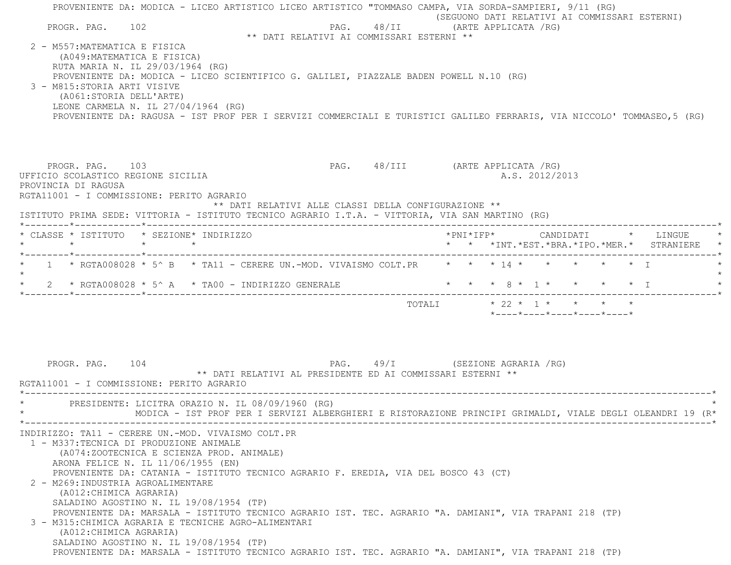| PROGR. PAG. 102<br>2 - M557: MATEMATICA E FISICA<br>3 - M815: STORIA ARTI VISIVE | (A049: MATEMATICA E FISICA)<br>RUTA MARIA N. IL 29/03/1964 (RG)<br>PROVENIENTE DA: MODICA - LICEO SCIENTIFICO G. GALILEI, PIAZZALE BADEN POWELL N.10 (RG)<br>(A061:STORIA DELL'ARTE)<br>LEONE CARMELA N. IL 27/04/1964 (RG)                                                                                                                                                                                                                                                                                       | ** DATI RELATIVI AI COMMISSARI ESTERNI **                  | PROVENIENTE DA: MODICA - LICEO ARTISTICO LICEO ARTISTICO "TOMMASO CAMPA, VIA SORDA-SAMPIERI, 9/11 (RG)<br>(SEGUONO DATI RELATIVI AI COMMISSARI ESTERNI)<br>PAG. 48/II (ARTE APPLICATA /RG)<br>PROVENIENTE DA: RAGUSA - IST PROF PER I SERVIZI COMMERCIALI E TURISTICI GALILEO FERRARIS, VIA NICCOLO' TOMMASEO,5 (RG) |
|----------------------------------------------------------------------------------|-------------------------------------------------------------------------------------------------------------------------------------------------------------------------------------------------------------------------------------------------------------------------------------------------------------------------------------------------------------------------------------------------------------------------------------------------------------------------------------------------------------------|------------------------------------------------------------|----------------------------------------------------------------------------------------------------------------------------------------------------------------------------------------------------------------------------------------------------------------------------------------------------------------------|
| PROGR. PAG. 103<br>PROVINCIA DI RAGUSA                                           | UFFICIO SCOLASTICO REGIONE SICILIA<br>RGTA11001 - I COMMISSIONE: PERITO AGRARIO<br>ISTITUTO PRIMA SEDE: VITTORIA - ISTITUTO TECNICO AGRARIO I.T.A. - VITTORIA, VIA SAN MARTINO (RG)                                                                                                                                                                                                                                                                                                                               | ** DATI RELATIVI ALLE CLASSI DELLA CONFIGURAZIONE **       | PAG. 48/III (ARTE APPLICATA /RG)<br>A.S. 2012/2013                                                                                                                                                                                                                                                                   |
| $\star$                                                                          | * CLASSE * ISTITUTO * SEZIONE* INDIRIZZO<br>$\star$ $\star$                                                                                                                                                                                                                                                                                                                                                                                                                                                       |                                                            | *PNI*IFP* CANDIDATI * LINGUE<br>* * *INT.*EST.*BRA.*IPO.*MER.* STRANIERE                                                                                                                                                                                                                                             |
|                                                                                  | 2 * RGTA008028 * 5^ A * TA00 - INDIRIZZO GENERALE                                                                                                                                                                                                                                                                                                                                                                                                                                                                 |                                                            | 1 * RGTA008028 * 5^ B * TA11 - CERERE UN.-MOD. VIVAISMO COLT.PR * * * 14 * * * * * * * *<br>* * * 8 * 1 * * * * * I<br>$*$ - - - - $*$ - - - - $*$ - - - - $*$ - - - - $*$ - - - - $*$                                                                                                                               |
| PROGR. PAG. 104                                                                  | RGTA11001 - I COMMISSIONE: PERITO AGRARIO                                                                                                                                                                                                                                                                                                                                                                                                                                                                         | ** DATI RELATIVI AL PRESIDENTE ED AI COMMISSARI ESTERNI ** | PAG. 49/I (SEZIONE AGRARIA /RG)                                                                                                                                                                                                                                                                                      |
|                                                                                  | PRESIDENTE: LICITRA ORAZIO N. IL 08/09/1960 (RG)                                                                                                                                                                                                                                                                                                                                                                                                                                                                  |                                                            | MODICA - IST PROF PER I SERVIZI ALBERGHIERI E RISTORAZIONE PRINCIPI GRIMALDI, VIALE DEGLI OLEANDRI 19 (R*                                                                                                                                                                                                            |
|                                                                                  | INDIRIZZO: TA11 - CERERE UN.-MOD. VIVAISMO COLT.PR<br>1 - M337: TECNICA DI PRODUZIONE ANIMALE<br>(A074:ZOOTECNICA E SCIENZA PROD. ANIMALE)<br>ARONA FELICE N. IL 11/06/1955 (EN)<br>PROVENIENTE DA: CATANIA - ISTITUTO TECNICO AGRARIO F. EREDIA, VIA DEL BOSCO 43 (CT)<br>2 - M269: INDUSTRIA AGROALIMENTARE<br>(A012: CHIMICA AGRARIA)<br>SALADINO AGOSTINO N. IL 19/08/1954 (TP)<br>3 - M315: CHIMICA AGRARIA E TECNICHE AGRO-ALIMENTARI<br>(A012: CHIMICA AGRARIA)<br>SALADINO AGOSTINO N. IL 19/08/1954 (TP) |                                                            | PROVENIENTE DA: MARSALA - ISTITUTO TECNICO AGRARIO IST. TEC. AGRARIO "A. DAMIANI", VIA TRAPANI 218 (TP)<br>PROVENIENTE DA: MARSALA - ISTITUTO TECNICO AGRARIO IST. TEC. AGRARIO "A. DAMIANI", VIA TRAPANI 218 (TP)                                                                                                   |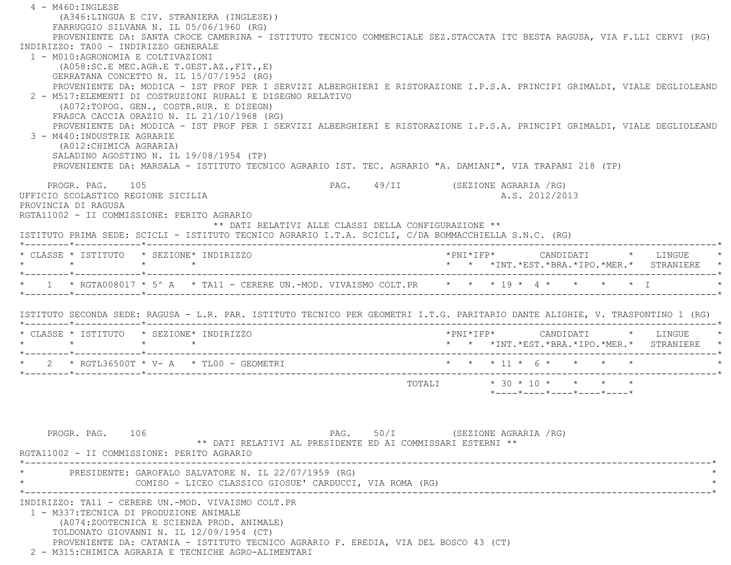4 - M460:INGLESE (A346:LINGUA E CIV. STRANIERA (INGLESE)) FARRUGGIO SILVANA N. IL 05/06/1960 (RG) PROVENIENTE DA: SANTA CROCE CAMERINA - ISTITUTO TECNICO COMMERCIALE SEZ.STACCATA ITC BESTA RAGUSA, VIA F.LLI CERVI (RG) INDIRIZZO: TA00 - INDIRIZZO GENERALE 1 - M010:AGRONOMIA E COLTIVAZIONI (A058:SC.E MEC.AGR.E T.GEST.AZ.,FIT.,E) GERRATANA CONCETTO N. IL 15/07/1952 (RG) PROVENIENTE DA: MODICA - IST PROF PER I SERVIZI ALBERGHIERI E RISTORAZIONE I.P.S.A. PRINCIPI GRIMALDI, VIALE DEGLIOLEAND 2 - M517:ELEMENTI DI COSTRUZIONI RURALI E DISEGNO RELATIVO (A072:TOPOG. GEN., COSTR.RUR. E DISEGN) FRASCA CACCIA ORAZIO N. IL 21/10/1968 (RG) PROVENIENTE DA: MODICA - IST PROF PER I SERVIZI ALBERGHIERI E RISTORAZIONE I.P.S.A. PRINCIPI GRIMALDI, VIALE DEGLIOLEAND 3 - M440:INDUSTRIE AGRARIE (A012:CHIMICA AGRARIA) SALADINO AGOSTINO N. IL 19/08/1954 (TP) PROVENIENTE DA: MARSALA - ISTITUTO TECNICO AGRARIO IST. TEC. AGRARIO "A. DAMIANI", VIA TRAPANI 218 (TP) PROGR. PAG. 105 PAG. 49/II (SEZIONE AGRARIA /RG) UFFICIO SCOLASTICO REGIONE SICILIA A.S. 2012/2013 PROVINCIA DI RAGUSA RGTA11002 - II COMMISSIONE: PERITO AGRARIO \*\* DATI RELATIVI ALLE CLASSI DELLA CONFIGURAZIONE \*\* ISTITUTO PRIMA SEDE: SCICLI - ISTITUTO TECNICO AGRARIO I.T.A. SCICLI, C/DA BOMMACCHIELLA S.N.C. (RG) \*--------\*------------\*-------------------------------------------------------------------------------------------------------\* \* CLASSE \* ISTITUTO \* SEZIONE\* INDIRIZZO \*PNI\*IFP\* CANDIDATI \* LINGUE \* \* \* \* \* \* \* \*INT.\*EST.\*BRA.\*IPO.\*MER.\* STRANIERE \* \*--------\*------------\*-------------------------------------------------------------------------------------------------------\*\* 1 \* RGTA008017 \* 5^ A \* TA11 - CERERE UN.-MOD. VIVAISMO COLT.PR \* \* \* 19 \* 4 \* \* \* \* \* \* \* T \*--------\*------------\*-------------------------------------------------------------------------------------------------------\* ISTITUTO SECONDA SEDE: RAGUSA - L.R. PAR. ISTITUTO TECNICO PER GEOMETRI I.T.G. PARITARIO DANTE ALIGHIE, V. TRASPONTINO 1 (RG) \*--------\*------------\*-------------------------------------------------------------------------------------------------------\* \* CLASSE \* ISTITUTO \* SEZIONE\* INDIRIZZO \*PNI\*IFP\* CANDIDATI \* LINGUE \* \* \* \* \* \* \* \*INT.\*EST.\*BRA.\*IPO.\*MER.\* STRANIERE \* \*--------\*------------\*-------------------------------------------------------------------------------------------------------\* \* 2 \* RGTL36500T \* V- A \* TL00 - GEOMETRI \* \* \* 11 \* 6 \* \* \* \* \* \*--------\*------------\*-------------------------------------------------------------------------------------------------------\*TOTALI  $* 30 * 10 * * * * * *$  \*----\*----\*----\*----\*----\*PROGR. PAG. 106 CHA SALLA PAG. 50/I (SEZIONE AGRARIA /RG) \*\* DATI RELATIVI AL PRESIDENTE ED AI COMMISSARI ESTERNI \*\* RGTA11002 - II COMMISSIONE: PERITO AGRARIO $\star$ PRESIDENTE: GAROFALO SALVATORE N. IL 22/07/1959 (RG) COMISO - LICEO CLASSICO GIOSUE' CARDUCCI, VIA ROMA (RG) \*----------------------------------------------------------------------------------------------------------------------------\* INDIRIZZO: TA11 - CERERE UN.-MOD. VIVAISMO COLT.PR 1 - M337:TECNICA DI PRODUZIONE ANIMALE (A074:ZOOTECNICA E SCIENZA PROD. ANIMALE) TOLDONATO GIOVANNI N. IL 12/09/1954 (CT) PROVENIENTE DA: CATANIA - ISTITUTO TECNICO AGRARIO F. EREDIA, VIA DEL BOSCO 43 (CT) 2 - M315:CHIMICA AGRARIA E TECNICHE AGRO-ALIMENTARI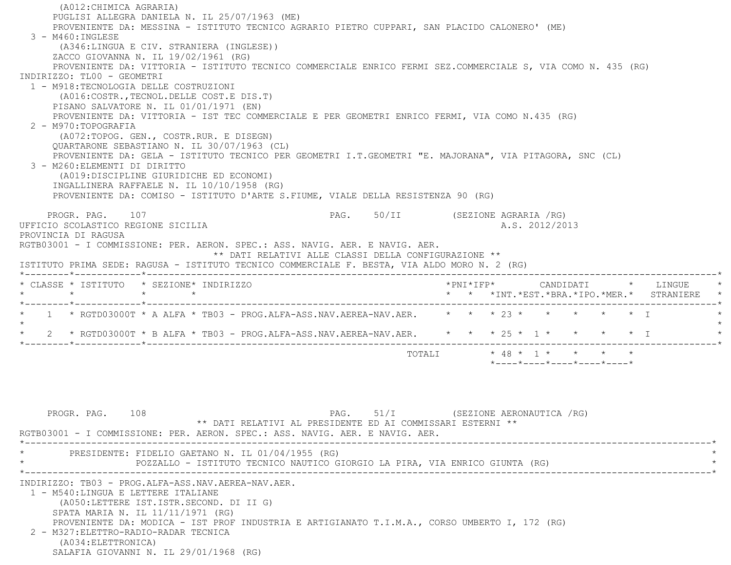(A012:CHIMICA AGRARIA) PUGLISI ALLEGRA DANIELA N. IL 25/07/1963 (ME) PROVENIENTE DA: MESSINA - ISTITUTO TECNICO AGRARIO PIETRO CUPPARI, SAN PLACIDO CALONERO' (ME) 3 - M460:INGLESE (A346:LINGUA E CIV. STRANIERA (INGLESE)) ZACCO GIOVANNA N. IL 19/02/1961 (RG) PROVENIENTE DA: VITTORIA - ISTITUTO TECNICO COMMERCIALE ENRICO FERMI SEZ.COMMERCIALE S, VIA COMO N. 435 (RG) INDIRIZZO: TL00 - GEOMETRI 1 - M918:TECNOLOGIA DELLE COSTRUZIONI (A016:COSTR.,TECNOL.DELLE COST.E DIS.T) PISANO SALVATORE N. IL 01/01/1971 (EN) PROVENIENTE DA: VITTORIA - IST TEC COMMERCIALE E PER GEOMETRI ENRICO FERMI, VIA COMO N.435 (RG) 2 - M970:TOPOGRAFIA (A072:TOPOG. GEN., COSTR.RUR. E DISEGN) QUARTARONE SEBASTIANO N. IL 30/07/1963 (CL) PROVENIENTE DA: GELA - ISTITUTO TECNICO PER GEOMETRI I.T.GEOMETRI "E. MAJORANA", VIA PITAGORA, SNC (CL) 3 - M260:ELEMENTI DI DIRITTO (A019:DISCIPLINE GIURIDICHE ED ECONOMI) INGALLINERA RAFFAELE N. IL 10/10/1958 (RG) PROVENIENTE DA: COMISO - ISTITUTO D'ARTE S.FIUME, VIALE DELLA RESISTENZA 90 (RG) PROGR. PAG. 107 CHASTER 107 PAG. 50/II (SEZIONE AGRARIA /RG) UFFICIO SCOLASTICO REGIONE SICILIA A.S. 2012/2013 PROVINCIA DI RAGUSA RGTB03001 - I COMMISSIONE: PER. AERON. SPEC.: ASS. NAVIG. AER. E NAVIG. AER. \*\* DATI RELATIVI ALLE CLASSI DELLA CONFIGURAZIONE \*\* ISTITUTO PRIMA SEDE: RAGUSA - ISTITUTO TECNICO COMMERCIALE F. BESTA, VIA ALDO MORO N. 2 (RG) \*--------\*------------\*-------------------------------------------------------------------------------------------------------\* \* CLASSE \* ISTITUTO \* SEZIONE\* INDIRIZZO \*PNI\*IFP\* CANDIDATI \* LINGUE \* \* \* \* \* \* \* \*INT.\*EST.\*BRA.\*IPO.\*MER.\* STRANIERE \* \*--------\*------------\*-------------------------------------------------------------------------------------------------------\*1 \* RGTD03000T \* A ALFA \* TB03 - PROG.ALFA-ASS.NAV.AEREA-NAV.AER. \* \* \* 23 \* \* \* \* \* \* \* \* \*  $\star$ 2 \* RGTD03000T \* B ALFA \* TB03 - PROG.ALFA-ASS.NAV.AEREA-NAV.AER. \* \* \* 25 \* 1 \* \* \* \* \* \* I \*--------\*------------\*-------------------------------------------------------------------------------------------------------\*TOTALI \* 48 \* 1 \* \* \* \*

PROGR. PAG. 108 PAG. 51/I (SEZIONE AERONAUTICA / RG) \*\* DATI RELATIVI AL PRESIDENTE ED AI COMMISSARI ESTERNI \*\* RGTB03001 - I COMMISSIONE: PER. AERON. SPEC.: ASS. NAVIG. AER. E NAVIG. AER. \*----------------------------------------------------------------------------------------------------------------------------\*PRESIDENTE: FIDELIO GAETANO N. IL 01/04/1955 (RG) \* POZZALLO - ISTITUTO TECNICO NAUTICO GIORGIO LA PIRA, VIA ENRICO GIUNTA (RG) \* \*----------------------------------------------------------------------------------------------------------------------------\* INDIRIZZO: TB03 - PROG.ALFA-ASS.NAV.AEREA-NAV.AER. 1 - M540:LINGUA E LETTERE ITALIANE (A050:LETTERE IST.ISTR.SECOND. DI II G) SPATA MARIA N. IL 11/11/1971 (RG) PROVENIENTE DA: MODICA - IST PROF INDUSTRIA E ARTIGIANATO T.I.M.A., CORSO UMBERTO I, 172 (RG) 2 - M327:ELETTRO-RADIO-RADAR TECNICA (A034:ELETTRONICA) SALAFIA GIOVANNI N. IL 29/01/1968 (RG)

\*----\*----\*----\*----\*----\*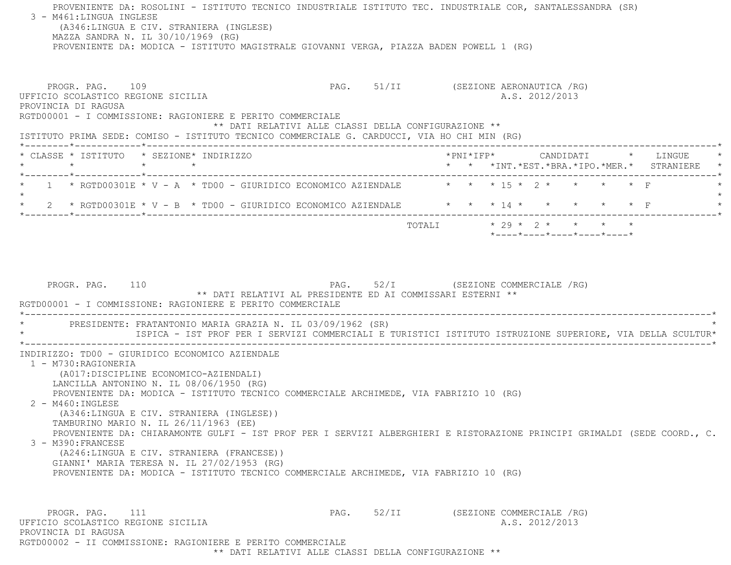PROVENIENTE DA: ROSOLINI - ISTITUTO TECNICO INDUSTRIALE ISTITUTO TEC. INDUSTRIALE COR, SANTALESSANDRA (SR) 3 - M461:LINGUA INGLESE (A346:LINGUA E CIV. STRANIERA (INGLESE) MAZZA SANDRA N. IL 30/10/1969 (RG) PROVENIENTE DA: MODICA - ISTITUTO MAGISTRALE GIOVANNI VERGA, PIAZZA BADEN POWELL 1 (RG) PROGR. PAG. 109 PAG. PAG. 51/II (SEZIONE AERONAUTICA / RG) UFFICIO SCOLASTICO REGIONE SICILIA A.S. 2012/2013 PROVINCIA DI RAGUSA RGTD00001 - I COMMISSIONE: RAGIONIERE E PERITO COMMERCIALE \*\* DATI RELATIVI ALLE CLASSI DELLA CONFIGURAZIONE \*\* ISTITUTO PRIMA SEDE: COMISO - ISTITUTO TECNICO COMMERCIALE G. CARDUCCI, VIA HO CHI MIN (RG) \*--------\*------------\*-------------------------------------------------------------------------------------------------------\* \* CLASSE \* ISTITUTO \* SEZIONE\* INDIRIZZO \*PNI\*IFP\* CANDIDATI \* LINGUE \* \* \* \* \* \* \* \*INT.\*EST.\*BRA.\*IPO.\*MER.\* STRANIERE \* \*--------\*------------\*-------------------------------------------------------------------------------------------------------\*1 \* RGTD00301E \* V - A \* TD00 - GIURIDICO ECONOMICO AZIENDALE  $\qquad$  \* \* \* 15 \* 2 \* \* \* \* \* F  $\star$ \* 2 \* RGTD00301E \* V - B \* TD00 - GIURIDICO ECONOMICO AZIENDALE  $\qquad$  \* \* \* 14 \* \* \* \* \* \* \* F \*--------\*------------\*-------------------------------------------------------------------------------------------------------\* TOTALI \* 29 \* 2 \* \* \* \* \*----\*----\*----\*----\*----\*PROGR. PAG. 110 **PAG.** 52/I (SEZIONE COMMERCIALE /RG) \*\* DATI RELATIVI AL PRESIDENTE ED AI COMMISSARI ESTERNI \*\* RGTD00001 - I COMMISSIONE: RAGIONIERE E PERITO COMMERCIALE \*----------------------------------------------------------------------------------------------------------------------------\*PRESIDENTE: FRATANTONIO MARIA GRAZIA N. IL 03/09/1962 (SR) \* ISPICA - IST PROF PER I SERVIZI COMMERCIALI E TURISTICI ISTITUTO ISTRUZIONE SUPERIORE, VIA DELLA SCULTUR\* \*----------------------------------------------------------------------------------------------------------------------------\* INDIRIZZO: TD00 - GIURIDICO ECONOMICO AZIENDALE 1 - M730:RAGIONERIA (A017:DISCIPLINE ECONOMICO-AZIENDALI) LANCILLA ANTONINO N. IL 08/06/1950 (RG) PROVENIENTE DA: MODICA - ISTITUTO TECNICO COMMERCIALE ARCHIMEDE, VIA FABRIZIO 10 (RG) 2 - M460:INGLESE (A346:LINGUA E CIV. STRANIERA (INGLESE)) TAMBURINO MARIO N. IL 26/11/1963 (EE) PROVENIENTE DA: CHIARAMONTE GULFI - IST PROF PER I SERVIZI ALBERGHIERI E RISTORAZIONE PRINCIPI GRIMALDI (SEDE COORD., C. 3 - M390:FRANCESE (A246:LINGUA E CIV. STRANIERA (FRANCESE)) GIANNI' MARIA TERESA N. IL 27/02/1953 (RG) PROVENIENTE DA: MODICA - ISTITUTO TECNICO COMMERCIALE ARCHIMEDE, VIA FABRIZIO 10 (RG) PROGR. PAG. 111 PAG. S2/II (SEZIONE COMMERCIALE /RG) UFFICIO SCOLASTICO REGIONE SICILIA A.S. 2012/2013 PROVINCIA DI RAGUSARGTD00002 - II COMMISSIONE: RAGIONIERE E PERITO COMMERCIALE

\*\* DATI RELATIVI ALLE CLASSI DELLA CONFIGURAZIONE \*\*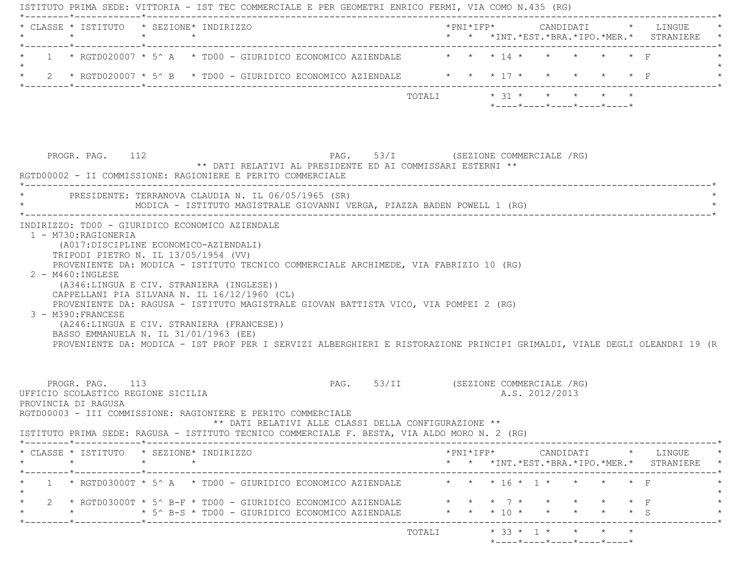| * CLASSE * ISTITUTO * SEZIONE* INDIRIZZO                                                                                                                                                                                                                                                                                                                                                                                 |                 |  |                                                 |                                                                                                   |                         |  |                |                                                                 |                                                                                                                                                    |
|--------------------------------------------------------------------------------------------------------------------------------------------------------------------------------------------------------------------------------------------------------------------------------------------------------------------------------------------------------------------------------------------------------------------------|-----------------|--|-------------------------------------------------|---------------------------------------------------------------------------------------------------|-------------------------|--|----------------|-----------------------------------------------------------------|----------------------------------------------------------------------------------------------------------------------------------------------------|
| 1 * RGTD020007 * 5^ A * TD00 - GIURIDICO ECONOMICO AZIENDALE * * * 14 * * * *                                                                                                                                                                                                                                                                                                                                            |                 |  |                                                 |                                                                                                   |                         |  |                | $\star$ $\star$ $\Gamma$                                        |                                                                                                                                                    |
| 2 * RGTD020007 * 5^ B * TD00 - GIURIDICO ECONOMICO AZIENDALE * * * * 17 * * * * * * * F                                                                                                                                                                                                                                                                                                                                  |                 |  |                                                 |                                                                                                   |                         |  |                |                                                                 |                                                                                                                                                    |
|                                                                                                                                                                                                                                                                                                                                                                                                                          |                 |  |                                                 |                                                                                                   | TOTALI * 31 * * * * * * |  |                | $*$ - - - - $*$ - - - - $*$ - - - - $*$ - - - - $*$ - - - - $*$ |                                                                                                                                                    |
| PROGR. PAG. 112<br>RGTD00002 - II COMMISSIONE: RAGIONIERE E PERITO COMMERCIALE                                                                                                                                                                                                                                                                                                                                           |                 |  |                                                 | PAG. 53/I (SEZIONE COMMERCIALE /RG)<br>** DATI RELATIVI AL PRESIDENTE ED AI COMMISSARI ESTERNI ** |                         |  |                |                                                                 |                                                                                                                                                    |
| * PRESIDENTE: TERRANOVA CLAUDIA N. IL 06/05/1965 (SR)<br>MODICA - ISTITUTO MAGISTRALE GIOVANNI VERGA, PIAZZA BADEN POWELL 1 (RG)                                                                                                                                                                                                                                                                                         |                 |  |                                                 |                                                                                                   |                         |  |                |                                                                 |                                                                                                                                                    |
| 1 - M730:RAGIONERIA<br>(A017:DISCIPLINE ECONOMICO-AZIENDALI)<br>TRIPODI PIETRO N. IL 13/05/1954 (VV)<br>PROVENIENTE DA: MODICA - ISTITUTO TECNICO COMMERCIALE ARCHIMEDE, VIA FABRIZIO 10 (RG)<br>2 - M460: INGLESE                                                                                                                                                                                                       |                 |  |                                                 |                                                                                                   |                         |  |                |                                                                 |                                                                                                                                                    |
| (A346:LINGUA E CIV. STRANIERA (INGLESE))<br>CAPPELLANI PIA SILVANA N. IL 16/12/1960 (CL)<br>PROVENIENTE DA: RAGUSA - ISTITUTO MAGISTRALE GIOVAN BATTISTA VICO, VIA POMPEI 2 (RG)<br>3 - M390: FRANCESE<br>(A246:LINGUA E CIV. STRANIERA (FRANCESE))<br>BASSO EMMANUELA N. IL 31/01/1963 (EE)<br>PROVENIENTE DA: MODICA - IST PROF PER I SERVIZI ALBERGHIERI E RISTORAZIONE PRINCIPI GRIMALDI, VIALE DEGLI OLEANDRI 19 (R |                 |  |                                                 |                                                                                                   |                         |  |                |                                                                 |                                                                                                                                                    |
| PROGR. PAG. 113<br>UFFICIO SCOLASTICO REGIONE SICILIA<br>PROVINCIA DI RAGUSA<br>RGTD00003 - III COMMISSIONE: RAGIONIERE E PERITO COMMERCIALE<br>ISTITUTO PRIMA SEDE: RAGUSA - ISTITUTO TECNICO COMMERCIALE F. BESTA, VIA ALDO MORO N. 2 (RG)                                                                                                                                                                             |                 |  |                                                 | PAG. 53/II (SEZIONE COMMERCIALE /RG)<br>** DATI RELATIVI ALLE CLASSI DELLA CONFIGURAZIONE **      |                         |  | A.S. 2012/2013 |                                                                 |                                                                                                                                                    |
| * CLASSE * ISTITUTO * SEZIONE* INDIRIZZO<br>$\star$                                                                                                                                                                                                                                                                                                                                                                      | $\star$ $\star$ |  |                                                 |                                                                                                   |                         |  |                |                                                                 | $*PNI*IFP* \qquad \qquad \text{CANDIDATI} \qquad \qquad * \qquad \text{LINGUE} \qquad \qquad *$<br>* * *INT. *EST. *BRA. *IPO. *MER. * STRANIERE * |
| $1 \rightarrow$ RGTD03000T $*$ 5^ A $*$ TD00 - GIURIDICO ECONOMICO AZIENDALE                                                                                                                                                                                                                                                                                                                                             |                 |  |                                                 |                                                                                                   | * * * 16 * 1 * *        |  |                |                                                                 |                                                                                                                                                    |
| 2 * RGTD03000T * 5^ B-F * TD00 - GIURIDICO ECONOMICO AZIENDALE * * * * 7 * *                                                                                                                                                                                                                                                                                                                                             |                 |  | * 5^ B-S * TD00 - GIURIDICO ECONOMICO AZIENDALE |                                                                                                   | * * * 10 * * * * * * S  |  |                | $\star$ $\star$ $\star$ $\vdash$                                |                                                                                                                                                    |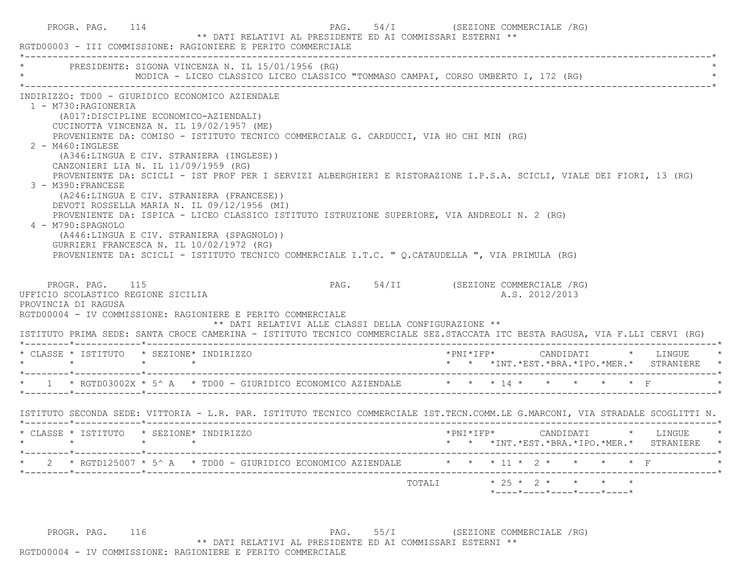| PROGR. PAG. 114                                                                         | 54/I (SEZIONE COMMERCIALE /RG)<br>PAG.<br>** DATI RELATIVI AL PRESIDENTE ED AI COMMISSARI ESTERNI **<br>RGTD00003 - III COMMISSIONE: RAGIONIERE E PERITO COMMERCIALE                                                                                                                                                                                                                                                                                                                                                                                                                                                                                                                                                                                                                                                                |
|-----------------------------------------------------------------------------------------|-------------------------------------------------------------------------------------------------------------------------------------------------------------------------------------------------------------------------------------------------------------------------------------------------------------------------------------------------------------------------------------------------------------------------------------------------------------------------------------------------------------------------------------------------------------------------------------------------------------------------------------------------------------------------------------------------------------------------------------------------------------------------------------------------------------------------------------|
|                                                                                         | PRESIDENTE: SIGONA VINCENZA N. IL 15/01/1956 (RG)<br>MODICA - LICEO CLASSICO LICEO CLASSICO "TOMMASO CAMPAI, CORSO UMBERTO I, 172 (RG)                                                                                                                                                                                                                                                                                                                                                                                                                                                                                                                                                                                                                                                                                              |
| 1 - M730:RAGIONERIA<br>$2 - M460$ : INGLESE<br>3 - M390: FRANCESE<br>4 - M790: SPAGNOLO | INDIRIZZO: TD00 - GIURIDICO ECONOMICO AZIENDALE<br>(A017:DISCIPLINE ECONOMICO-AZIENDALI)<br>CUCINOTTA VINCENZA N. IL 19/02/1957 (ME)<br>PROVENIENTE DA: COMISO - ISTITUTO TECNICO COMMERCIALE G. CARDUCCI, VIA HO CHI MIN (RG)<br>(A346:LINGUA E CIV. STRANIERA (INGLESE))<br>CANZONIERI LIA N. IL 11/09/1959 (RG)<br>PROVENIENTE DA: SCICLI - IST PROF PER I SERVIZI ALBERGHIERI E RISTORAZIONE I.P.S.A. SCICLI, VIALE DEI FIORI, 13 (RG)<br>(A246:LINGUA E CIV. STRANIERA (FRANCESE))<br>DEVOTI ROSSELLA MARIA N. IL 09/12/1956 (MI)<br>PROVENIENTE DA: ISPICA - LICEO CLASSICO ISTITUTO ISTRUZIONE SUPERIORE, VIA ANDREOLI N. 2 (RG)<br>(A446:LINGUA E CIV. STRANIERA (SPAGNOLO))<br>GURRIERI FRANCESCA N. IL 10/02/1972 (RG)<br>PROVENIENTE DA: SCICLI - ISTITUTO TECNICO COMMERCIALE I.T.C. " Q.CATAUDELLA ", VIA PRIMULA (RG) |
| PROGR. PAG. 115<br>UFFICIO SCOLASTICO REGIONE SICILIA<br>PROVINCIA DI RAGUSA            | PAG. 54/II (SEZIONE COMMERCIALE /RG)<br>A.S. 2012/2013<br>RGTD00004 - IV COMMISSIONE: RAGIONIERE E PERITO COMMERCIALE<br>** DATI RELATIVI ALLE CLASSI DELLA CONFIGURAZIONE **<br>ISTITUTO PRIMA SEDE: SANTA CROCE CAMERINA - ISTITUTO TECNICO COMMERCIALE SEZ.STACCATA ITC BESTA RAGUSA, VIA F.LLI CERVI (RG)                                                                                                                                                                                                                                                                                                                                                                                                                                                                                                                       |
|                                                                                         | * CLASSE * ISTITUTO * SEZIONE* INDIRIZZO                                                                                                                                                                                                                                                                                                                                                                                                                                                                                                                                                                                                                                                                                                                                                                                            |
| $\star$ $\star$                                                                         | $\star$ $\qquad$ $\star$<br>* * *INT.*EST.*BRA.*IPO.*MER.* STRANIERE *                                                                                                                                                                                                                                                                                                                                                                                                                                                                                                                                                                                                                                                                                                                                                              |
|                                                                                         |                                                                                                                                                                                                                                                                                                                                                                                                                                                                                                                                                                                                                                                                                                                                                                                                                                     |
|                                                                                         | ISTITUTO SECONDA SEDE: VITTORIA - L.R. PAR. ISTITUTO TECNICO COMMERCIALE IST.TECN.COMM.LE G.MARCONI, VIA STRADALE SCOGLITTI N.                                                                                                                                                                                                                                                                                                                                                                                                                                                                                                                                                                                                                                                                                                      |
|                                                                                         | * CLASSE * ISTITUTO * SEZIONE* INDIRIZZO<br>*PNI*IFP*<br>CANDIDATI * LINGUE<br>* * *INT.*EST.*BRA.*IPO.*MER.* STRANIERE *                                                                                                                                                                                                                                                                                                                                                                                                                                                                                                                                                                                                                                                                                                           |
|                                                                                         | * 2 * RGTD125007 * 5^ A * TD00 - GIURIDICO ECONOMICO AZIENDALE * * * 11 * 2 * * * * * F                                                                                                                                                                                                                                                                                                                                                                                                                                                                                                                                                                                                                                                                                                                                             |
|                                                                                         | TOTALI * 25 * 2 * * * * *<br>*----*----*----*----*----*                                                                                                                                                                                                                                                                                                                                                                                                                                                                                                                                                                                                                                                                                                                                                                             |

PROGR. PAG. 116 COMMERCIALE PAG. 55/I (SEZIONE COMMERCIALE /RG) \*\* DATI RELATIVI AL PRESIDENTE ED AI COMMISSARI ESTERNI \*\* RGTD00004 - IV COMMISSIONE: RAGIONIERE E PERITO COMMERCIALE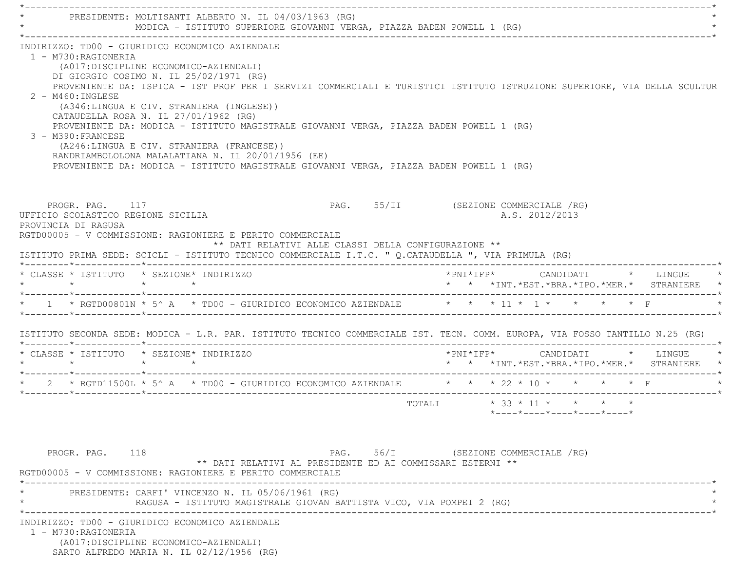\*----------------------------------------------------------------------------------------------------------------------------\* \* PRESIDENTE: MOLTISANTI ALBERTO N. IL 04/03/1963 (RG) \* \* MODICA - ISTITUTO SUPERIORE GIOVANNI VERGA, PIAZZA BADEN POWELL 1 (RG) \* \*----------------------------------------------------------------------------------------------------------------------------\* INDIRIZZO: TD00 - GIURIDICO ECONOMICO AZIENDALE 1 - M730:RAGIONERIA (A017:DISCIPLINE ECONOMICO-AZIENDALI) DI GIORGIO COSIMO N. IL 25/02/1971 (RG) PROVENIENTE DA: ISPICA - IST PROF PER I SERVIZI COMMERCIALI E TURISTICI ISTITUTO ISTRUZIONE SUPERIORE, VIA DELLA SCULTUR 2 - M460:INGLESE (A346:LINGUA E CIV. STRANIERA (INGLESE)) CATAUDELLA ROSA N. IL 27/01/1962 (RG) PROVENIENTE DA: MODICA - ISTITUTO MAGISTRALE GIOVANNI VERGA, PIAZZA BADEN POWELL 1 (RG) 3 - M390:FRANCESE (A246:LINGUA E CIV. STRANIERA (FRANCESE)) RANDRIAMBOLOLONA MALALATIANA N. IL 20/01/1956 (EE) PROVENIENTE DA: MODICA - ISTITUTO MAGISTRALE GIOVANNI VERGA, PIAZZA BADEN POWELL 1 (RG) PROGR. PAG. 117 CHARGE 117 PAG. 55/II (SEZIONE COMMERCIALE /RG) UFFICIO SCOLASTICO REGIONE SICILIA A.S. 2012/2013 PROVINCIA DI RAGUSA RGTD00005 - V COMMISSIONE: RAGIONIERE E PERITO COMMERCIALE \*\* DATI RELATIVI ALLE CLASSI DELLA CONFIGURAZIONE \*\* ISTITUTO PRIMA SEDE: SCICLI - ISTITUTO TECNICO COMMERCIALE I.T.C. " Q.CATAUDELLA ", VIA PRIMULA (RG) \*--------\*------------\*-------------------------------------------------------------------------------------------------------\* \* CLASSE \* ISTITUTO \* SEZIONE\* INDIRIZZO \*PNI\*IFP\* CANDIDATI \* LINGUE \* \* \* \* \* \* \* \*INT.\*EST.\*BRA.\*IPO.\*MER.\* STRANIERE \* \*--------\*------------\*-------------------------------------------------------------------------------------------------------\* $*$  1  $*$  RGTD00801N  $*$  5^ A  $*$  TD00 - GIURIDICO ECONOMICO AZIENDALE  $*$   $*$   $*$   $*$   $11$   $*$  1  $*$   $*$   $*$   $*$   $*$   $*$   $*$  $\downarrow$  ISTITUTO SECONDA SEDE: MODICA - L.R. PAR. ISTITUTO TECNICO COMMERCIALE IST. TECN. COMM. EUROPA, VIA FOSSO TANTILLO N.25 (RG) \*--------\*------------\*-------------------------------------------------------------------------------------------------------\* \* CLASSE \* ISTITUTO \* SEZIONE\* INDIRIZZO \*PNI\*IFP\* CANDIDATI \* LINGUE \* \* \* \* \* \* \* \*INT.\*EST.\*BRA.\*IPO.\*MER.\* STRANIERE \* \*--------\*------------\*-------------------------------------------------------------------------------------------------------\*2 \* RGTD11500L \* 5^ A \* TD00 - GIURIDICO ECONOMICO AZIENDALE  $\qquad$  \* \* \* 22 \* 10 \* \* \* \* \* F \*--------\*------------\*-------------------------------------------------------------------------------------------------------\* $\texttt{TOTAL} \qquad \qquad \star \quad \texttt{33}\; \star \; \texttt{11}\; \star \qquad \star \qquad \star \qquad \star \qquad \star$  \*----\*----\*----\*----\*----\*PROGR. PAG. 118 COMMERCIALE (RG) \*\* DATI RELATIVI AL PRESIDENTE ED AI COMMISSARI ESTERNI \*\* RGTD00005 - V COMMISSIONE: RAGIONIERE E PERITO COMMERCIALE \*----------------------------------------------------------------------------------------------------------------------------\*PRESIDENTE: CARFI' VINCENZO N. IL 05/06/1961 (RG) RAGUSA - ISTITUTO MAGISTRALE GIOVAN BATTISTA VICO, VIA POMPEI 2 (RG) \*----------------------------------------------------------------------------------------------------------------------------\* INDIRIZZO: TD00 - GIURIDICO ECONOMICO AZIENDALE 1 - M730:RAGIONERIA (A017:DISCIPLINE ECONOMICO-AZIENDALI) SARTO ALFREDO MARIA N. IL 02/12/1956 (RG)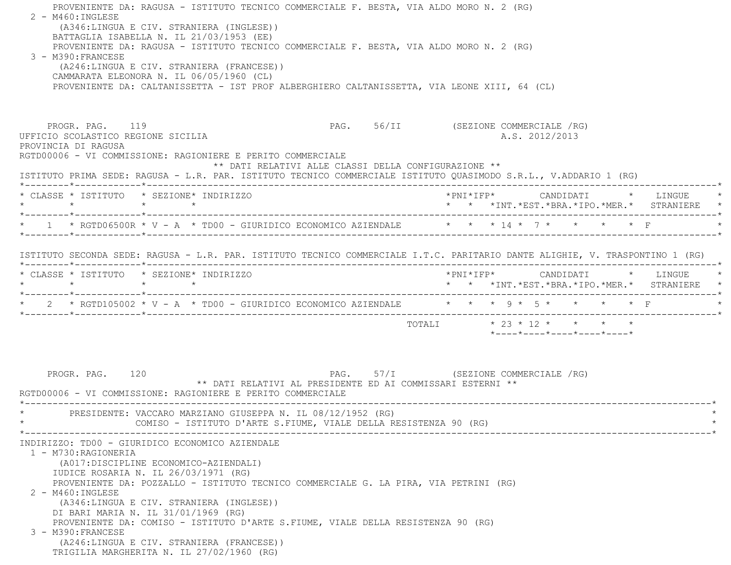PROVENIENTE DA: RAGUSA - ISTITUTO TECNICO COMMERCIALE F. BESTA, VIA ALDO MORO N. 2 (RG)  $2 - M460$ : INGLESE (A346:LINGUA E CIV. STRANIERA (INGLESE)) BATTAGLIA ISABELLA N. IL 21/03/1953 (EE) PROVENIENTE DA: RAGUSA - ISTITUTO TECNICO COMMERCIALE F. BESTA, VIA ALDO MORO N. 2 (RG) 3 - M390:FRANCESE (A246:LINGUA E CIV. STRANIERA (FRANCESE)) CAMMARATA ELEONORA N. IL 06/05/1960 (CL) PROVENIENTE DA: CALTANISSETTA - IST PROF ALBERGHIERO CALTANISSETTA, VIA LEONE XIII, 64 (CL) PROGR. PAG. 119 **PAG.** 56/II (SEZIONE COMMERCIALE /RG) UFFICIO SCOLASTICO REGIONE SICILIA A.S. 2012/2013 PROVINCIA DI RAGUSA RGTD00006 - VI COMMISSIONE: RAGIONIERE E PERITO COMMERCIALE \*\* DATI RELATIVI ALLE CLASSI DELLA CONFIGURAZIONE \*\* ISTITUTO PRIMA SEDE: RAGUSA - L.R. PAR. ISTITUTO TECNICO COMMERCIALE ISTITUTO QUASIMODO S.R.L., V.ADDARIO 1 (RG) \*--------\*------------\*-------------------------------------------------------------------------------------------------------\* \* CLASSE \* ISTITUTO \* SEZIONE\* INDIRIZZO \*PNI\*IFP\* CANDIDATI \* LINGUE \* \* \* \* \* \* \* \*INT.\*EST.\*BRA.\*IPO.\*MER.\* STRANIERE \* \*--------\*------------\*-------------------------------------------------------------------------------------------------------\*\* 1 \* RGTD06500R \* V - A \* TD00 - GIURIDICO ECONOMICO AZIENDALE  $\qquad$  \* \* \* 14 \* 7 \* \* \* \* \* F \*--------\*------------\*-------------------------------------------------------------------------------------------------------\* ISTITUTO SECONDA SEDE: RAGUSA - L.R. PAR. ISTITUTO TECNICO COMMERCIALE I.T.C. PARITARIO DANTE ALIGHIE, V. TRASPONTINO 1 (RG) \*--------\*------------\*-------------------------------------------------------------------------------------------------------\* \* CLASSE \* ISTITUTO \* SEZIONE\* INDIRIZZO \*PNI\*IFP\* CANDIDATI \* LINGUE \* \* \* \* \* \* \* \*INT.\*EST.\*BRA.\*IPO.\*MER.\* STRANIERE \* \*--------\*------------\*-------------------------------------------------------------------------------------------------------\*\* 2 \* RGTD105002 \* V - A \* TD00 - GIURIDICO ECONOMICO AZIENDALE  $\quad$  \* \* \* 9 \* 5 \* \* \* \* \* F \*--------\*------------\*-------------------------------------------------------------------------------------------------------\* TOTALI \* 23 \* 12 \* \* \* \* \*----\*----\*----\*----\*----\*PROGR. PAG. 120 **PAG.** PAG. 57/I (SEZIONE COMMERCIALE /RG) \*\* DATI RELATIVI AL PRESIDENTE ED AI COMMISSARI ESTERNI \*\* RGTD00006 - VI COMMISSIONE: RAGIONIERE E PERITO COMMERCIALE \*----------------------------------------------------------------------------------------------------------------------------\*PRESIDENTE: VACCARO MARZIANO GIUSEPPA N. IL 08/12/1952 (RG) COMISO - ISTITUTO D'ARTE S.FIUME, VIALE DELLA RESISTENZA 90 (RG) \*----------------------------------------------------------------------------------------------------------------------------\* INDIRIZZO: TD00 - GIURIDICO ECONOMICO AZIENDALE 1 - M730:RAGIONERIA (A017:DISCIPLINE ECONOMICO-AZIENDALI) IUDICE ROSARIA N. IL 26/03/1971 (RG) PROVENIENTE DA: POZZALLO - ISTITUTO TECNICO COMMERCIALE G. LA PIRA, VIA PETRINI (RG) 2 - M460:INGLESE (A346:LINGUA E CIV. STRANIERA (INGLESE)) DI BARI MARIA N. IL 31/01/1969 (RG) PROVENIENTE DA: COMISO - ISTITUTO D'ARTE S.FIUME, VIALE DELLA RESISTENZA 90 (RG) 3 - M390:FRANCESE (A246:LINGUA E CIV. STRANIERA (FRANCESE)) TRIGILIA MARGHERITA N. IL 27/02/1960 (RG)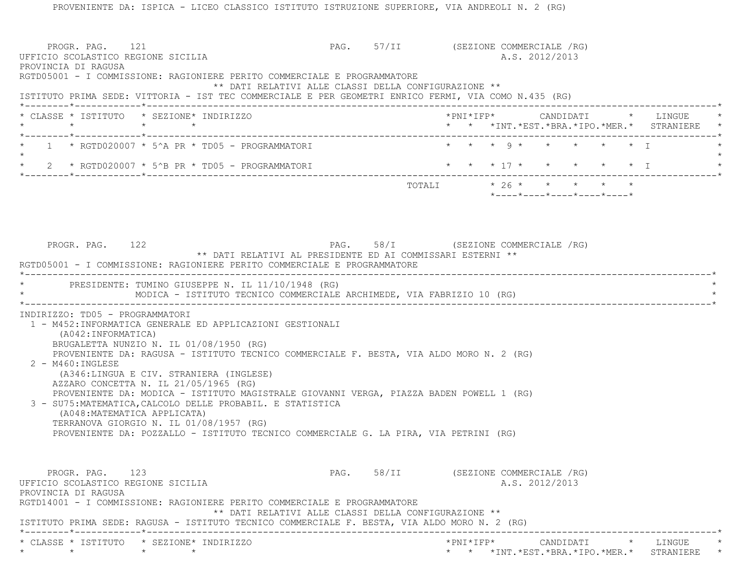PROGR. PAG. 121 CHARGE 121 PAG. 57/II (SEZIONE COMMERCIALE /RG) UFFICIO SCOLASTICO REGIONE SICILIA A.S. 2012/2013 PROVINCIA DI RAGUSA RGTD05001 - I COMMISSIONE: RAGIONIERE PERITO COMMERCIALE E PROGRAMMATORE \*\* DATI RELATIVI ALLE CLASSI DELLA CONFIGURAZIONE \*\* ISTITUTO PRIMA SEDE: VITTORIA - IST TEC COMMERCIALE E PER GEOMETRI ENRICO FERMI, VIA COMO N.435 (RG) \*--------\*------------\*-------------------------------------------------------------------------------------------------------\* \* CLASSE \* ISTITUTO \* SEZIONE\* INDIRIZZO \*PNI\*IFP\* CANDIDATI \* LINGUE \* \* \* \* \* \* \* \*INT.\*EST.\*BRA.\*IPO.\*MER.\* STRANIERE \* \*--------\*------------\*-------------------------------------------------------------------------------------------------------\*1 \* RGTD020007 \* 5^A PR \* TD05 - PROGRAMMATORI \* \* \* \* \* 9 \* \* \* \* \* \* \* I  $\star$ 2 \* RGTD020007 \* 5^B PR \* TD05 - PROGRAMMATORI \* \* \* \* \* \* \* \* \* \* \* \* \* \* I \*--------\*------------\*-------------------------------------------------------------------------------------------------------\*TOTALI  $* 26 * * * * * * * * *$  \*----\*----\*----\*----\*----\*PROGR. PAG. 122 **PAG.** PAG. 58/I (SEZIONE COMMERCIALE /RG) \*\* DATI RELATIVI AL PRESIDENTE ED AI COMMISSARI ESTERNI \*\* RGTD05001 - I COMMISSIONE: RAGIONIERE PERITO COMMERCIALE E PROGRAMMATORE \*----------------------------------------------------------------------------------------------------------------------------\*PRESIDENTE: TUMINO GIUSEPPE N. IL 11/10/1948 (RG) MODICA - ISTITUTO TECNICO COMMERCIALE ARCHIMEDE, VIA FABRIZIO 10 (RG) \*----------------------------------------------------------------------------------------------------------------------------\* INDIRIZZO: TD05 - PROGRAMMATORI 1 - M452:INFORMATICA GENERALE ED APPLICAZIONI GESTIONALI (A042:INFORMATICA) BRUGALETTA NUNZIO N. IL 01/08/1950 (RG) PROVENIENTE DA: RAGUSA - ISTITUTO TECNICO COMMERCIALE F. BESTA, VIA ALDO MORO N. 2 (RG)  $2$  - M460: INGLESE (A346:LINGUA E CIV. STRANIERA (INGLESE) AZZARO CONCETTA N. IL 21/05/1965 (RG) PROVENIENTE DA: MODICA - ISTITUTO MAGISTRALE GIOVANNI VERGA, PIAZZA BADEN POWELL 1 (RG) 3 - SU75:MATEMATICA,CALCOLO DELLE PROBABIL. E STATISTICA (A048:MATEMATICA APPLICATA) TERRANOVA GIORGIO N. IL 01/08/1957 (RG) PROVENIENTE DA: POZZALLO - ISTITUTO TECNICO COMMERCIALE G. LA PIRA, VIA PETRINI (RG) PROGR. PAG. 123 CHARGE 123 PAG. 58/II (SEZIONE COMMERCIALE /RG) UFFICIO SCOLASTICO REGIONE SICILIA A.S. 2012/2013 PROVINCIA DI RAGUSA RGTD14001 - I COMMISSIONE: RAGIONIERE PERITO COMMERCIALE E PROGRAMMATORE \*\* DATI RELATIVI ALLE CLASSI DELLA CONFIGURAZIONE \*\* ISTITUTO PRIMA SEDE: RAGUSA - ISTITUTO TECNICO COMMERCIALE F. BESTA, VIA ALDO MORO N. 2 (RG) \*--------\*------------\*-------------------------------------------------------------------------------------------------------\* \* CLASSE \* ISTITUTO \* SEZIONE\* INDIRIZZO \*PNI\*IFP\* CANDIDATI \* LINGUE \*\* \* \* \* \* \* \*INT.\*EST.\*BRA.\*IPO.\*MER.\* STRANIERE \*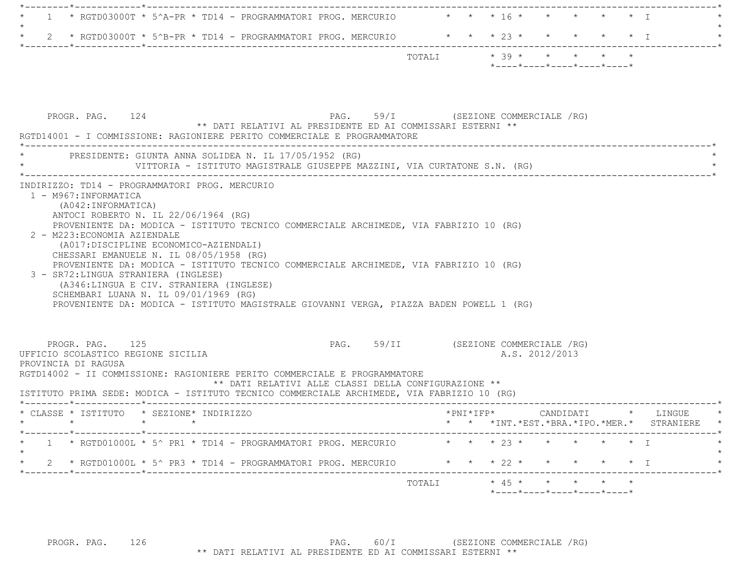|  |  |                                                                                         |  |        |  | *----*---*----*---*---*----* |  |  |  |  |
|--|--|-----------------------------------------------------------------------------------------|--|--------|--|------------------------------|--|--|--|--|
|  |  |                                                                                         |  | TOTAIJ |  | $* 39 * * * * * * * * *$     |  |  |  |  |
|  |  | $\star$ 2 $\star$ RGTD03000T $\star$ 5^B-PR $\star$ TD14 - PROGRAMMATORI PROG. MERCURIO |  |        |  | * * * 23 * * * * * * T       |  |  |  |  |
|  |  | $\star$ 1 $\star$ RGTD03000T $\star$ 5^A-PR $\star$ TD14 - PROGRAMMATORI PROG. MERCURIO |  |        |  | * * * 16 * * * * * * T       |  |  |  |  |
|  |  |                                                                                         |  |        |  |                              |  |  |  |  |

|                                                                              | PRESIDENTE: GIUNTA ANNA SOLIDEA N. IL 17/05/1952 (RG)<br>VITTORIA - ISTITUTO MAGISTRALE GIUSEPPE MAZZINI, VIA CURTATONE S.N. (RG)                                                                                                                                                                                                                                                                                                                                                         |                                                      |                                      |                                                                                   |                |  |  |
|------------------------------------------------------------------------------|-------------------------------------------------------------------------------------------------------------------------------------------------------------------------------------------------------------------------------------------------------------------------------------------------------------------------------------------------------------------------------------------------------------------------------------------------------------------------------------------|------------------------------------------------------|--------------------------------------|-----------------------------------------------------------------------------------|----------------|--|--|
| 1 - M967: INFORMATICA<br>(A042: INFORMATICA)<br>2 - M223: ECONOMIA AZIENDALE | INDIRIZZO: TD14 - PROGRAMMATORI PROG. MERCURIO<br>ANTOCI ROBERTO N. IL 22/06/1964 (RG)<br>PROVENIENTE DA: MODICA - ISTITUTO TECNICO COMMERCIALE ARCHIMEDE, VIA FABRIZIO 10 (RG)<br>(A017: DISCIPLINE ECONOMICO-AZIENDALI)<br>CHESSARI EMANUELE N. IL 08/05/1958 (RG)<br>PROVENIENTE DA: MODICA - ISTITUTO TECNICO COMMERCIALE ARCHIMEDE, VIA FABRIZIO 10 (RG)<br>3 - SR72: LINGUA STRANIERA (INGLESE)<br>(A346:LINGUA E CIV. STRANIERA (INGLESE)<br>SCHEMBARI LUANA N. IL 09/01/1969 (RG) |                                                      |                                      |                                                                                   |                |  |  |
|                                                                              | PROVENIENTE DA: MODICA - ISTITUTO MAGISTRALE GIOVANNI VERGA, PIAZZA BADEN POWELL 1 (RG)                                                                                                                                                                                                                                                                                                                                                                                                   |                                                      |                                      |                                                                                   |                |  |  |
| PROGR. PAG. 125<br>UFFICIO SCOLASTICO REGIONE SICILIA<br>PROVINCIA DI RAGUSA | RGTD14002 - II COMMISSIONE: RAGIONIERE PERITO COMMERCIALE E PROGRAMMATORE<br>ISTITUTO PRIMA SEDE: MODICA - ISTITUTO TECNICO COMMERCIALE ARCHIMEDE, VIA FABRIZIO 10 (RG)                                                                                                                                                                                                                                                                                                                   | ** DATI RELATIVI ALLE CLASSI DELLA CONFIGURAZIONE ** | PAG. 59/II (SEZIONE COMMERCIALE /RG) |                                                                                   | A.S. 2012/2013 |  |  |
|                                                                              | * CLASSE * ISTITUTO * SEZIONE* INDIRIZZO                                                                                                                                                                                                                                                                                                                                                                                                                                                  |                                                      |                                      | *PNI*IFP*     CANDIDATI    *   LINGUE<br>* * *INT.*EST.*BRA.*IPO.*MER.* STRANIERE |                |  |  |
| $\star$                                                                      | * 1 * RGTD01000L * 5^ PR1 * TD14 - PROGRAMMATORI PROG. MERCURIO * * * 23 * * * * * * * I<br>2 * RGTD01000L * 5^ PR3 * TD14 - PROGRAMMATORI PROG. MERCURIO * * * * 22 * * * * * * * I                                                                                                                                                                                                                                                                                                      |                                                      |                                      |                                                                                   |                |  |  |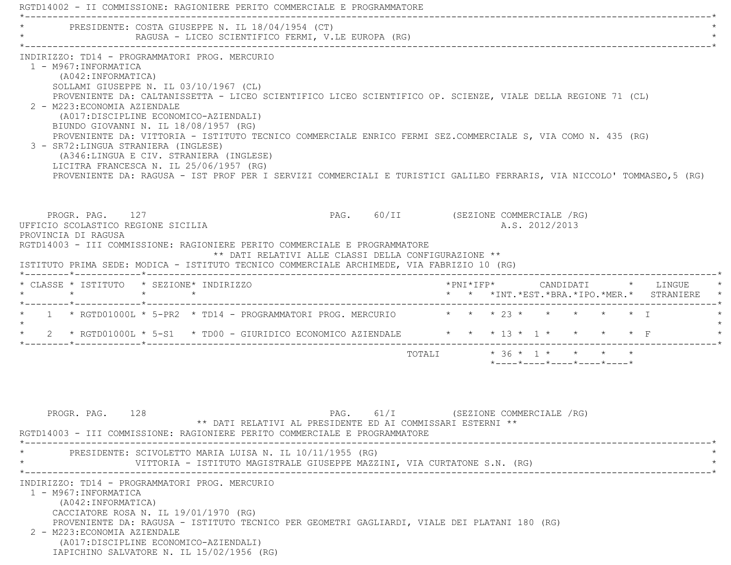|                                                                                                                      |                 | PRESIDENTE: COSTA GIUSEPPE N. IL 18/04/1954 (CT)<br>RAGUSA - LICEO SCIENTIFICO FERMI, V.LE EUROPA (RG)                                                                                                                                                                                                                                                                                                                                                                                                                                                                                                                       |                                      |  |  |                |  |                                                                                        |
|----------------------------------------------------------------------------------------------------------------------|-----------------|------------------------------------------------------------------------------------------------------------------------------------------------------------------------------------------------------------------------------------------------------------------------------------------------------------------------------------------------------------------------------------------------------------------------------------------------------------------------------------------------------------------------------------------------------------------------------------------------------------------------------|--------------------------------------|--|--|----------------|--|----------------------------------------------------------------------------------------|
| 1 - M967: INFORMATICA<br>(A042: INFORMATICA)<br>2 - M223: ECONOMIA AZIENDALE<br>3 - SR72: LINGUA STRANIERA (INGLESE) |                 | INDIRIZZO: TD14 - PROGRAMMATORI PROG. MERCURIO<br>SOLLAMI GIUSEPPE N. IL 03/10/1967 (CL)<br>PROVENIENTE DA: CALTANISSETTA - LICEO SCIENTIFICO LICEO SCIENTIFICO OP. SCIENZE, VIALE DELLA REGIONE 71 (CL)<br>(A017: DISCIPLINE ECONOMICO-AZIENDALI)<br>BIUNDO GIOVANNI N. IL 18/08/1957 (RG)<br>PROVENIENTE DA: VITTORIA - ISTITUTO TECNICO COMMERCIALE ENRICO FERMI SEZ.COMMERCIALE S, VIA COMO N. 435 (RG)<br>(A346:LINGUA E CIV. STRANIERA (INGLESE)<br>LICITRA FRANCESCA N. IL 25/06/1957 (RG)<br>PROVENIENTE DA: RAGUSA - IST PROF PER I SERVIZI COMMERCIALI E TURISTICI GALILEO FERRARIS, VIA NICCOLO' TOMMASEO, 5 (RG) |                                      |  |  |                |  |                                                                                        |
| PROGR. PAG. 127<br>UFFICIO SCOLASTICO REGIONE SICILIA<br>PROVINCIA DI RAGUSA                                         |                 | RGTD14003 - III COMMISSIONE: RAGIONIERE PERITO COMMERCIALE E PROGRAMMATORE<br>** DATI RELATIVI ALLE CLASSI DELLA CONFIGURAZIONE **<br>ISTITUTO PRIMA SEDE: MODICA - ISTITUTO TECNICO COMMERCIALE ARCHIMEDE, VIA FABRIZIO 10 (RG)                                                                                                                                                                                                                                                                                                                                                                                             | PAG. 60/II (SEZIONE COMMERCIALE /RG) |  |  | A.S. 2012/2013 |  |                                                                                        |
| * CLASSE * ISTITUTO * SEZIONE* INDIRIZZO<br>$\star$                                                                  | $\star$ $\star$ |                                                                                                                                                                                                                                                                                                                                                                                                                                                                                                                                                                                                                              |                                      |  |  |                |  | *PNI*IFP*     CANDIDATI    *   LINGUE<br>* * *INT. *EST. *BRA. *IPO. *MER. * STRANIERE |
|                                                                                                                      |                 | 1 * RGTD01000L * 5-PR2 * TD14 - PROGRAMMATORI PROG. MERCURIO * * * 23 * * * * * * * *                                                                                                                                                                                                                                                                                                                                                                                                                                                                                                                                        |                                      |  |  |                |  |                                                                                        |
|                                                                                                                      |                 | 2 * RGTD01000L * 5-S1 * TD00 - GIURIDICO ECONOMICO AZIENDALE * * * * 13 * 1 * * * * * F                                                                                                                                                                                                                                                                                                                                                                                                                                                                                                                                      |                                      |  |  |                |  |                                                                                        |
|                                                                                                                      |                 |                                                                                                                                                                                                                                                                                                                                                                                                                                                                                                                                                                                                                              |                                      |  |  |                |  |                                                                                        |

\* VITTORIA - ISTITUTO MAGISTRALE GIUSEPPE MAZZINI, VIA CURTATONE S.N. (RG) \*

 \*----------------------------------------------------------------------------------------------------------------------------\*INDIRIZZO: TD14 - PROGRAMMATORI PROG. MERCURIO

 1 - M967:INFORMATICA (A042:INFORMATICA) CACCIATORE ROSA N. IL 19/01/1970 (RG) PROVENIENTE DA: RAGUSA - ISTITUTO TECNICO PER GEOMETRI GAGLIARDI, VIALE DEI PLATANI 180 (RG) 2 - M223:ECONOMIA AZIENDALE (A017:DISCIPLINE ECONOMICO-AZIENDALI) IAPICHINO SALVATORE N. IL 15/02/1956 (RG)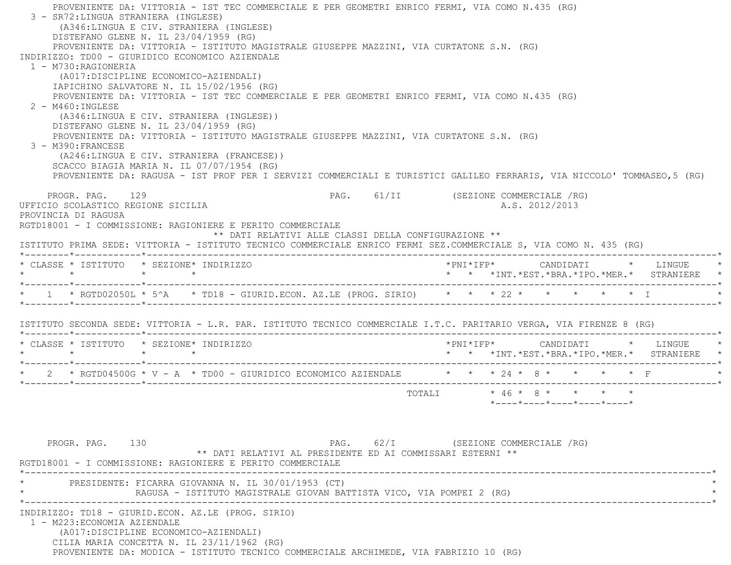PROVENIENTE DA: VITTORIA - IST TEC COMMERCIALE E PER GEOMETRI ENRICO FERMI, VIA COMO N.435 (RG) 3 - SR72:LINGUA STRANIERA (INGLESE) (A346:LINGUA E CIV. STRANIERA (INGLESE) DISTEFANO GLENE N. IL 23/04/1959 (RG) PROVENIENTE DA: VITTORIA - ISTITUTO MAGISTRALE GIUSEPPE MAZZINI, VIA CURTATONE S.N. (RG) INDIRIZZO: TD00 - GIURIDICO ECONOMICO AZIENDALE 1 - M730:RAGIONERIA (A017:DISCIPLINE ECONOMICO-AZIENDALI) IAPICHINO SALVATORE N. IL 15/02/1956 (RG) PROVENIENTE DA: VITTORIA - IST TEC COMMERCIALE E PER GEOMETRI ENRICO FERMI, VIA COMO N.435 (RG) 2 - M460:INGLESE (A346:LINGUA E CIV. STRANIERA (INGLESE)) DISTEFANO GLENE N. IL 23/04/1959 (RG) PROVENIENTE DA: VITTORIA - ISTITUTO MAGISTRALE GIUSEPPE MAZZINI, VIA CURTATONE S.N. (RG) 3 - M390:FRANCESE (A246:LINGUA E CIV. STRANIERA (FRANCESE)) SCACCO BIAGIA MARIA N. IL 07/07/1954 (RG) PROVENIENTE DA: RAGUSA - IST PROF PER I SERVIZI COMMERCIALI E TURISTICI GALILEO FERRARIS, VIA NICCOLO' TOMMASEO,5 (RG) PROGR. PAG. 129 PAG. 61/II (SEZIONE COMMERCIALE /RG) UFFICIO SCOLASTICO REGIONE SICILIA A.S. 2012/2013 PROVINCIA DI RAGUSA RGTD18001 - I COMMISSIONE: RAGIONIERE E PERITO COMMERCIALE \*\* DATI RELATIVI ALLE CLASSI DELLA CONFIGURAZIONE \*\* ISTITUTO PRIMA SEDE: VITTORIA - ISTITUTO TECNICO COMMERCIALE ENRICO FERMI SEZ.COMMERCIALE S, VIA COMO N. 435 (RG) \*--------\*------------\*-------------------------------------------------------------------------------------------------------\* \* CLASSE \* ISTITUTO \* SEZIONE\* INDIRIZZO \*PNI\*IFP\* CANDIDATI \* LINGUE \* \* \* \* \* \* \* \*INT.\*EST.\*BRA.\*IPO.\*MER.\* STRANIERE \* \*--------\*------------\*-------------------------------------------------------------------------------------------------------\*\* 1 \* RGTD02050L \* 5^A \* TD18 - GIURID.ECON. AZ.LE (PROG. SIRIO) \* \* \* 22 \* \* \* \* \* \* \* T \*--------\*------------\*-------------------------------------------------------------------------------------------------------\* ISTITUTO SECONDA SEDE: VITTORIA - L.R. PAR. ISTITUTO TECNICO COMMERCIALE I.T.C. PARITARIO VERGA, VIA FIRENZE 8 (RG) \*--------\*------------\*-------------------------------------------------------------------------------------------------------\* \* CLASSE \* ISTITUTO \* SEZIONE\* INDIRIZZO \*PNI\*IFP\* CANDIDATI \* LINGUE \* \* \* \* \* \* \* \*INT.\*EST.\*BRA.\*IPO.\*MER.\* STRANIERE \* \*--------\*------------\*-------------------------------------------------------------------------------------------------------\*\* 2 \* RGTD04500G \* V - A \* TD00 - GIURIDICO ECONOMICO AZIENDALE  $\qquad$  \* \* \* 24 \* 8 \* \* \* \* \* \* F \*--------\*------------\*-------------------------------------------------------------------------------------------------------\*TOTALI  $* 46 * 8 * * * * * * *$  \*----\*----\*----\*----\*----\*PROGR. PAG. 130 PAG. 62/I (SEZIONE COMMERCIALE /RG) \*\* DATI RELATIVI AL PRESIDENTE ED AI COMMISSARI ESTERNI \*\* RGTD18001 - I COMMISSIONE: RAGIONIERE E PERITO COMMERCIALE \*----------------------------------------------------------------------------------------------------------------------------\*PRESIDENTE: FICARRA GIOVANNA N. IL 30/01/1953 (CT) RAGUSA - ISTITUTO MAGISTRALE GIOVAN BATTISTA VICO, VIA POMPEI 2 (RG) \*----------------------------------------------------------------------------------------------------------------------------\* INDIRIZZO: TD18 - GIURID.ECON. AZ.LE (PROG. SIRIO) 1 - M223:ECONOMIA AZIENDALE (A017:DISCIPLINE ECONOMICO-AZIENDALI) CILIA MARIA CONCETTA N. IL 23/11/1962 (RG) PROVENIENTE DA: MODICA - ISTITUTO TECNICO COMMERCIALE ARCHIMEDE, VIA FABRIZIO 10 (RG)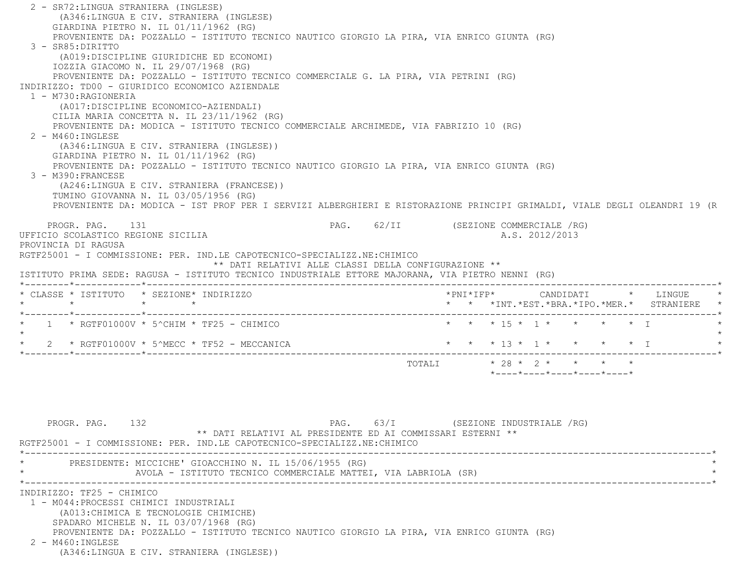2 - SR72:LINGUA STRANIERA (INGLESE) (A346:LINGUA E CIV. STRANIERA (INGLESE) GIARDINA PIETRO N. IL 01/11/1962 (RG) PROVENIENTE DA: POZZALLO - ISTITUTO TECNICO NAUTICO GIORGIO LA PIRA, VIA ENRICO GIUNTA (RG) 3 - SR85:DIRITTO (A019:DISCIPLINE GIURIDICHE ED ECONOMI) IOZZIA GIACOMO N. IL 29/07/1968 (RG) PROVENIENTE DA: POZZALLO - ISTITUTO TECNICO COMMERCIALE G. LA PIRA, VIA PETRINI (RG) INDIRIZZO: TD00 - GIURIDICO ECONOMICO AZIENDALE 1 - M730:RAGIONERIA (A017:DISCIPLINE ECONOMICO-AZIENDALI) CILIA MARIA CONCETTA N. IL 23/11/1962 (RG) PROVENIENTE DA: MODICA - ISTITUTO TECNICO COMMERCIALE ARCHIMEDE, VIA FABRIZIO 10 (RG) 2 - M460:INGLESE (A346:LINGUA E CIV. STRANIERA (INGLESE)) GIARDINA PIETRO N. IL 01/11/1962 (RG) PROVENIENTE DA: POZZALLO - ISTITUTO TECNICO NAUTICO GIORGIO LA PIRA, VIA ENRICO GIUNTA (RG) 3 - M390:FRANCESE (A246:LINGUA E CIV. STRANIERA (FRANCESE)) TUMINO GIOVANNA N. IL 03/05/1956 (RG) PROVENIENTE DA: MODICA - IST PROF PER I SERVIZI ALBERGHIERI E RISTORAZIONE PRINCIPI GRIMALDI, VIALE DEGLI OLEANDRI 19 (R PROGR. PAG. 131 **PROGR. PAG. 2018** PAG. 62/II (SEZIONE COMMERCIALE /RG) UFFICIO SCOLASTICO REGIONE SICILIA A.S. 2012/2013 PROVINCIA DI RAGUSA RGTF25001 - I COMMISSIONE: PER. IND.LE CAPOTECNICO-SPECIALIZZ.NE:CHIMICO \*\* DATI RELATIVI ALLE CLASSI DELLA CONFIGURAZIONE \*\* ISTITUTO PRIMA SEDE: RAGUSA - ISTITUTO TECNICO INDUSTRIALE ETTORE MAJORANA, VIA PIETRO NENNI (RG) \*--------\*------------\*-------------------------------------------------------------------------------------------------------\* \* CLASSE \* ISTITUTO \* SEZIONE\* INDIRIZZO \*PNI\*IFP\* CANDIDATI \* LINGUE \* \* \* \* \* \* \* \*INT.\*EST.\*BRA.\*IPO.\*MER.\* STRANIERE \* \*--------\*------------\*-------------------------------------------------------------------------------------------------------\*1 \* RGTF01000V \* 5^CHIM \* TF25 - CHIMICO \* \* \* \* \* \* \* \* \* \* \* \* \* \* \* T  $\star$ \* 2 \* RGTF01000V \* 5^MECC \* TF52 - MECCANICA \* \* \* \* \* \* \* \* \* \* \* \* \* \* \* T \*--------\*------------\*-------------------------------------------------------------------------------------------------------\*TOTALI  $* 28 * 2 * * * * * * * *$  $*$ ---- $*$ ---- $*$ ---- $*$ ---- $*$ ---- $*$ PROGR. PAG. 132 **PAG.** 63/I (SEZIONE INDUSTRIALE /RG)

 \*\* DATI RELATIVI AL PRESIDENTE ED AI COMMISSARI ESTERNI \*\* RGTF25001 - I COMMISSIONE: PER. IND.LE CAPOTECNICO-SPECIALIZZ.NE:CHIMICO \*----------------------------------------------------------------------------------------------------------------------------\*PRESIDENTE: MICCICHE' GIOACCHINO N. IL 15/06/1955 (RG) AVOLA - ISTITUTO TECNICO COMMERCIALE MATTEI, VIA LABRIOLA (SR) \*----------------------------------------------------------------------------------------------------------------------------\* INDIRIZZO: TF25 - CHIMICO 1 - M044:PROCESSI CHIMICI INDUSTRIALI (A013:CHIMICA E TECNOLOGIE CHIMICHE) SPADARO MICHELE N. IL 03/07/1968 (RG) PROVENIENTE DA: POZZALLO - ISTITUTO TECNICO NAUTICO GIORGIO LA PIRA, VIA ENRICO GIUNTA (RG) 2 - M460:INGLESE(A346:LINGUA E CIV. STRANIERA (INGLESE))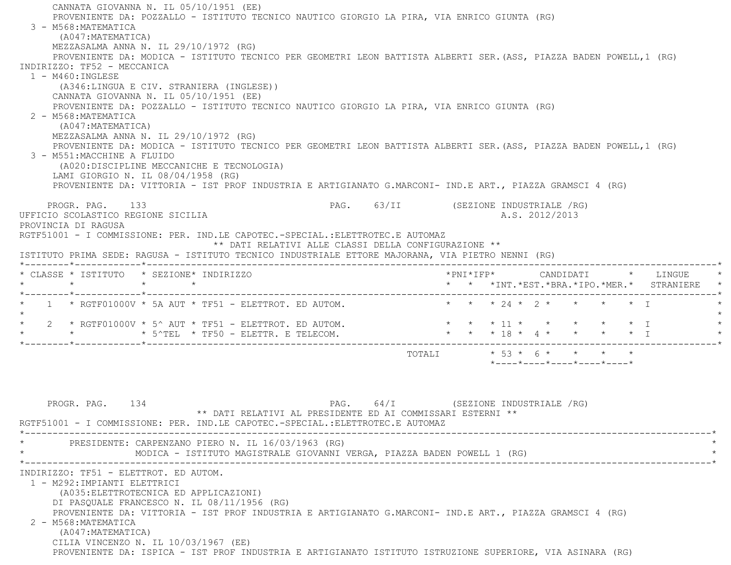CANNATA GIOVANNA N. IL 05/10/1951 (EE) PROVENIENTE DA: POZZALLO - ISTITUTO TECNICO NAUTICO GIORGIO LA PIRA, VIA ENRICO GIUNTA (RG) 3 - M568:MATEMATICA (A047:MATEMATICA) MEZZASALMA ANNA N. IL 29/10/1972 (RG) PROVENIENTE DA: MODICA - ISTITUTO TECNICO PER GEOMETRI LEON BATTISTA ALBERTI SER.(ASS, PIAZZA BADEN POWELL,1 (RG) INDIRIZZO: TF52 - MECCANICA 1 - M460:INGLESE (A346:LINGUA E CIV. STRANIERA (INGLESE)) CANNATA GIOVANNA N. IL 05/10/1951 (EE) PROVENIENTE DA: POZZALLO - ISTITUTO TECNICO NAUTICO GIORGIO LA PIRA, VIA ENRICO GIUNTA (RG) 2 - M568:MATEMATICA (A047:MATEMATICA) MEZZASALMA ANNA N. IL 29/10/1972 (RG) PROVENIENTE DA: MODICA - ISTITUTO TECNICO PER GEOMETRI LEON BATTISTA ALBERTI SER.(ASS, PIAZZA BADEN POWELL,1 (RG) 3 - M551:MACCHINE A FLUIDO (A020:DISCIPLINE MECCANICHE E TECNOLOGIA) LAMI GIORGIO N. IL 08/04/1958 (RG) PROVENIENTE DA: VITTORIA - IST PROF INDUSTRIA E ARTIGIANATO G.MARCONI- IND.E ART., PIAZZA GRAMSCI 4 (RG) PROGR. PAG. 133 PAG. 63/II (SEZIONE INDUSTRIALE /RG) UFFICIO SCOLASTICO REGIONE SICILIA A.S. 2012/2013 PROVINCIA DI RAGUSA RGTF51001 - I COMMISSIONE: PER. IND.LE CAPOTEC.-SPECIAL.:ELETTROTEC.E AUTOMAZ \*\* DATI RELATIVI ALLE CLASSI DELLA CONFIGURAZIONE \*\* ISTITUTO PRIMA SEDE: RAGUSA - ISTITUTO TECNICO INDUSTRIALE ETTORE MAJORANA, VIA PIETRO NENNI (RG) \*--------\*------------\*-------------------------------------------------------------------------------------------------------\* \* CLASSE \* ISTITUTO \* SEZIONE\* INDIRIZZO \*PNI\*IFP\* CANDIDATI \* LINGUE \* \* \* \* \* \* \* \*INT.\*EST.\*BRA.\*IPO.\*MER.\* STRANIERE \* \*--------\*------------\*-------------------------------------------------------------------------------------------------------\*1 \* RGTF01000V \* 5A AUT \* TF51 - ELETTROT. ED AUTOM. \* \* \* \* \* 24 \* 2 \* \* \* \* \* \* \* I  $\star$ 2 \* RGTF01000V \* 5^ AUT \* TF51 - ELETTROT. ED AUTOM. \* \* \* \* \* 11 \* \* \* \* \* \* \* I \*  $\texttt{N}\xspace$   $\texttt{N}\xspace$   $\texttt{N}\xspace$   $\texttt{N}\xspace$   $\texttt{N}\xspace$   $\texttt{N}\xspace$   $\texttt{N}\xspace$   $\texttt{N}\xspace$   $\texttt{N}\xspace$   $\texttt{N}\xspace$   $\texttt{N}\xspace$   $\texttt{N}\xspace$   $\texttt{N}\xspace$   $\texttt{N}\xspace$   $\texttt{N}\xspace$   $\texttt{N}\xspace$   $\texttt{N}\xspace$   $\texttt{N}\xspace$   $\texttt{N}\xspace$   $\texttt{N}\xspace$  \*--------\*------------\*-------------------------------------------------------------------------------------------------------\*TOTALI  $* 53 * 6 * * * * * * *$  \*----\*----\*----\*----\*----\*PROGR. PAG. 134 PAG. PAG. 64/I (SEZIONE INDUSTRIALE /RG) \*\* DATI RELATIVI AL PRESIDENTE ED AI COMMISSARI ESTERNI \*\* RGTF51001 - I COMMISSIONE: PER. IND.LE CAPOTEC.-SPECIAL.:ELETTROTEC.E AUTOMAZ \*----------------------------------------------------------------------------------------------------------------------------\*PRESIDENTE: CARPENZANO PIERO N. IL 16/03/1963 (RG) MODICA - ISTITUTO MAGISTRALE GIOVANNI VERGA, PIAZZA BADEN POWELL 1 (RG) \*----------------------------------------------------------------------------------------------------------------------------\* INDIRIZZO: TF51 - ELETTROT. ED AUTOM. 1 - M292:IMPIANTI ELETTRICI (A035:ELETTROTECNICA ED APPLICAZIONI) DI PASQUALE FRANCESCO N. IL 08/11/1956 (RG) PROVENIENTE DA: VITTORIA - IST PROF INDUSTRIA E ARTIGIANATO G.MARCONI- IND.E ART., PIAZZA GRAMSCI 4 (RG) 2 - M568:MATEMATICA (A047:MATEMATICA) CILIA VINCENZO N. IL 10/03/1967 (EE) PROVENIENTE DA: ISPICA - IST PROF INDUSTRIA E ARTIGIANATO ISTITUTO ISTRUZIONE SUPERIORE, VIA ASINARA (RG)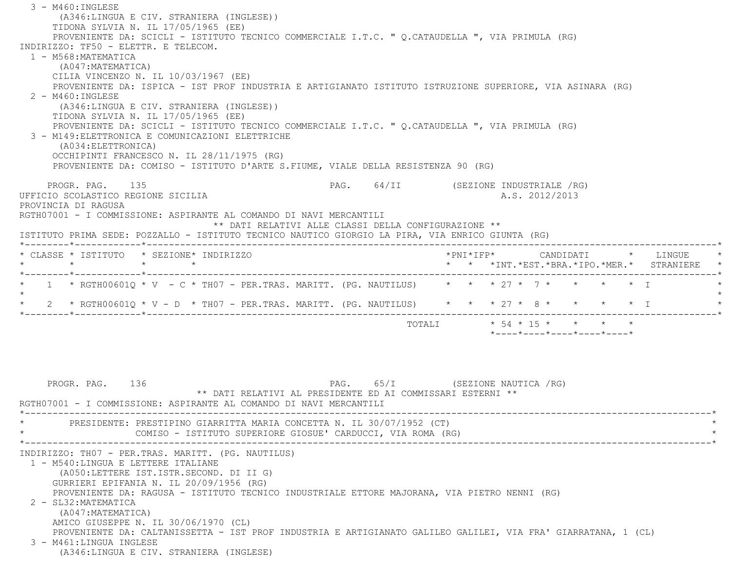3 - M460:INGLESE (A346:LINGUA E CIV. STRANIERA (INGLESE)) TIDONA SYLVIA N. IL 17/05/1965 (EE) PROVENIENTE DA: SCICLI - ISTITUTO TECNICO COMMERCIALE I.T.C. " Q.CATAUDELLA ", VIA PRIMULA (RG) INDIRIZZO: TF50 - ELETTR. E TELECOM. 1 - M568:MATEMATICA (A047:MATEMATICA) CILIA VINCENZO N. IL 10/03/1967 (EE) PROVENIENTE DA: ISPICA - IST PROF INDUSTRIA E ARTIGIANATO ISTITUTO ISTRUZIONE SUPERIORE, VIA ASINARA (RG) 2 - M460:INGLESE (A346:LINGUA E CIV. STRANIERA (INGLESE)) TIDONA SYLVIA N. IL 17/05/1965 (EE) PROVENIENTE DA: SCICLI - ISTITUTO TECNICO COMMERCIALE I.T.C. " Q.CATAUDELLA ", VIA PRIMULA (RG) 3 - M149:ELETTRONICA E COMUNICAZIONI ELETTRICHE (A034:ELETTRONICA) OCCHIPINTI FRANCESCO N. IL 28/11/1975 (RG) PROVENIENTE DA: COMISO - ISTITUTO D'ARTE S.FIUME, VIALE DELLA RESISTENZA 90 (RG) PROGR. PAG. 135 PAG. 64/II (SEZIONE INDUSTRIALE /RG) UFFICIO SCOLASTICO REGIONE SICILIA A.S. 2012/2013 PROVINCIA DI RAGUSA RGTH07001 - I COMMISSIONE: ASPIRANTE AL COMANDO DI NAVI MERCANTILI \*\* DATI RELATIVI ALLE CLASSI DELLA CONFIGURAZIONE \*\* ISTITUTO PRIMA SEDE: POZZALLO - ISTITUTO TECNICO NAUTICO GIORGIO LA PIRA, VIA ENRICO GIUNTA (RG) \*--------\*------------\*-------------------------------------------------------------------------------------------------------\* \* CLASSE \* ISTITUTO \* SEZIONE\* INDIRIZZO \*PNI\*IFP\* CANDIDATI \* LINGUE \* \* \* \* \* \* \* \*INT.\*EST.\*BRA.\*IPO.\*MER.\* STRANIERE \* \*--------\*------------\*-------------------------------------------------------------------------------------------------------\* $1$  \* RGTH00601O \* V - C \* TH07 - PER.TRAS. MARITT. (PG. NAUTILUS)  $*$  \* \*  $*$  27 \* 7 \* \* \* \* \* T  $\star$  \* 2 \* RGTH00601Q \* V - D \* TH07 - PER.TRAS. MARITT. (PG. NAUTILUS) \* \* \* 27 \* 8 \* \* \* \* I \* \*--------\*------------\*-------------------------------------------------------------------------------------------------------\* $\text{TOTALI} \quad * 54 * 15 * * * * * * * *$  \*----\*----\*----\*----\*----\*PROGR. PAG. 136 PAG. PAG. 65/I (SEZIONE NAUTICA / RG) \*\* DATI RELATIVI AL PRESIDENTE ED AI COMMISSARI ESTERNI \*\* RGTH07001 - I COMMISSIONE: ASPIRANTE AL COMANDO DI NAVI MERCANTILI \*----------------------------------------------------------------------------------------------------------------------------\*PRESIDENTE: PRESTIPINO GIARRITTA MARIA CONCETTA N. IL 30/07/1952 (CT) COMISO - ISTITUTO SUPERIORE GIOSUE' CARDUCCI, VIA ROMA (RG) \*----------------------------------------------------------------------------------------------------------------------------\* INDIRIZZO: TH07 - PER.TRAS. MARITT. (PG. NAUTILUS) 1 - M540:LINGUA E LETTERE ITALIANE (A050:LETTERE IST.ISTR.SECOND. DI II G) GURRIERI EPIFANIA N. IL 20/09/1956 (RG) PROVENIENTE DA: RAGUSA - ISTITUTO TECNICO INDUSTRIALE ETTORE MAJORANA, VIA PIETRO NENNI (RG) 2 - SL32:MATEMATICA (A047:MATEMATICA) AMICO GIUSEPPE N. IL 30/06/1970 (CL) PROVENIENTE DA: CALTANISSETTA - IST PROF INDUSTRIA E ARTIGIANATO GALILEO GALILEI, VIA FRA' GIARRATANA, 1 (CL) 3 - M461:LINGUA INGLESE(A346:LINGUA E CIV. STRANIERA (INGLESE)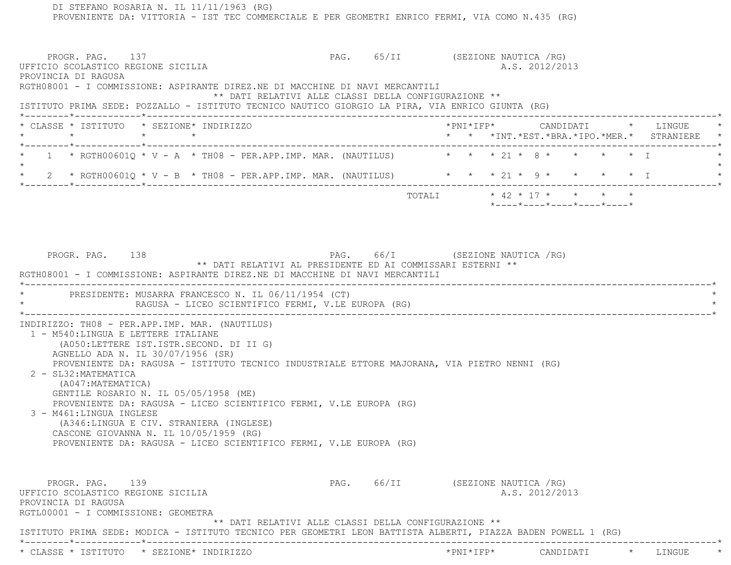DI STEFANO ROSARIA N. IL 11/11/1963 (RG) PROVENIENTE DA: VITTORIA - IST TEC COMMERCIALE E PER GEOMETRI ENRICO FERMI, VIA COMO N.435 (RG) PROGR. PAG. 137 CHAST PAG. 65/II (SEZIONE NAUTICA /RG) UFFICIO SCOLASTICO REGIONE SICILIA A.S. 2012/2013 PROVINCIA DI RAGUSA RGTH08001 - I COMMISSIONE: ASPIRANTE DIREZ.NE DI MACCHINE DI NAVI MERCANTILI \*\* DATI RELATIVI ALLE CLASSI DELLA CONFIGURAZIONE \*\* ISTITUTO PRIMA SEDE: POZZALLO - ISTITUTO TECNICO NAUTICO GIORGIO LA PIRA, VIA ENRICO GIUNTA (RG) \*--------\*------------\*-------------------------------------------------------------------------------------------------------\* \* CLASSE \* ISTITUTO \* SEZIONE\* INDIRIZZO \*PNI\*IFP\* CANDIDATI \* LINGUE \* \* \* \* \* \* \* \*INT.\*EST.\*BRA.\*IPO.\*MER.\* STRANIERE \* \*--------\*------------\*-------------------------------------------------------------------------------------------------------\* $1$  \* RGTH00601O \* V - A \* TH08 - PER.APP.IMP. MAR. (NAUTILUS)  $\qquad$  \* \* \* 21 \* 8 \* \* \* \* \* \* I  $\star$ 2 \* RGTH00601Q \* V - B \* TH08 - PER.APP.IMP. MAR. (NAUTILUS) \* \* \* \* 21 \* 9 \* \* \* \* \* \* I \*--------\*------------\*-------------------------------------------------------------------------------------------------------\* TOTALI \* 42 \* 17 \* \* \* \* \*----\*----\*----\*----\*----\*PROGR. PAG. 138 PAG. 66/I (SEZIONE NAUTICA /RG) \*\* DATI RELATIVI AL PRESIDENTE ED AI COMMISSARI ESTERNI \*\* RGTH08001 - I COMMISSIONE: ASPIRANTE DIREZ.NE DI MACCHINE DI NAVI MERCANTILI \*----------------------------------------------------------------------------------------------------------------------------\*PRESIDENTE: MUSARRA FRANCESCO N. IL 06/11/1954 (CT) RAGUSA - LICEO SCIENTIFICO FERMI, V.LE EUROPA (RG) \*----------------------------------------------------------------------------------------------------------------------------\* INDIRIZZO: TH08 - PER.APP.IMP. MAR. (NAUTILUS) 1 - M540:LINGUA E LETTERE ITALIANE (A050:LETTERE IST.ISTR.SECOND. DI II G) AGNELLO ADA N. IL 30/07/1956 (SR) PROVENIENTE DA: RAGUSA - ISTITUTO TECNICO INDUSTRIALE ETTORE MAJORANA, VIA PIETRO NENNI (RG) 2 - SL32:MATEMATICA (A047:MATEMATICA) GENTILE ROSARIO N. IL 05/05/1958 (ME) PROVENIENTE DA: RAGUSA - LICEO SCIENTIFICO FERMI, V.LE EUROPA (RG) 3 - M461:LINGUA INGLESE (A346:LINGUA E CIV. STRANIERA (INGLESE) CASCONE GIOVANNA N. IL 10/05/1959 (RG) PROVENIENTE DA: RAGUSA - LICEO SCIENTIFICO FERMI, V.LE EUROPA (RG) PROGR. PAG. 139 PAG. 66/II (SEZIONE NAUTICA /RG) UFFICIO SCOLASTICO REGIONE SICILIA A.S. 2012/2013 PROVINCIA DI RAGUSA RGTL00001 - I COMMISSIONE: GEOMETRA \*\* DATI RELATIVI ALLE CLASSI DELLA CONFIGURAZIONE \*\* ISTITUTO PRIMA SEDE: MODICA - ISTITUTO TECNICO PER GEOMETRI LEON BATTISTA ALBERTI, PIAZZA BADEN POWELL 1 (RG) \*--------\*------------\*-------------------------------------------------------------------------------------------------------\*\* CLASSE \* ISTITUTO \* SEZIONE\* INDIRIZZO \*PNI\*IFP\* CANDIDATI \* LINGUE \*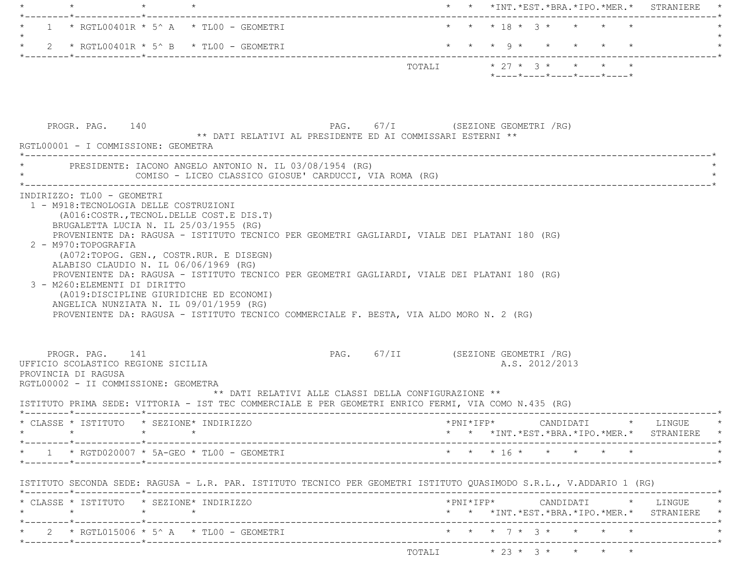| * * * 18 * 3 * * * * *<br>1 * RGTL00401R * 5^ A * TL00 - GEOMETRI<br>* * * 9 * * * * * *<br>2 * RGTL00401R * 5^ B * TL00 - GEOMETRI<br>TOTALI * 27 * 3 * * * * *<br>$*$ ---- $*$ ---- $*$ ---- $*$ ---- $*$<br>PROGR. PAG. 140<br>PAG. 67/I (SEZIONE GEOMETRI / RG)<br>** DATI RELATIVI AL PRESIDENTE ED AI COMMISSARI ESTERNI **<br>RGTL00001 - I COMMISSIONE: GEOMETRA<br>* - - - - - - - - - - - - -<br>PRESIDENTE: IACONO ANGELO ANTONIO N. IL 03/08/1954 (RG)<br>COMISO - LICEO CLASSICO GIOSUE' CARDUCCI, VIA ROMA (RG)<br>INDIRIZZO: TL00 - GEOMETRI<br>1 - M918: TECNOLOGIA DELLE COSTRUZIONI<br>(A016: COSTR., TECNOL. DELLE COST. E DIS. T)<br>BRUGALETTA LUCIA N. IL 25/03/1955 (RG)<br>PROVENIENTE DA: RAGUSA - ISTITUTO TECNICO PER GEOMETRI GAGLIARDI, VIALE DEI PLATANI 180 (RG)<br>2 - M970:TOPOGRAFIA<br>(A072:TOPOG. GEN., COSTR.RUR. E DISEGN)<br>ALABISO CLAUDIO N. IL 06/06/1969 (RG)<br>PROVENIENTE DA: RAGUSA - ISTITUTO TECNICO PER GEOMETRI GAGLIARDI, VIALE DEI PLATANI 180 (RG)<br>3 - M260: ELEMENTI DI DIRITTO<br>(A019:DISCIPLINE GIURIDICHE ED ECONOMI)<br>ANGELICA NUNZIATA N. IL 09/01/1959 (RG)<br>PROVENIENTE DA: RAGUSA - ISTITUTO TECNICO COMMERCIALE F. BESTA, VIA ALDO MORO N. 2 (RG)<br>PAG. 67/II (SEZIONE GEOMETRI / RG)<br>PROGR. PAG. 141<br>UFFICIO SCOLASTICO REGIONE SICILIA<br>A.S. 2012/2013<br>PROVINCIA DI RAGUSA<br>RGTL00002 - II COMMISSIONE: GEOMETRA<br>** DATI RELATIVI ALLE CLASSI DELLA CONFIGURAZIONE **<br>ISTITUTO PRIMA SEDE: VITTORIA - IST TEC COMMERCIALE E PER GEOMETRI ENRICO FERMI, VIA COMO N.435 (RG)<br>$\verb+'PNI*IFP*~~\verb+'ANDIDATI~~*~~\verb+'INGUE~~*~~$<br>* CLASSE * ISTITUTO * SEZIONE* INDIRIZZO<br>$\star \qquad \qquad \star \qquad \qquad \star \qquad \qquad \star$<br>* * *INT.*EST.*BRA.*IPO.*MER.* STRANIERE *<br>* * * 16 * * * * * *<br>$\star$ 1 $\star$ RGTD020007 $\star$ 5A-GEO $\star$ TL00 - GEOMETRI<br>ISTITUTO SECONDA SEDE: RAGUSA - L.R. PAR. ISTITUTO TECNICO PER GEOMETRI ISTITUTO QUASIMODO S.R.L., V.ADDARIO 1 (RG)<br>* CLASSE * ISTITUTO * SEZIONE* INDIRIZZO<br>$\text{\tt *PNI*IFP*} \qquad \qquad \text{CANDIDATI} \qquad \text{\tt *} \qquad \text{LINGUE} \qquad \text{\tt *}$<br>* * *INT.*EST.*BRA.*IPO.*MER.* STRANIERE *<br>$\star$ $\star$ $\star$ $\tau$ $\star$ $\star$ $\star$ $\star$ $\star$<br>* 2 * RGTL015006 * 5^ A * TL00 - GEOMETRI | * * *INT. *EST. *BRA. *IPO. *MER. * STRANIERE |  |  |  |
|------------------------------------------------------------------------------------------------------------------------------------------------------------------------------------------------------------------------------------------------------------------------------------------------------------------------------------------------------------------------------------------------------------------------------------------------------------------------------------------------------------------------------------------------------------------------------------------------------------------------------------------------------------------------------------------------------------------------------------------------------------------------------------------------------------------------------------------------------------------------------------------------------------------------------------------------------------------------------------------------------------------------------------------------------------------------------------------------------------------------------------------------------------------------------------------------------------------------------------------------------------------------------------------------------------------------------------------------------------------------------------------------------------------------------------------------------------------------------------------------------------------------------------------------------------------------------------------------------------------------------------------------------------------------------------------------------------------------------------------------------------------------------------------------------------------------------------------------------------------------------------------------------------------------------------------------------------------------------------------------------------------------------------------------------------------------------------------------------------------------------------------------------------------------------------------------------------------------------------------------------------------------------------------------------------------------------------------------------------------------|-----------------------------------------------|--|--|--|
|                                                                                                                                                                                                                                                                                                                                                                                                                                                                                                                                                                                                                                                                                                                                                                                                                                                                                                                                                                                                                                                                                                                                                                                                                                                                                                                                                                                                                                                                                                                                                                                                                                                                                                                                                                                                                                                                                                                                                                                                                                                                                                                                                                                                                                                                                                                                                                        |                                               |  |  |  |
|                                                                                                                                                                                                                                                                                                                                                                                                                                                                                                                                                                                                                                                                                                                                                                                                                                                                                                                                                                                                                                                                                                                                                                                                                                                                                                                                                                                                                                                                                                                                                                                                                                                                                                                                                                                                                                                                                                                                                                                                                                                                                                                                                                                                                                                                                                                                                                        |                                               |  |  |  |
|                                                                                                                                                                                                                                                                                                                                                                                                                                                                                                                                                                                                                                                                                                                                                                                                                                                                                                                                                                                                                                                                                                                                                                                                                                                                                                                                                                                                                                                                                                                                                                                                                                                                                                                                                                                                                                                                                                                                                                                                                                                                                                                                                                                                                                                                                                                                                                        |                                               |  |  |  |
|                                                                                                                                                                                                                                                                                                                                                                                                                                                                                                                                                                                                                                                                                                                                                                                                                                                                                                                                                                                                                                                                                                                                                                                                                                                                                                                                                                                                                                                                                                                                                                                                                                                                                                                                                                                                                                                                                                                                                                                                                                                                                                                                                                                                                                                                                                                                                                        |                                               |  |  |  |
|                                                                                                                                                                                                                                                                                                                                                                                                                                                                                                                                                                                                                                                                                                                                                                                                                                                                                                                                                                                                                                                                                                                                                                                                                                                                                                                                                                                                                                                                                                                                                                                                                                                                                                                                                                                                                                                                                                                                                                                                                                                                                                                                                                                                                                                                                                                                                                        |                                               |  |  |  |
|                                                                                                                                                                                                                                                                                                                                                                                                                                                                                                                                                                                                                                                                                                                                                                                                                                                                                                                                                                                                                                                                                                                                                                                                                                                                                                                                                                                                                                                                                                                                                                                                                                                                                                                                                                                                                                                                                                                                                                                                                                                                                                                                                                                                                                                                                                                                                                        |                                               |  |  |  |
|                                                                                                                                                                                                                                                                                                                                                                                                                                                                                                                                                                                                                                                                                                                                                                                                                                                                                                                                                                                                                                                                                                                                                                                                                                                                                                                                                                                                                                                                                                                                                                                                                                                                                                                                                                                                                                                                                                                                                                                                                                                                                                                                                                                                                                                                                                                                                                        |                                               |  |  |  |
|                                                                                                                                                                                                                                                                                                                                                                                                                                                                                                                                                                                                                                                                                                                                                                                                                                                                                                                                                                                                                                                                                                                                                                                                                                                                                                                                                                                                                                                                                                                                                                                                                                                                                                                                                                                                                                                                                                                                                                                                                                                                                                                                                                                                                                                                                                                                                                        |                                               |  |  |  |
|                                                                                                                                                                                                                                                                                                                                                                                                                                                                                                                                                                                                                                                                                                                                                                                                                                                                                                                                                                                                                                                                                                                                                                                                                                                                                                                                                                                                                                                                                                                                                                                                                                                                                                                                                                                                                                                                                                                                                                                                                                                                                                                                                                                                                                                                                                                                                                        |                                               |  |  |  |
|                                                                                                                                                                                                                                                                                                                                                                                                                                                                                                                                                                                                                                                                                                                                                                                                                                                                                                                                                                                                                                                                                                                                                                                                                                                                                                                                                                                                                                                                                                                                                                                                                                                                                                                                                                                                                                                                                                                                                                                                                                                                                                                                                                                                                                                                                                                                                                        |                                               |  |  |  |
|                                                                                                                                                                                                                                                                                                                                                                                                                                                                                                                                                                                                                                                                                                                                                                                                                                                                                                                                                                                                                                                                                                                                                                                                                                                                                                                                                                                                                                                                                                                                                                                                                                                                                                                                                                                                                                                                                                                                                                                                                                                                                                                                                                                                                                                                                                                                                                        |                                               |  |  |  |
|                                                                                                                                                                                                                                                                                                                                                                                                                                                                                                                                                                                                                                                                                                                                                                                                                                                                                                                                                                                                                                                                                                                                                                                                                                                                                                                                                                                                                                                                                                                                                                                                                                                                                                                                                                                                                                                                                                                                                                                                                                                                                                                                                                                                                                                                                                                                                                        |                                               |  |  |  |
|                                                                                                                                                                                                                                                                                                                                                                                                                                                                                                                                                                                                                                                                                                                                                                                                                                                                                                                                                                                                                                                                                                                                                                                                                                                                                                                                                                                                                                                                                                                                                                                                                                                                                                                                                                                                                                                                                                                                                                                                                                                                                                                                                                                                                                                                                                                                                                        |                                               |  |  |  |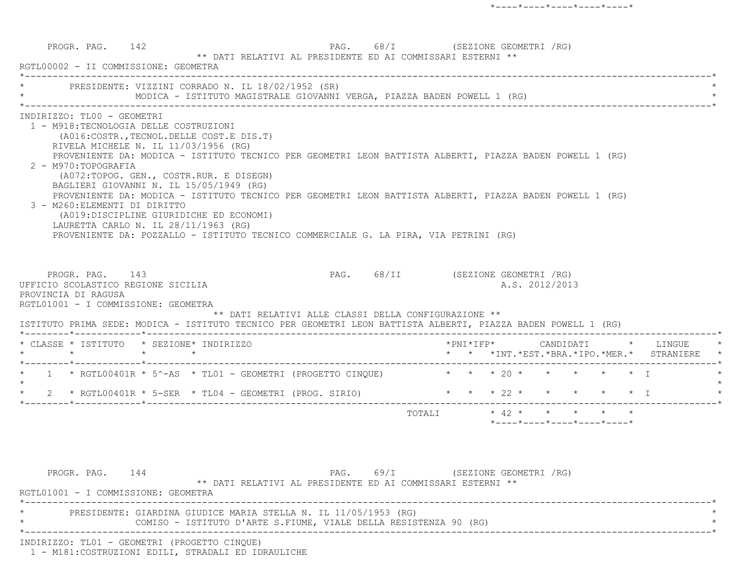PROGR. PAG. 142 PROGR. PAG. 68/I (SEZIONE GEOMETRI / RG) \*\* DATI RELATIVI AL PRESIDENTE ED AI COMMISSARI ESTERNI \*\* RGTL00002 - II COMMISSIONE: GEOMETRA \*----------------------------------------------------------------------------------------------------------------------------\*PRESIDENTE: VIZZINI CORRADO N. IL 18/02/1952 (SR) \* MODICA - ISTITUTO MAGISTRALE GIOVANNI VERGA, PIAZZA BADEN POWELL 1 (RG) \* \*----------------------------------------------------------------------------------------------------------------------------\* INDIRIZZO: TL00 - GEOMETRI 1 - M918:TECNOLOGIA DELLE COSTRUZIONI (A016:COSTR.,TECNOL.DELLE COST.E DIS.T) RIVELA MICHELE N. IL 11/03/1956 (RG) PROVENIENTE DA: MODICA - ISTITUTO TECNICO PER GEOMETRI LEON BATTISTA ALBERTI, PIAZZA BADEN POWELL 1 (RG) 2 - M970:TOPOGRAFIA (A072:TOPOG. GEN., COSTR.RUR. E DISEGN) BAGLIERI GIOVANNI N. IL 15/05/1949 (RG) PROVENIENTE DA: MODICA - ISTITUTO TECNICO PER GEOMETRI LEON BATTISTA ALBERTI, PIAZZA BADEN POWELL 1 (RG) 3 - M260:ELEMENTI DI DIRITTO (A019:DISCIPLINE GIURIDICHE ED ECONOMI) LAURETTA CARLO N. IL 28/11/1963 (RG) PROVENIENTE DA: POZZALLO - ISTITUTO TECNICO COMMERCIALE G. LA PIRA, VIA PETRINI (RG) PROGR. PAG. 143 PAG. PAG. 68/II (SEZIONE GEOMETRI / RG) UFFICIO SCOLASTICO REGIONE SICILIA AND ALS. 2012/2013 PROVINCIA DI RAGUSA RGTL01001 - I COMMISSIONE: GEOMETRA \*\* DATI RELATIVI ALLE CLASSI DELLA CONFIGURAZIONE \*\* ISTITUTO PRIMA SEDE: MODICA - ISTITUTO TECNICO PER GEOMETRI LEON BATTISTA ALBERTI, PIAZZA BADEN POWELL 1 (RG) \*--------\*------------\*-------------------------------------------------------------------------------------------------------\* \* CLASSE \* ISTITUTO \* SEZIONE\* INDIRIZZO \*PNI\*IFP\* CANDIDATI \* LINGUE \* \* \* \* \* \* \* \*INT.\*EST.\*BRA.\*IPO.\*MER.\* STRANIERE \* \*--------\*------------\*-------------------------------------------------------------------------------------------------------\*1 \* RGTL00401R \* 5^-AS \* TL01 - GEOMETRI (PROGETTO CINOUE)  $* * * * 20 * * * * * * * 1$  $\star$ 2 \* RGTL00401R \* 5-SER \* TL04 - GEOMETRI (PROG. SIRIO) \* \* \* \* 22 \* \* \* \* \* \* \* I \*--------\*------------\*-------------------------------------------------------------------------------------------------------\*TOTALI  $*$  42  $*$   $*$   $*$   $*$  \*----\*----\*----\*----\*----\*PROGR. PAG. 144 PAG. 69/I (SEZIONE GEOMETRI /RG) \*\* DATI RELATIVI AL PRESIDENTE ED AI COMMISSARI ESTERNI \*\*RGTL01001 - I COMMISSIONE: GEOMETRA

 \*----------------------------------------------------------------------------------------------------------------------------\* \* PRESIDENTE: GIARDINA GIUDICE MARIA STELLA N. IL 11/05/1953 (RG) \* COMISO - ISTITUTO D'ARTE S.FIUME, VIALE DELLA RESISTENZA 90 (RG) \*----------------------------------------------------------------------------------------------------------------------------\*

INDIRIZZO: TL01 - GEOMETRI (PROGETTO CINQUE)

1 - M181:COSTRUZIONI EDILI, STRADALI ED IDRAULICHE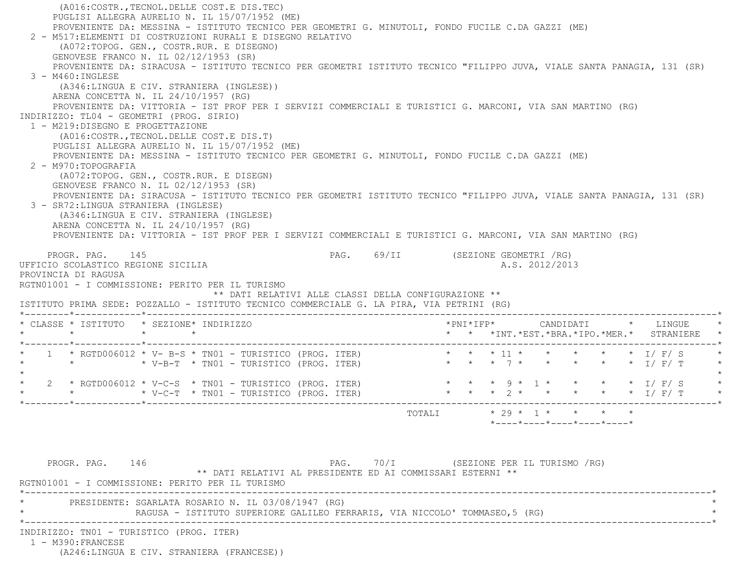(A016:COSTR.,TECNOL.DELLE COST.E DIS.TEC) PUGLISI ALLEGRA AURELIO N. IL 15/07/1952 (ME) PROVENIENTE DA: MESSINA - ISTITUTO TECNICO PER GEOMETRI G. MINUTOLI, FONDO FUCILE C.DA GAZZI (ME) 2 - M517:ELEMENTI DI COSTRUZIONI RURALI E DISEGNO RELATIVO (A072:TOPOG. GEN., COSTR.RUR. E DISEGNO) GENOVESE FRANCO N. IL 02/12/1953 (SR) PROVENIENTE DA: SIRACUSA - ISTITUTO TECNICO PER GEOMETRI ISTITUTO TECNICO "FILIPPO JUVA, VIALE SANTA PANAGIA, 131 (SR) 3 - M460:INGLESE (A346:LINGUA E CIV. STRANIERA (INGLESE)) ARENA CONCETTA N. IL 24/10/1957 (RG) PROVENIENTE DA: VITTORIA - IST PROF PER I SERVIZI COMMERCIALI E TURISTICI G. MARCONI, VIA SAN MARTINO (RG) INDIRIZZO: TL04 - GEOMETRI (PROG. SIRIO) 1 - M219:DISEGNO E PROGETTAZIONE (A016:COSTR.,TECNOL.DELLE COST.E DIS.T) PUGLISI ALLEGRA AURELIO N. IL 15/07/1952 (ME) PROVENIENTE DA: MESSINA - ISTITUTO TECNICO PER GEOMETRI G. MINUTOLI, FONDO FUCILE C.DA GAZZI (ME) 2 - M970:TOPOGRAFIA (A072:TOPOG. GEN., COSTR.RUR. E DISEGN) GENOVESE FRANCO N. IL 02/12/1953 (SR) PROVENIENTE DA: SIRACUSA - ISTITUTO TECNICO PER GEOMETRI ISTITUTO TECNICO "FILIPPO JUVA, VIALE SANTA PANAGIA, 131 (SR) 3 - SR72:LINGUA STRANIERA (INGLESE) (A346:LINGUA E CIV. STRANIERA (INGLESE) ARENA CONCETTA N. IL 24/10/1957 (RG) PROVENIENTE DA: VITTORIA - IST PROF PER I SERVIZI COMMERCIALI E TURISTICI G. MARCONI, VIA SAN MARTINO (RG) PROGR. PAG. 145 PROGR. PAG. 69/II (SEZIONE GEOMETRI / RG) UFFICIO SCOLASTICO REGIONE SICILIA A.S. 2012/2013 PROVINCIA DI RAGUSA RGTN01001 - I COMMISSIONE: PERITO PER IL TURISMO \*\* DATI RELATIVI ALLE CLASSI DELLA CONFIGURAZIONE \*\* ISTITUTO PRIMA SEDE: POZZALLO - ISTITUTO TECNICO COMMERCIALE G. LA PIRA, VIA PETRINI (RG) \*--------\*------------\*-------------------------------------------------------------------------------------------------------\* \* CLASSE \* ISTITUTO \* SEZIONE\* INDIRIZZO \*PNI\*IFP\* CANDIDATI \* LINGUE \* \* \* \* \* \* \* \*INT.\*EST.\*BRA.\*IPO.\*MER.\* STRANIERE \* \*--------\*------------\*-------------------------------------------------------------------------------------------------------\* \* 1 \* RGTD006012 \* V- B-S \* TN01 - TURISTICO (PROG. ITER) \* \* \* 11 \* \* \* \* \* I/ F/ S \* \* \* \* V-B-T \* TN01 - TURISTICO (PROG. ITER) \* \* \* 7 \* \* \* \* \* I/ F/ T \*  $\star$  \* 2 \* RGTD006012 \* V-C-S \* TN01 - TURISTICO (PROG. ITER) \* \* \* 9 \* 1 \* \* \* \* I/ F/ S \* \* \* \* V-C-T \* TN01 - TURISTICO (PROG. ITER) \* \* \* 2 \* \* \* \* \* I/ F/ T \* \*--------\*------------\*-------------------------------------------------------------------------------------------------------\*TOTALI  $* 29 * 1 * * * * * * *$  \*----\*----\*----\*----\*----\*PROGR. PAG. 146 CHA PAG. 70/I (SEZIONE PER IL TURISMO /RG) \*\* DATI RELATIVI AL PRESIDENTE ED AI COMMISSARI ESTERNI \*\* RGTN01001 - I COMMISSIONE: PERITO PER IL TURISMO \*----------------------------------------------------------------------------------------------------------------------------\*PRESIDENTE: SGARLATA ROSARIO N. IL 03/08/1947 (RG) RAGUSA - ISTITUTO SUPERIORE GALILEO FERRARIS, VIA NICCOLO' TOMMASEO,5 (RG) \*----------------------------------------------------------------------------------------------------------------------------\* INDIRIZZO: TN01 - TURISTICO (PROG. ITER) 1 - M390:FRANCESE(A246:LINGUA E CIV. STRANIERA (FRANCESE))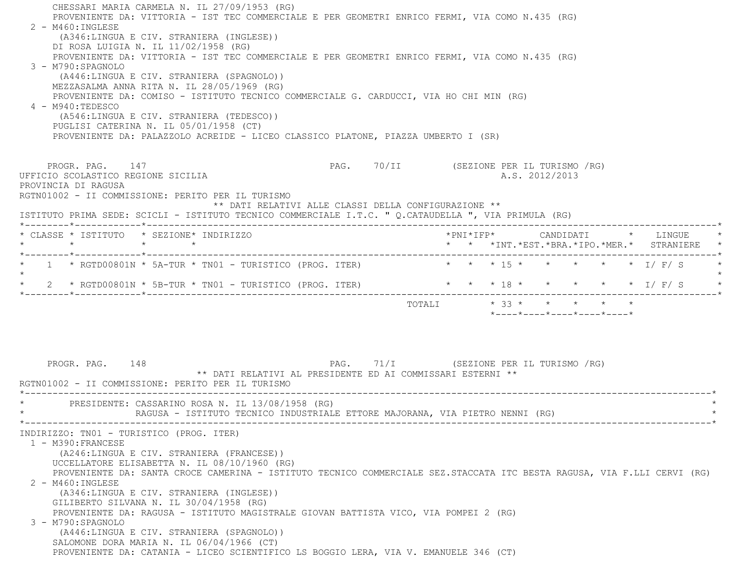CHESSARI MARIA CARMELA N. IL 27/09/1953 (RG) PROVENIENTE DA: VITTORIA - IST TEC COMMERCIALE E PER GEOMETRI ENRICO FERMI, VIA COMO N.435 (RG) 2 - M460:INGLESE (A346:LINGUA E CIV. STRANIERA (INGLESE)) DI ROSA LUIGIA N. IL 11/02/1958 (RG) PROVENIENTE DA: VITTORIA - IST TEC COMMERCIALE E PER GEOMETRI ENRICO FERMI, VIA COMO N.435 (RG) 3 - M790:SPAGNOLO (A446:LINGUA E CIV. STRANIERA (SPAGNOLO)) MEZZASALMA ANNA RITA N. IL 28/05/1969 (RG) PROVENIENTE DA: COMISO - ISTITUTO TECNICO COMMERCIALE G. CARDUCCI, VIA HO CHI MIN (RG) 4 - M940:TEDESCO (A546:LINGUA E CIV. STRANIERA (TEDESCO)) PUGLISI CATERINA N. IL 05/01/1958 (CT) PROVENIENTE DA: PALAZZOLO ACREIDE - LICEO CLASSICO PLATONE, PIAZZA UMBERTO I (SR) PROGR. PAG. 147 CHARGE 147 PAG. 70/II (SEZIONE PER IL TURISMO / RG) UFFICIO SCOLASTICO REGIONE SICILIA A.S. 2012/2013 PROVINCIA DI RAGUSA RGTN01002 - II COMMISSIONE: PERITO PER IL TURISMO \*\* DATI RELATIVI ALLE CLASSI DELLA CONFIGURAZIONE \*\* ISTITUTO PRIMA SEDE: SCICLI - ISTITUTO TECNICO COMMERCIALE I.T.C. " Q.CATAUDELLA ", VIA PRIMULA (RG) \*--------\*------------\*-------------------------------------------------------------------------------------------------------\* \* CLASSE \* ISTITUTO \* SEZIONE\* INDIRIZZO \*PNI\*IFP\* CANDIDATI \* LINGUE \* \* \* \* \* \* \* \*INT.\*EST.\*BRA.\*IPO.\*MER.\* STRANIERE \* \*--------\*------------\*-------------------------------------------------------------------------------------------------------\*1 \* RGTD00801N \* 5A-TUR \* TN01 - TURISTICO (PROG. ITER) \* \* \* \* 15 \* \* \* \* \* \* \* \* I/ F/ S  $\star$ \* 2 \* RGTD00801N \* 5B-TUR \* TN01 - TURISTICO (PROG. ITER) \* \* \* \* 18 \* \* \* \* \* \* \* \* I/ F/ S \* \* \*--------\*------------\*-------------------------------------------------------------------------------------------------------\* TOTALI \* 33 \* \* \* \* \* \*----\*----\*----\*----\*----\*PROGR. PAG. 148 PAG. 71/I (SEZIONE PER IL TURISMO /RG) \*\* DATI RELATIVI AL PRESIDENTE ED AI COMMISSARI ESTERNI \*\* RGTN01002 - II COMMISSIONE: PERITO PER IL TURISMO------------------------------------PRESIDENTE: CASSARINO ROSA N. IL 13/08/1958 (RG) RAGUSA - ISTITUTO TECNICO INDUSTRIALE ETTORE MAJORANA, VIA PIETRO NENNI (RG) \*----------------------------------------------------------------------------------------------------------------------------\* INDIRIZZO: TN01 - TURISTICO (PROG. ITER) 1 - M390:FRANCESE (A246:LINGUA E CIV. STRANIERA (FRANCESE)) UCCELLATORE ELISABETTA N. IL 08/10/1960 (RG) PROVENIENTE DA: SANTA CROCE CAMERINA - ISTITUTO TECNICO COMMERCIALE SEZ.STACCATA ITC BESTA RAGUSA, VIA F.LLI CERVI (RG) 2 - M460:INGLESE (A346:LINGUA E CIV. STRANIERA (INGLESE)) GILIBERTO SILVANA N. IL 30/04/1958 (RG) PROVENIENTE DA: RAGUSA - ISTITUTO MAGISTRALE GIOVAN BATTISTA VICO, VIA POMPEI 2 (RG) 3 - M790:SPAGNOLO (A446:LINGUA E CIV. STRANIERA (SPAGNOLO)) SALOMONE DORA MARIA N. IL 06/04/1966 (CT) PROVENIENTE DA: CATANIA - LICEO SCIENTIFICO LS BOGGIO LERA, VIA V. EMANUELE 346 (CT)